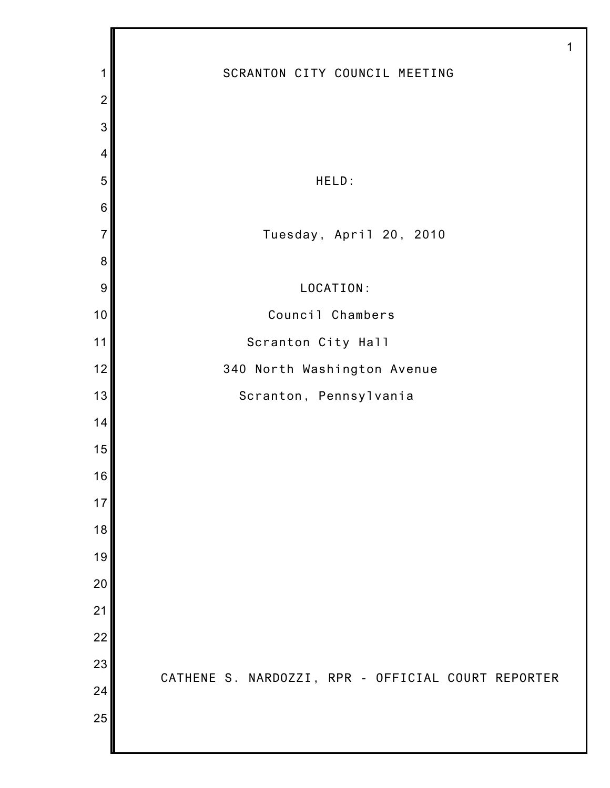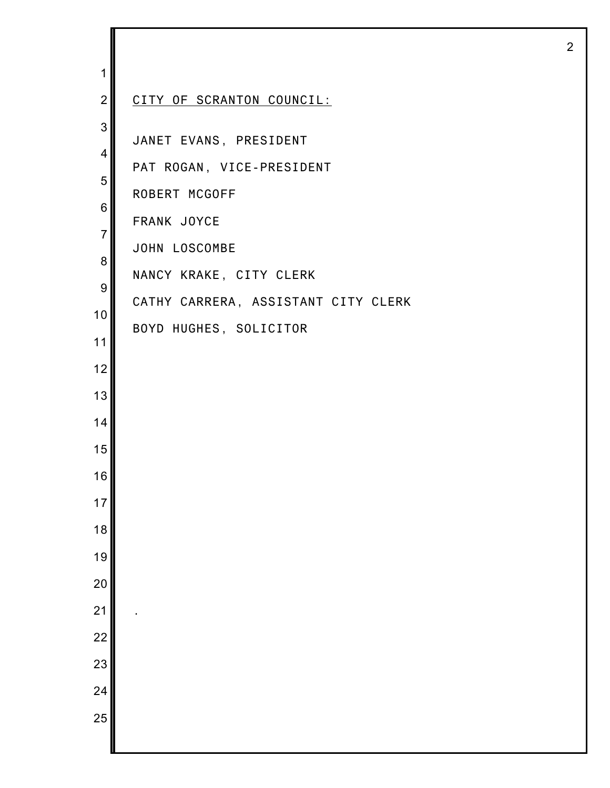| 1                |                                     |
|------------------|-------------------------------------|
| $\overline{2}$   | CITY OF SCRANTON COUNCIL:           |
| 3<br>4           | JANET EVANS, PRESIDENT              |
| 5                | PAT ROGAN, VICE-PRESIDENT           |
| 6                | ROBERT MCGOFF                       |
| $\overline{7}$   | FRANK JOYCE                         |
| 8                | JOHN LOSCOMBE                       |
| $\boldsymbol{9}$ | NANCY KRAKE, CITY CLERK             |
| 10               | CATHY CARRERA, ASSISTANT CITY CLERK |
| 11               | BOYD HUGHES, SOLICITOR              |
| 12               |                                     |
| 13               |                                     |
| 14               |                                     |
| 15               |                                     |
| 16               |                                     |
| 17               |                                     |
| 18               |                                     |
| 19               |                                     |
| 20               |                                     |
| 21               |                                     |
| $\overline{22}$  |                                     |
| 23               |                                     |
| 24               |                                     |
| 25               |                                     |
|                  |                                     |

I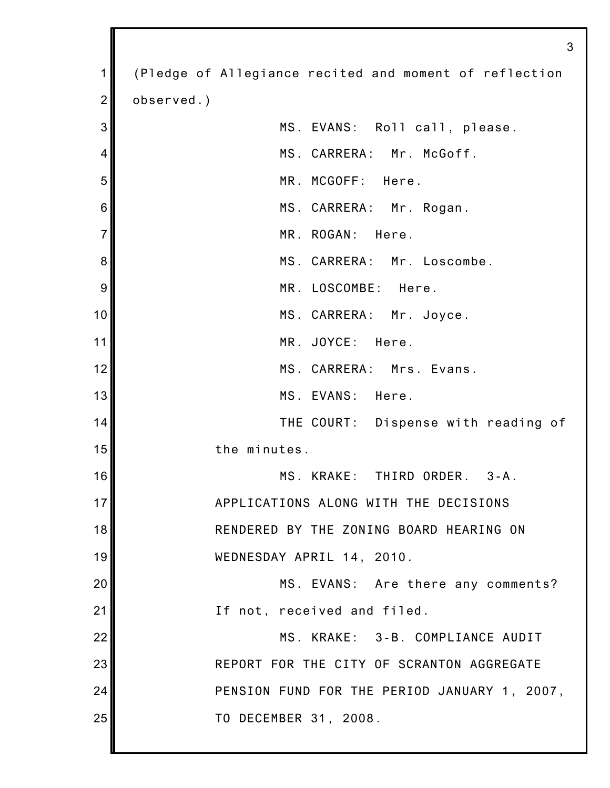|                | 3                                                      |
|----------------|--------------------------------------------------------|
| 1              | (Pledge of Allegiance recited and moment of reflection |
| $\overline{2}$ | observed.)                                             |
| 3              | MS. EVANS: Roll call, please.                          |
| 4              | MS. CARRERA: Mr. McGoff.                               |
| 5              | MR. MCGOFF: Here.                                      |
| 6              | MS. CARRERA: Mr. Rogan.                                |
| $\overline{7}$ | MR. ROGAN:<br>Here.                                    |
| 8              | MS. CARRERA: Mr. Loscombe.                             |
| 9              | MR. LOSCOMBE: Here.                                    |
| 10             | MS. CARRERA: Mr. Joyce.                                |
| 11             | MR. JOYCE: Here.                                       |
| 12             | MS. CARRERA: Mrs. Evans.                               |
| 13             | MS. EVANS: Here.                                       |
| 14             | THE COURT: Dispense with reading of                    |
| 15             | the minutes.                                           |
| 16             | MS. KRAKE: THIRD ORDER. 3-A.                           |
| 17             | APPLICATIONS ALONG WITH THE DECISIONS                  |
| 18             | RENDERED BY THE ZONING BOARD HEARING ON                |
| 19             | WEDNESDAY APRIL 14, 2010.                              |
| 20             | MS. EVANS: Are there any comments?                     |
| 21             | If not, received and filed.                            |
| 22             | MS. KRAKE: 3-B. COMPLIANCE AUDIT                       |
| 23             | REPORT FOR THE CITY OF SCRANTON AGGREGATE              |
| 24             | PENSION FUND FOR THE PERIOD JANUARY 1, 2007,           |
| 25             | TO DECEMBER 31, 2008.                                  |
|                |                                                        |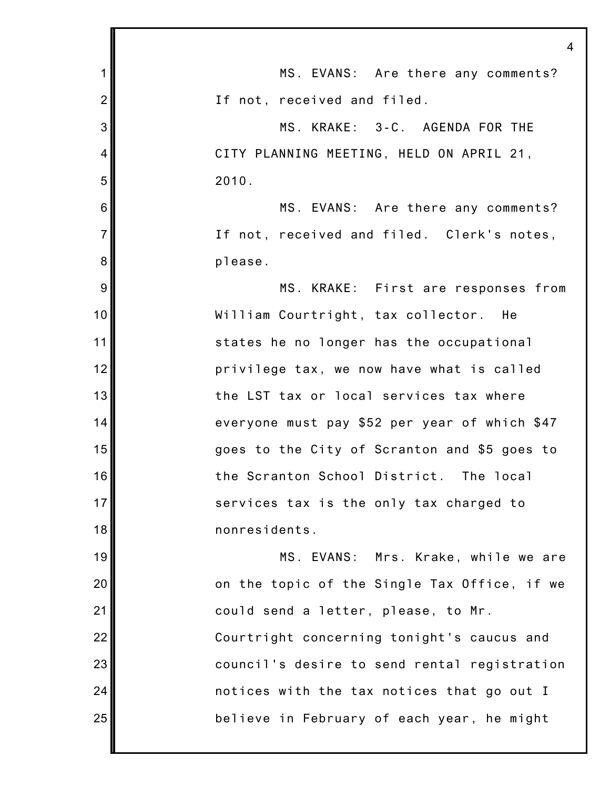|                | $\overline{4}$                                |
|----------------|-----------------------------------------------|
| 1              | MS. EVANS: Are there any comments?            |
| $\overline{2}$ | If not, received and filed.                   |
| 3              | MS. KRAKE: 3-C. AGENDA FOR THE                |
| 4              | CITY PLANNING MEETING, HELD ON APRIL 21,      |
| 5              | 2010.                                         |
| 6              | MS. EVANS: Are there any comments?            |
| $\overline{7}$ | If not, received and filed. Clerk's notes,    |
| 8              | please.                                       |
| 9              | MS. KRAKE: First are responses from           |
| 10             | William Courtright, tax collector. He         |
| 11             | states he no longer has the occupational      |
| 12             | privilege tax, we now have what is called     |
| 13             | the LST tax or local services tax where       |
| 14             | everyone must pay \$52 per year of which \$47 |
| 15             | goes to the City of Scranton and \$5 goes to  |
| 16             | the Scranton School District. The local       |
| 17             | services tax is the only tax charged to       |
| 18             | nonresidents.                                 |
| 19             | MS. EVANS: Mrs. Krake, while we are           |
| 20             | on the topic of the Single Tax Office, if we  |
| 21             | could send a letter, please, to Mr.           |
| 22             | Courtright concerning tonight's caucus and    |
| 23             | council's desire to send rental registration  |
| 24             | notices with the tax notices that go out I    |
| 25             | believe in February of each year, he might    |
|                |                                               |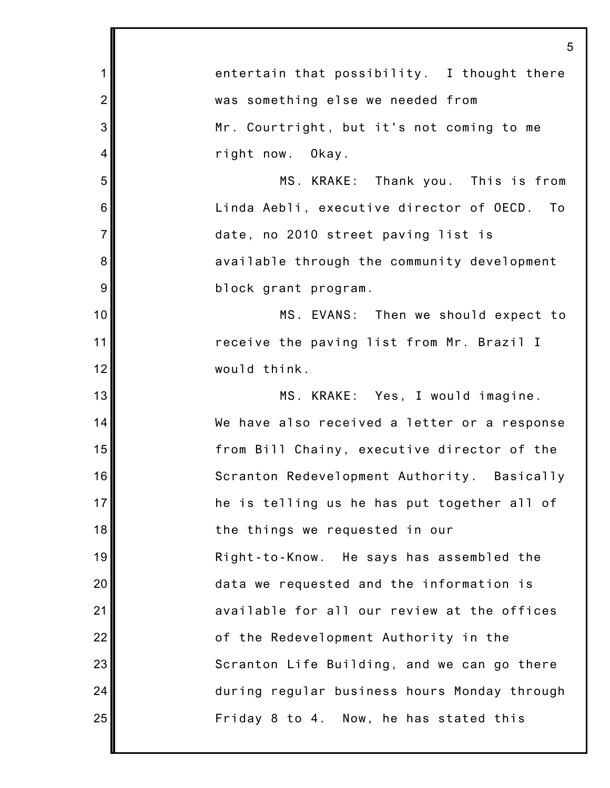1 2 3 4 5 6 7 8 9 10 11 12 13 14 15 16 17 18 19 20 21 22 23 24 25 5 entertain that possibility. I thought there was something else we needed from Mr. Courtright, but it's not coming to me right now. Okay. MS. KRAKE: Thank you. This is from Linda Aebli, executive director of OECD. To date, no 2010 street paving list is available through the community development block grant program. MS. EVANS: Then we should expect to receive the paving list from Mr. Brazil I would think. MS. KRAKE: Yes, I would imagine. We have also received a letter or a response from Bill Chainy, executive director of the Scranton Redevelopment Authority. Basically he is telling us he has put together all of the things we requested in our Right-to-Know. He says has assembled the data we requested and the information is available for all our review at the offices of the Redevelopment Authority in the Scranton Life Building, and we can go there during regular business hours Monday through Friday 8 to 4. Now, he has stated this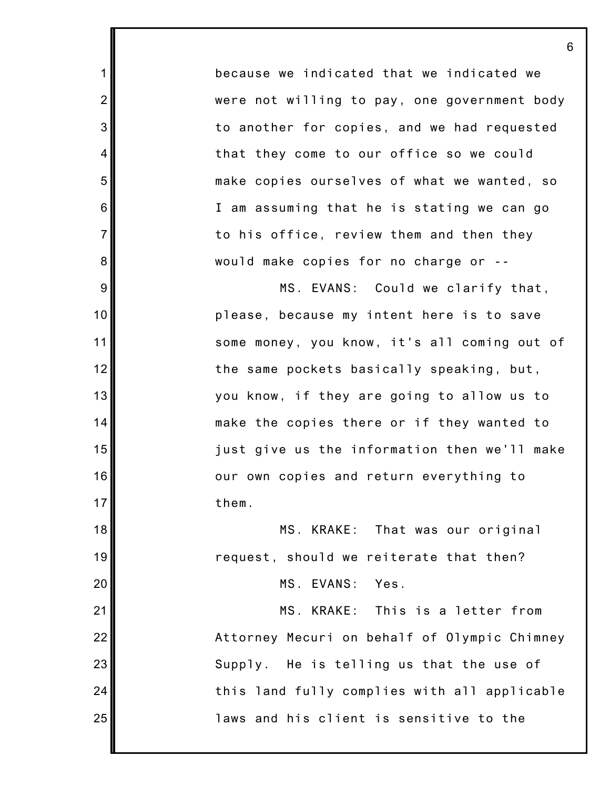because we indicated that we indicated we were not willing to pay, one government body to another for copies, and we had requested that they come to our office so we could make copies ourselves of what we wanted, so I am assuming that he is stating we can go to his office, review them and then they would make copies for no charge or --

1

2

3

4

5

6

7

8

9

10

11

12

13

14

15

16

17

18

19

20

21

22

23

24

25

MS. EVANS: Could we clarify that, please, because my intent here is to save some money, you know, it's all coming out of the same pockets basically speaking, but, you know, if they are going to allow us to make the copies there or if they wanted to just give us the information then we'll make our own copies and return everything to them.

MS. KRAKE: That was our original request, should we reiterate that then?

MS. EVANS: Yes.

MS. KRAKE: This is a letter from Attorney Mecuri on behalf of Olympic Chimney Supply. He is telling us that the use of this land fully complies with all applicable laws and his client is sensitive to the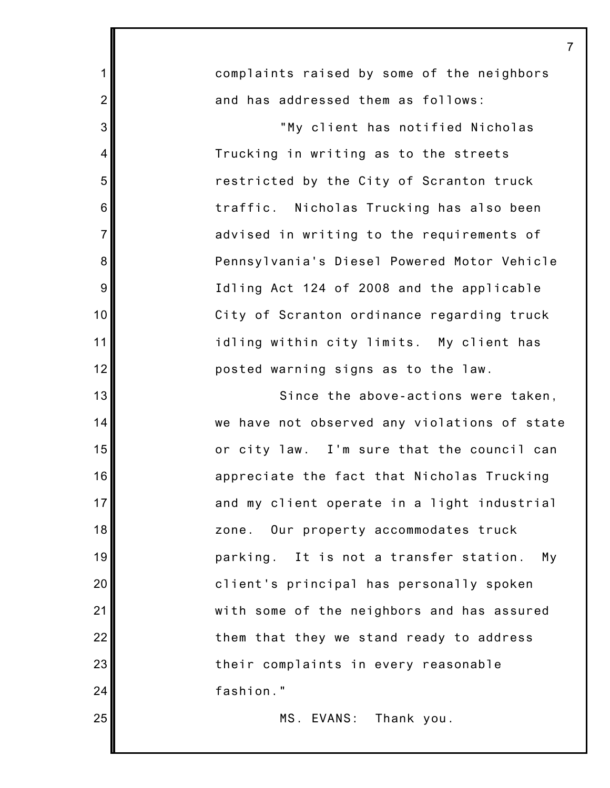complaints raised by some of the neighbors and has addressed them as follows: "My client has notified Nicholas Trucking in writing as to the streets restricted by the City of Scranton truck traffic. Nicholas Trucking has also been advised in writing to the requirements of Pennsylvania's Diesel Powered Motor Vehicle Idling Act 124 of 2008 and the applicable City of Scranton ordinance regarding truck idling within city limits. My client has posted warning signs as to the law. Since the above-actions were taken, we have not observed any violations of state or city law. I'm sure that the council can appreciate the fact that Nicholas Trucking and my client operate in a light industrial zone. Our property accommodates truck parking. It is not a transfer station. My client's principal has personally spoken with some of the neighbors and has assured them that they we stand ready to address

7

1

2

3

4

5

6

7

8

9

10

11

12

13

14

15

16

17

18

19

20

21

22

23

24

25

their complaints in every reasonable fashion."

MS. EVANS: Thank you.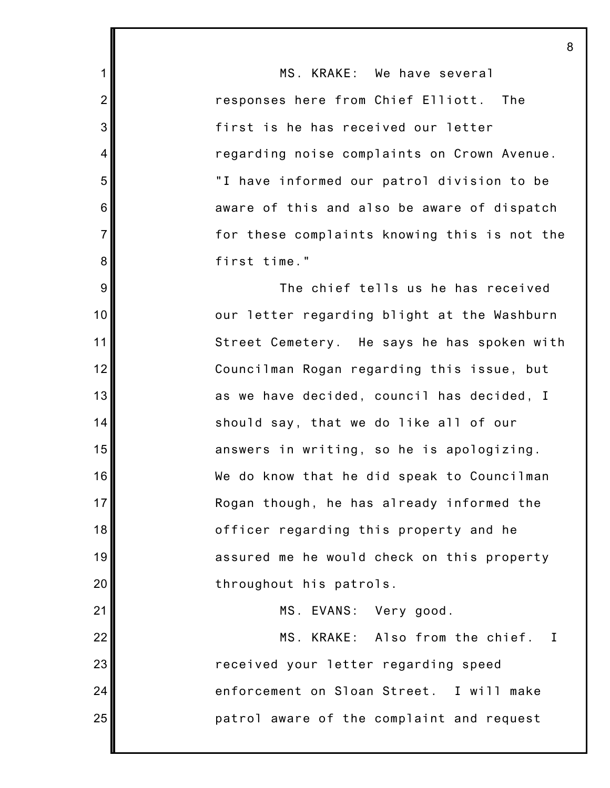MS. KRAKE: We have several responses here from Chief Elliott. The first is he has received our letter regarding noise complaints on Crown Avenue. "I have informed our patrol division to be aware of this and also be aware of dispatch for these complaints knowing this is not the first time."

1

2

3

4

5

6

7

8

9

10

11

12

13

14

15

16

17

18

19

20

21

22

23

24

25

The chief tells us he has received our letter regarding blight at the Washburn Street Cemetery. He says he has spoken with Councilman Rogan regarding this issue, but as we have decided, council has decided, I should say, that we do like all of our answers in writing, so he is apologizing. We do know that he did speak to Councilman Rogan though, he has already informed the officer regarding this property and he assured me he would check on this property throughout his patrols.

MS. EVANS: Very good.

MS. KRAKE: Also from the chief. I received your letter regarding speed enforcement on Sloan Street. I will make patrol aware of the complaint and request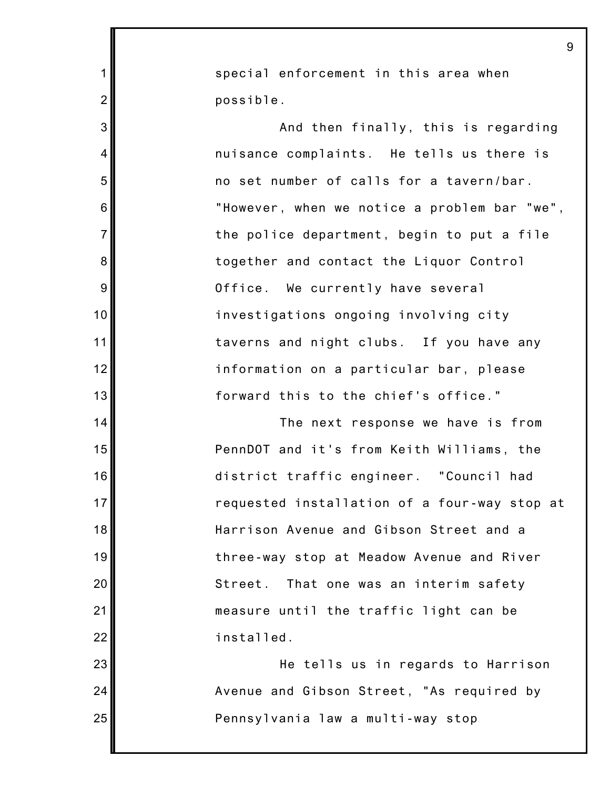1 2 3 4 5 6 7 8 9 10 11 12 13 14 15 16 17 18 19 20 21 22 23 24 25 9 special enforcement in this area when possible. And then finally, this is regarding nuisance complaints. He tells us there is no set number of calls for a tavern/bar. "However, when we notice a problem bar "we", the police department, begin to put a file together and contact the Liquor Control Office. We currently have several investigations ongoing involving city taverns and night clubs. If you have any information on a particular bar, please forward this to the chief's office." The next response we have is from PennDOT and it's from Keith Williams, the district traffic engineer. "Council had requested installation of a four-way stop at Harrison Avenue and Gibson Street and a three-way stop at Meadow Avenue and River Street. That one was an interim safety measure until the traffic light can be installed. He tells us in regards to Harrison Avenue and Gibson Street, "As required by Pennsylvania law a multi-way stop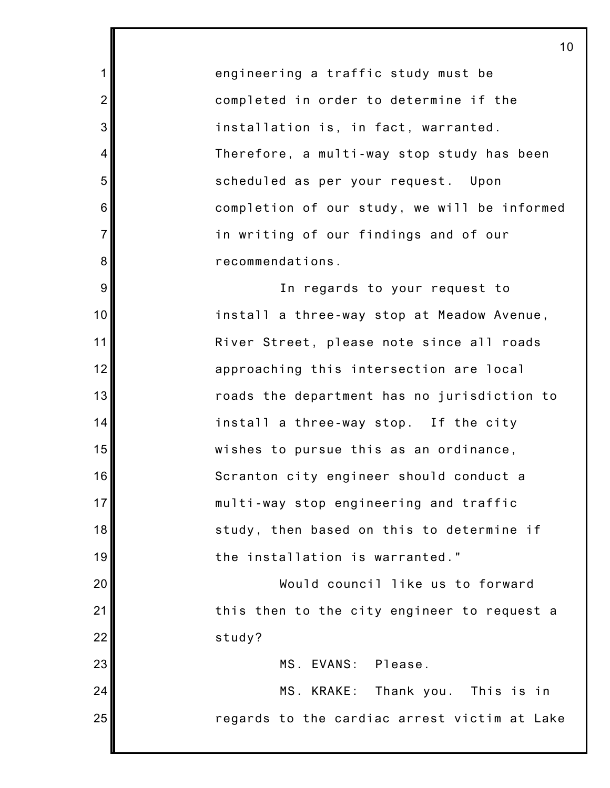engineering a traffic study must be completed in order to determine if the installation is, in fact, warranted. Therefore, a multi-way stop study has been scheduled as per your request. Upon completion of our study, we will be informed in writing of our findings and of our recommendations.

1

2

3

4

5

6

7

8

9

10

11

12

13

14

15

16

17

18

19

20

21

22

23

24

25

In regards to your request to install a three-way stop at Meadow Avenue, River Street, please note since all roads approaching this intersection are local roads the department has no jurisdiction to install a three-way stop. If the city wishes to pursue this as an ordinance, Scranton city engineer should conduct a multi-way stop engineering and traffic study, then based on this to determine if the installation is warranted."

Would council like us to forward this then to the city engineer to request a study?

MS. EVANS: Please.

MS. KRAKE: Thank you. This is in regards to the cardiac arrest victim at Lake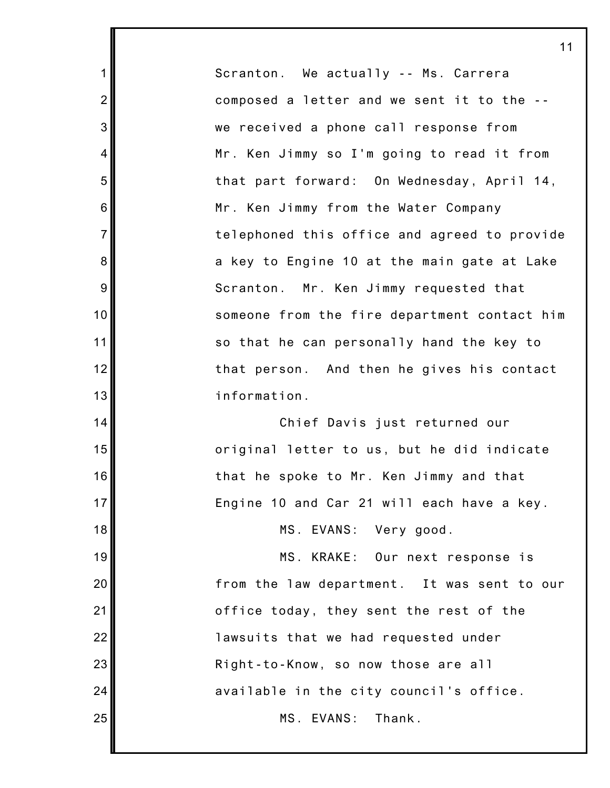Scranton. We actually -- Ms. Carrera composed a letter and we sent it to the - we received a phone call response from Mr. Ken Jimmy so I'm going to read it from that part forward: On Wednesday, April 14, Mr. Ken Jimmy from the Water Company telephoned this office and agreed to provide a key to Engine 10 at the main gate at Lake Scranton. Mr. Ken Jimmy requested that someone from the fire department contact him so that he can personally hand the key to that person. And then he gives his contact information.

1

2

3

4

5

6

7

8

9

10

11

12

13

14

15

16

17

18

19

20

21

22

23

24

25

Chief Davis just returned our original letter to us, but he did indicate that he spoke to Mr. Ken Jimmy and that Engine 10 and Car 21 will each have a key.

MS. EVANS: Very good.

MS. KRAKE: Our next response is from the law department. It was sent to our office today, they sent the rest of the lawsuits that we had requested under Right-to-Know, so now those are all available in the city council's office. MS. EVANS: Thank.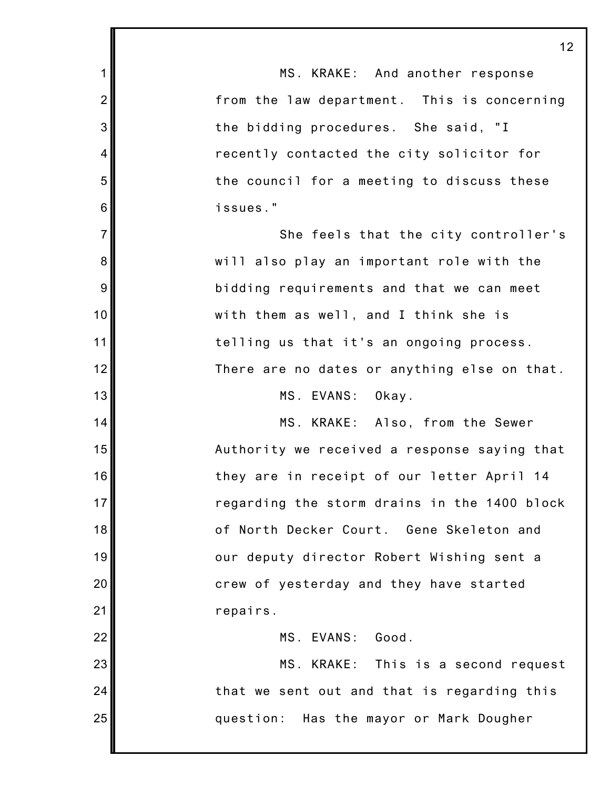1 2 3 4 5 6 7 8 9 10 11 12 13 14 15 16 17 18 19 20 21 22 23 24 25 12 MS. KRAKE: And another response from the law department. This is concerning the bidding procedures. She said, "I recently contacted the city solicitor for the council for a meeting to discuss these issues." She feels that the city controller's will also play an important role with the bidding requirements and that we can meet with them as well, and I think she is telling us that it's an ongoing process. There are no dates or anything else on that. MS. EVANS: Okay. MS. KRAKE: Also, from the Sewer Authority we received a response saying that they are in receipt of our letter April 14 regarding the storm drains in the 1400 block of North Decker Court. Gene Skeleton and our deputy director Robert Wishing sent a crew of yesterday and they have started repairs. MS. EVANS: Good. MS. KRAKE: This is a second request that we sent out and that is regarding this question: Has the mayor or Mark Dougher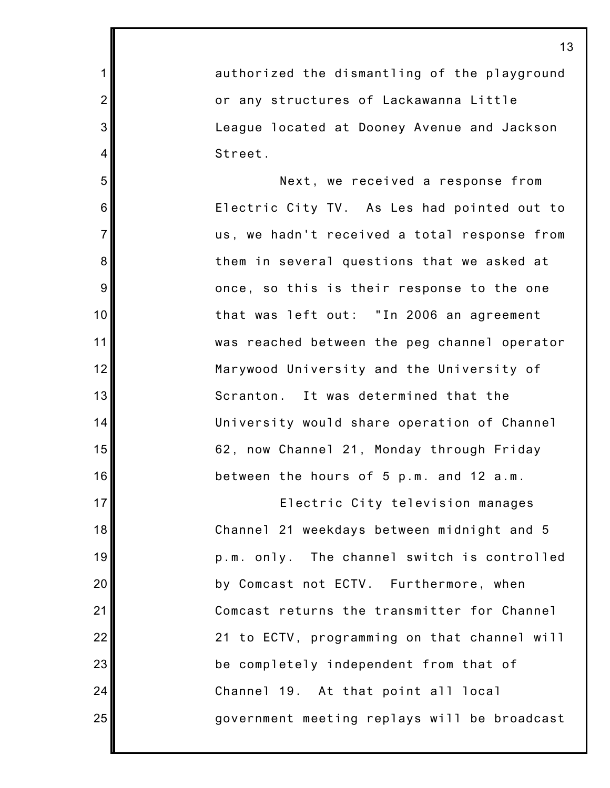authorized the dismantling of the playground or any structures of Lackawanna Little League located at Dooney Avenue and Jackson Street.

1

2

3

4

5

6

7

8

9

10

11

12

13

14

15

16

17

18

19

20

21

22

23

24

25

Next, we received a response from Electric City TV. As Les had pointed out to us, we hadn't received a total response from them in several questions that we asked at once, so this is their response to the one that was left out: "In 2006 an agreement was reached between the peg channel operator Marywood University and the University of Scranton. It was determined that the University would share operation of Channel 62, now Channel 21, Monday through Friday between the hours of 5 p.m. and 12 a.m.

Electric City television manages Channel 21 weekdays between midnight and 5 p.m. only. The channel switch is controlled by Comcast not ECTV. Furthermore, when Comcast returns the transmitter for Channel 21 to ECTV, programming on that channel will be completely independent from that of Channel 19. At that point all local government meeting replays will be broadcast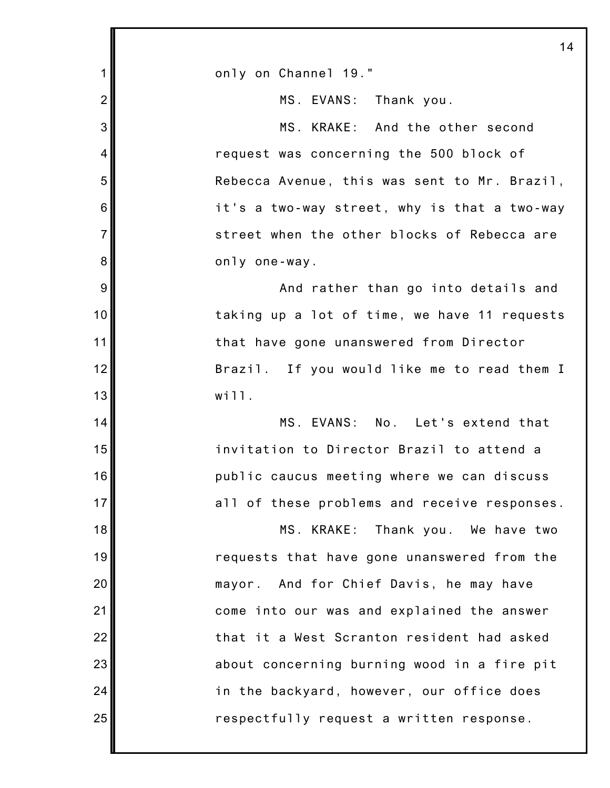|                | 14                                           |
|----------------|----------------------------------------------|
| 1              | only on Channel 19."                         |
| $\overline{2}$ | MS. EVANS: Thank you.                        |
| 3              | MS. KRAKE: And the other second              |
| 4              | request was concerning the 500 block of      |
| 5              | Rebecca Avenue, this was sent to Mr. Brazil, |
| 6              | it's a two-way street, why is that a two-way |
| $\overline{7}$ | street when the other blocks of Rebecca are  |
| 8              | only one-way.                                |
| 9              | And rather than go into details and          |
| 10             | taking up a lot of time, we have 11 requests |
| 11             | that have gone unanswered from Director      |
| 12             | Brazil. If you would like me to read them I  |
| 13             | will.                                        |
| 14             | MS. EVANS: No. Let's extend that             |
| 15             | invitation to Director Brazil to attend a    |
| 16             | public caucus meeting where we can discuss   |
| 17             | all of these problems and receive responses. |
| 18             | MS. KRAKE: Thank you. We have two            |
| 19             | requests that have gone unanswered from the  |
| 20             | mayor. And for Chief Davis, he may have      |
| 21             | come into our was and explained the answer   |
| 22             | that it a West Scranton resident had asked   |
| 23             | about concerning burning wood in a fire pit  |
| 24             | in the backyard, however, our office does    |
| 25             | respectfully request a written response.     |
|                |                                              |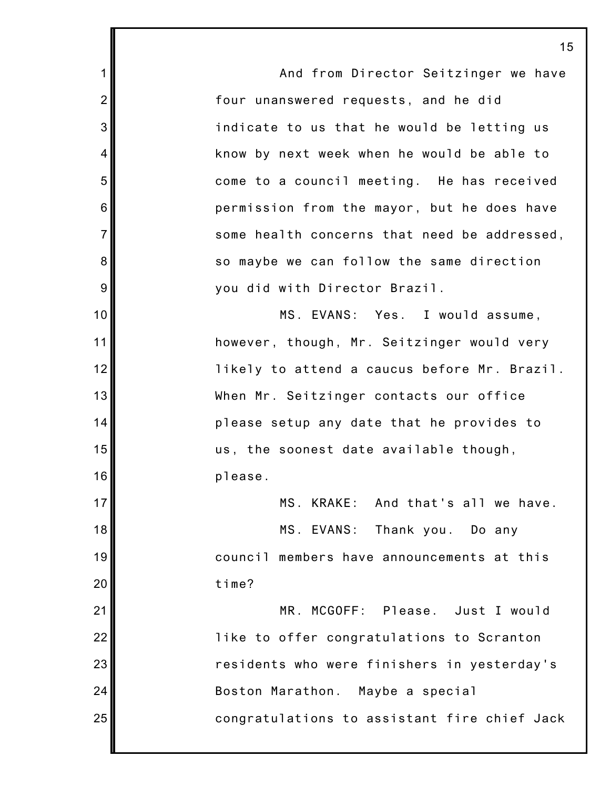And from Director Seitzinger we have four unanswered requests, and he did indicate to us that he would be letting us know by next week when he would be able to come to a council meeting. He has received permission from the mayor, but he does have some health concerns that need be addressed, so maybe we can follow the same direction you did with Director Brazil. MS. EVANS: Yes. I would assume, however, though, Mr. Seitzinger would very likely to attend a caucus before Mr. Brazil. When Mr. Seitzinger contacts our office please setup any date that he provides to us, the soonest date available though, please. MS. KRAKE: And that's all we have. MS. EVANS: Thank you. Do any council members have announcements at this time? MR. MCGOFF: Please. Just I would like to offer congratulations to Scranton residents who were finishers in yesterday's Boston Marathon. Maybe a special congratulations to assistant fire chief Jack

1

2

3

4

5

6

7

8

9

10

11

12

13

14

15

16

17

18

19

20

21

22

23

24

25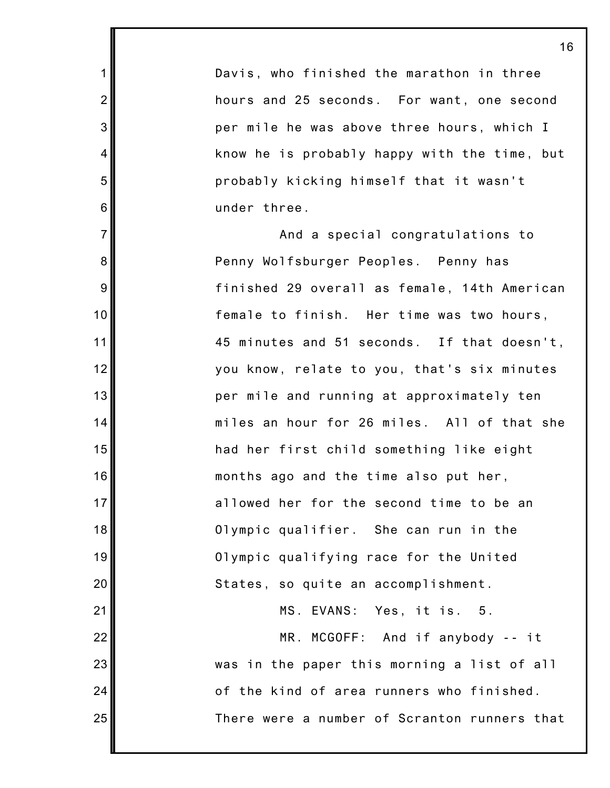Davis, who finished the marathon in three hours and 25 seconds. For want, one second per mile he was above three hours, which I know he is probably happy with the time, but probably kicking himself that it wasn't under three.

1

2

3

4

5

6

7

8

9

10

11

12

13

14

15

16

17

18

19

20

21

22

23

24

25

And a special congratulations to Penny Wolfsburger Peoples. Penny has finished 29 overall as female, 14th American female to finish. Her time was two hours, 45 minutes and 51 seconds. If that doesn't, you know, relate to you, that's six minutes per mile and running at approximately ten miles an hour for 26 miles. All of that she had her first child something like eight months ago and the time also put her, allowed her for the second time to be an Olympic qualifier. She can run in the Olympic qualifying race for the United States, so quite an accomplishment. MS. EVANS: Yes, it is. 5. MR. MCGOFF: And if anybody -- it was in the paper this morning a list of all

> of the kind of area runners who finished. There were a number of Scranton runners that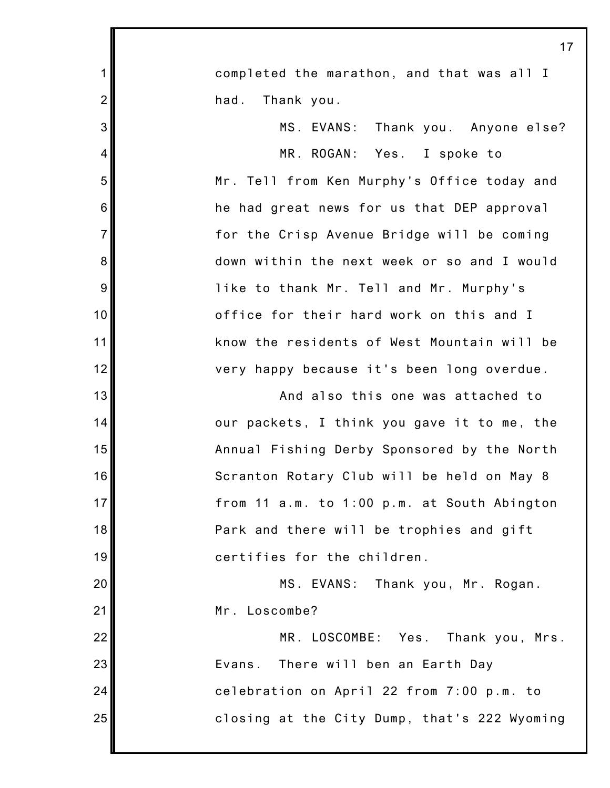|                | 17                                           |
|----------------|----------------------------------------------|
| 1              | completed the marathon, and that was all I   |
| $\overline{2}$ | Thank you.<br>had.                           |
| 3              | MS. EVANS: Thank you. Anyone else?           |
| 4              | MR. ROGAN: Yes. I spoke to                   |
| 5              | Mr. Tell from Ken Murphy's Office today and  |
| 6              | he had great news for us that DEP approval   |
| $\overline{7}$ | for the Crisp Avenue Bridge will be coming   |
| 8              | down within the next week or so and I would  |
| 9              | like to thank Mr. Tell and Mr. Murphy's      |
| 10             | office for their hard work on this and I     |
| 11             | know the residents of West Mountain will be  |
| 12             | very happy because it's been long overdue.   |
| 13             | And also this one was attached to            |
| 14             | our packets, I think you gave it to me, the  |
| 15             | Annual Fishing Derby Sponsored by the North  |
| 16             | Scranton Rotary Club will be held on May 8   |
| 17             | from 11 a.m. to 1:00 p.m. at South Abington  |
| 18             | Park and there will be trophies and gift     |
| 19             | certifies for the children.                  |
| 20             | MS. EVANS:<br>Thank you, Mr. Rogan.          |
| 21             | Mr. Loscombe?                                |
| 22             | MR. LOSCOMBE: Yes. Thank you, Mrs.           |
| 23             | There will ben an Earth Day<br>Evans.        |
| 24             | celebration on April 22 from 7:00 p.m. to    |
| 25             | closing at the City Dump, that's 222 Wyoming |
|                |                                              |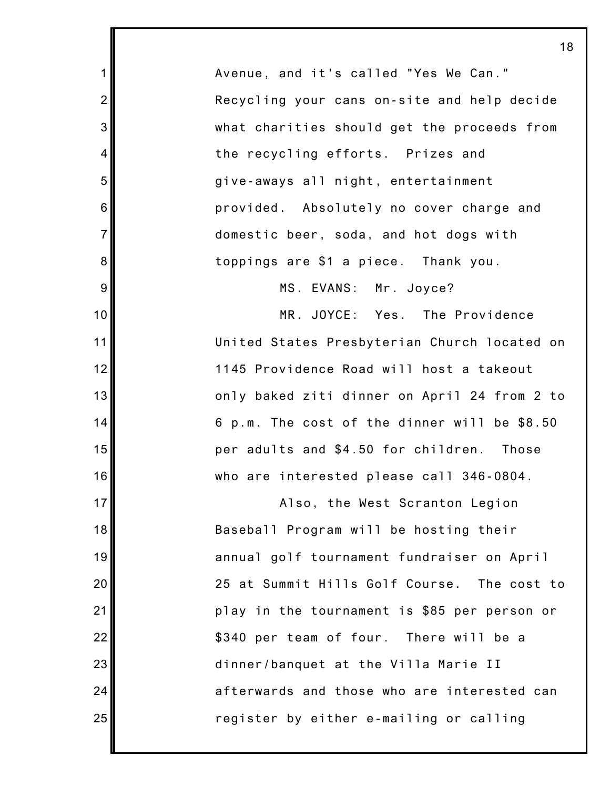Avenue, and it's called "Yes We Can." Recycling your cans on-site and help decide what charities should get the proceeds from the recycling efforts. Prizes and give-aways all night, entertainment provided. Absolutely no cover charge and domestic beer, soda, and hot dogs with toppings are \$1 a piece. Thank you.

1

2

3

4

5

6

7

8

9

10

11

12

13

14

15

16

17

18

19

20

21

22

23

24

25

MS. EVANS: Mr. Joyce?

MR. JOYCE: Yes. The Providence United States Presbyterian Church located on 1145 Providence Road will host a takeout only baked ziti dinner on April 24 from 2 to 6 p.m. The cost of the dinner will be \$8.50 per adults and \$4.50 for children. Those who are interested please call 346-0804.

Also, the West Scranton Legion Baseball Program will be hosting their annual golf tournament fundraiser on April 25 at Summit Hills Golf Course. The cost to play in the tournament is \$85 per person or \$340 per team of four. There will be a dinner/banquet at the Villa Marie II afterwards and those who are interested can register by either e-mailing or calling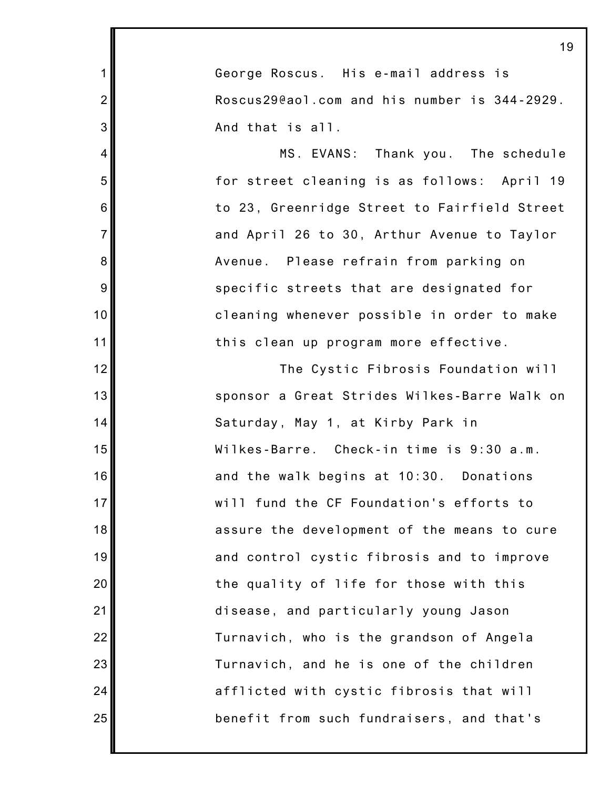| 1                                            |
|----------------------------------------------|
| George Roscus. His e-mail address is         |
| Roscus29@aol.com and his number is 344-2929. |
| And that is all.                             |
| MS. EVANS: Thank you. The schedule           |
| for street cleaning is as follows: April 19  |
| to 23, Greenridge Street to Fairfield Street |
| and April 26 to 30, Arthur Avenue to Taylor  |
| Avenue. Please refrain from parking on       |
| specific streets that are designated for     |
| cleaning whenever possible in order to make  |
| this clean up program more effective.        |
| The Cystic Fibrosis Foundation will          |
| sponsor a Great Strides Wilkes-Barre Walk on |
| Saturday, May 1, at Kirby Park in            |
| Wilkes-Barre. Check-in time is 9:30 a.m.     |
| and the walk begins at 10:30. Donations      |
| will fund the CF Foundation's efforts to     |
| assure the development of the means to cure  |
| and control cystic fibrosis and to improve   |
| the quality of life for those with this      |
| disease, and particularly young Jason        |
| Turnavich, who is the grandson of Angela     |
| Turnavich, and he is one of the children     |
| afflicted with cystic fibrosis that will     |

1

2

3

4

5

6

7

8

9

10

11

12

13

14

15

16

17

18

19

20

21

22

23

24

25

benefit from such fundraisers, and that's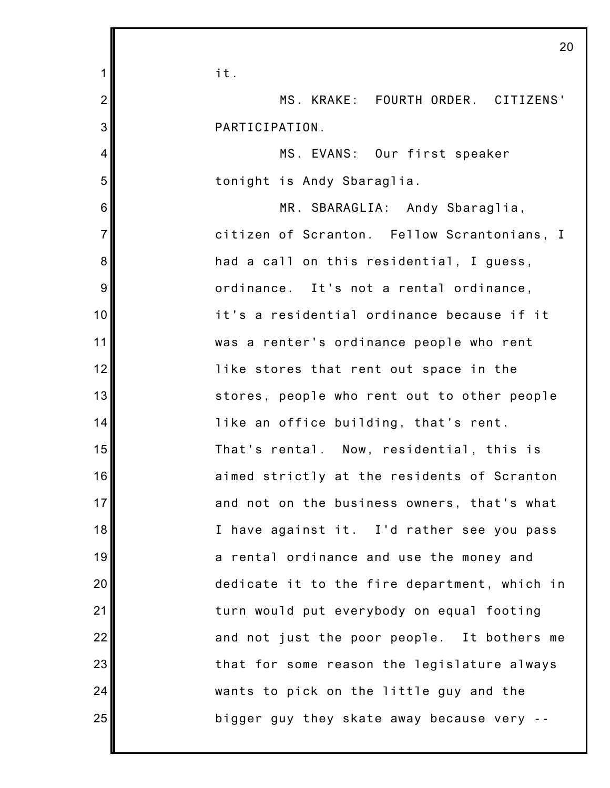| 1               | it.                                          |  |
|-----------------|----------------------------------------------|--|
| $\overline{2}$  | MS. KRAKE: FOURTH ORDER. CITIZENS'           |  |
| 3               | PARTICIPATION.                               |  |
| 4               | MS. EVANS: Our first speaker                 |  |
| 5               | tonight is Andy Sbaraglia.                   |  |
| $6\phantom{1}6$ | MR. SBARAGLIA: Andy Sbaraglia,               |  |
| $\overline{7}$  | citizen of Scranton. Fellow Scrantonians, I  |  |
| 8               | had a call on this residential, I guess,     |  |
| 9               | ordinance. It's not a rental ordinance,      |  |
| 10              | it's a residential ordinance because if it   |  |
| 11              | was a renter's ordinance people who rent     |  |
| 12              | like stores that rent out space in the       |  |
| 13              | stores, people who rent out to other people  |  |
| 14              | like an office building, that's rent.        |  |
| 15              | That's rental. Now, residential, this is     |  |
| 16              | aimed strictly at the residents of Scranton  |  |
| 17              | and not on the business owners, that's what  |  |
| 18              | I have against it. I'd rather see you pass   |  |
| 19              | a rental ordinance and use the money and     |  |
| 20              | dedicate it to the fire department, which in |  |
| 21              | turn would put everybody on equal footing    |  |
| 22              | and not just the poor people. It bothers me  |  |
| 23              | that for some reason the legislature always  |  |
| 24              | wants to pick on the little guy and the      |  |
| 25              | bigger guy they skate away because very --   |  |
|                 |                                              |  |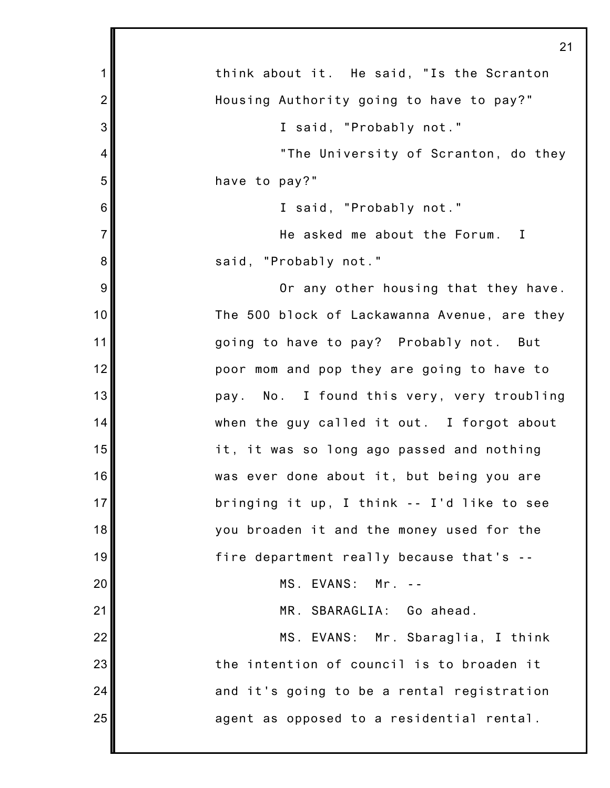|                | 21                                           |
|----------------|----------------------------------------------|
| 1              | think about it. He said, "Is the Scranton    |
| $\overline{2}$ | Housing Authority going to have to pay?"     |
| 3              | I said, "Probably not."                      |
| 4              | "The University of Scranton, do they         |
| 5              | have to pay?"                                |
| 6              | I said, "Probably not."                      |
| $\overline{7}$ | He asked me about the Forum. I               |
| 8              | said, "Probably not."                        |
| 9              | Or any other housing that they have.         |
| 10             | The 500 block of Lackawanna Avenue, are they |
| 11             | going to have to pay? Probably not. But      |
| 12             | poor mom and pop they are going to have to   |
| 13             | pay. No. I found this very, very troubling   |
| 14             | when the guy called it out. I forgot about   |
| 15             | it, it was so long ago passed and nothing    |
| 16             | was ever done about it, but being you are    |
| 17             | bringing it up, I think -- I'd like to see   |
| 18             | you broaden it and the money used for the    |
| 19             | fire department really because that's --     |
| 20             | MS. EVANS: Mr.                               |
| 21             | MR. SBARAGLIA: Go ahead.                     |
| 22             | MS. EVANS: Mr. Sbaraglia, I think            |
| 23             | the intention of council is to broaden it    |
| 24             | and it's going to be a rental registration   |
| 25             | agent as opposed to a residential rental.    |
|                |                                              |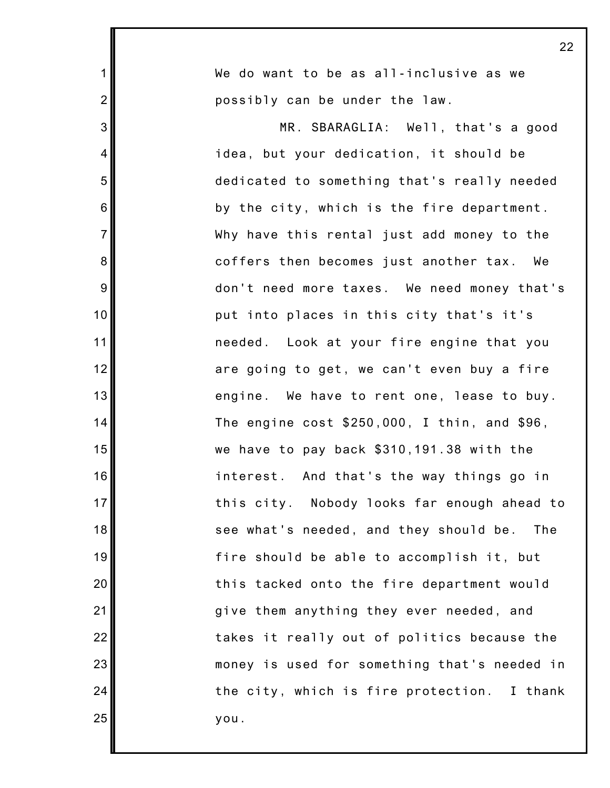|                | 22                                             |
|----------------|------------------------------------------------|
| $\mathbf 1$    | We do want to be as all-inclusive as we        |
| $\overline{2}$ | possibly can be under the law.                 |
| 3              | MR. SBARAGLIA: Well, that's a good             |
| 4              | idea, but your dedication, it should be        |
| 5              | dedicated to something that's really needed    |
| 6              | by the city, which is the fire department.     |
| $\overline{7}$ | Why have this rental just add money to the     |
| 8              | coffers then becomes just another tax. We      |
| $9\,$          | don't need more taxes. We need money that's    |
| 10             | put into places in this city that's it's       |
| 11             | needed. Look at your fire engine that you      |
| 12             | are going to get, we can't even buy a fire     |
| 13             | engine. We have to rent one, lease to buy.     |
| 14             | The engine $cost$ \$250,000, I thin, and \$96, |
| 15             | we have to pay back \$310,191.38 with the      |
| 16             | interest. And that's the way things go in      |
| 17             | this city. Nobody looks far enough ahead to    |
| 18             | see what's needed, and they should be. The     |
| 19             | fire should be able to accomplish it, but      |
| 20             | this tacked onto the fire department would     |
| 21             | give them anything they ever needed, and       |
| 22             | takes it really out of politics because the    |
| 23             | money is used for something that's needed in   |
| 24             | the city, which is fire protection. I thank    |
| 25             | you.                                           |

Ι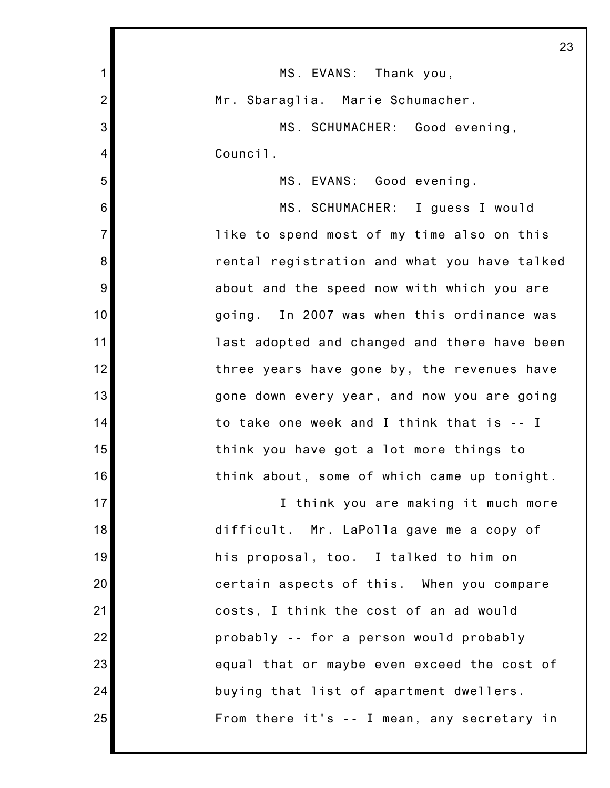|                | 23                                           |
|----------------|----------------------------------------------|
| $\mathbf 1$    | MS. EVANS: Thank you,                        |
| $\overline{2}$ | Mr. Sbaraglia. Marie Schumacher.             |
| 3              | MS. SCHUMACHER: Good evening,                |
| 4              | Council.                                     |
| 5              | MS. EVANS: Good evening.                     |
| 6              | MS. SCHUMACHER: I guess I would              |
| $\overline{7}$ | like to spend most of my time also on this   |
| 8              | rental registration and what you have talked |
| 9              | about and the speed now with which you are   |
| 10             | going. In 2007 was when this ordinance was   |
| 11             | last adopted and changed and there have been |
| 12             | three years have gone by, the revenues have  |
| 13             | gone down every year, and now you are going  |
| 14             | to take one week and I think that is -- I    |
| 15             | think you have got a lot more things to      |
| 16             | think about, some of which came up tonight.  |
| 17             | I think you are making it much more          |
| 18             | difficult. Mr. LaPolla gave me a copy of     |
| 19             | his proposal, too. I talked to him on        |
| 20             | certain aspects of this. When you compare    |
| 21             | costs, I think the cost of an ad would       |
| 22             | probably -- for a person would probably      |
| 23             | equal that or maybe even exceed the cost of  |
| 24             | buying that list of apartment dwellers.      |
| 25             | From there it's -- I mean, any secretary in  |
|                |                                              |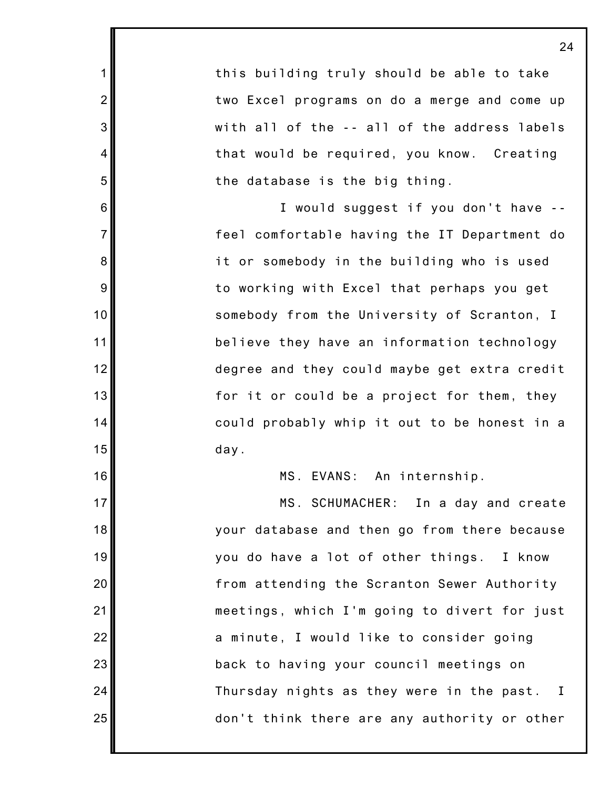this building truly should be able to take two Excel programs on do a merge and come up with all of the -- all of the address labels that would be required, you know. Creating the database is the big thing.

1

2

3

4

5

6

7

8

9

10

11

12

13

14

15

16

17

18

19

20

21

22

23

24

25

I would suggest if you don't have - feel comfortable having the IT Department do it or somebody in the building who is used to working with Excel that perhaps you get somebody from the University of Scranton, I believe they have an information technology degree and they could maybe get extra credit for it or could be a project for them, they could probably whip it out to be honest in a day.

MS. EVANS: An internship.

MS. SCHUMACHER: In a day and create your database and then go from there because you do have a lot of other things. I know from attending the Scranton Sewer Authority meetings, which I'm going to divert for just a minute, I would like to consider going back to having your council meetings on Thursday nights as they were in the past. I don't think there are any authority or other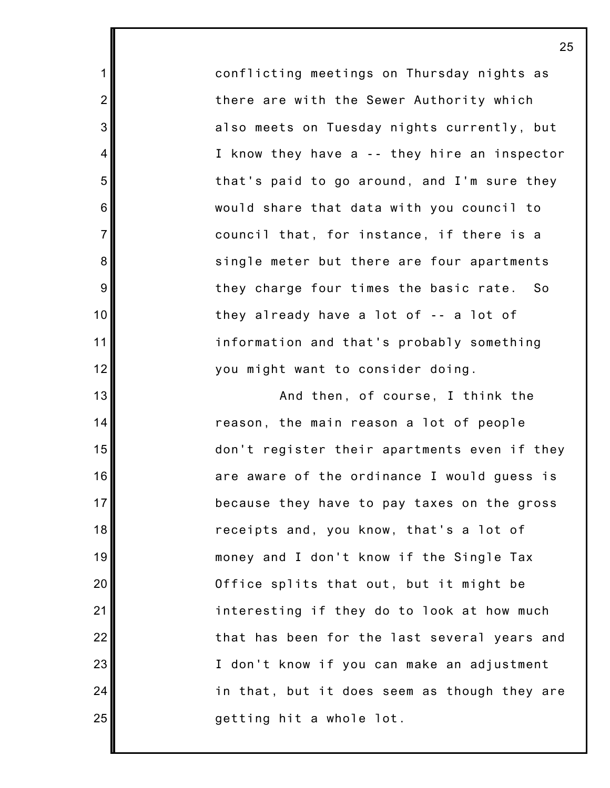conflicting meetings on Thursday nights as there are with the Sewer Authority which also meets on Tuesday nights currently, but I know they have a -- they hire an inspector that's paid to go around, and I'm sure they would share that data with you council to council that, for instance, if there is a single meter but there are four apartments they charge four times the basic rate. So they already have a lot of -- a lot of information and that's probably something you might want to consider doing.

1

2

3

4

5

6

7

8

9

10

11

12

13

14

15

16

17

18

19

20

21

22

23

24

25

And then, of course, I think the reason, the main reason a lot of people don't register their apartments even if they are aware of the ordinance I would guess is because they have to pay taxes on the gross receipts and, you know, that's a lot of money and I don't know if the Single Tax Office splits that out, but it might be interesting if they do to look at how much that has been for the last several years and I don't know if you can make an adjustment in that, but it does seem as though they are getting hit a whole lot.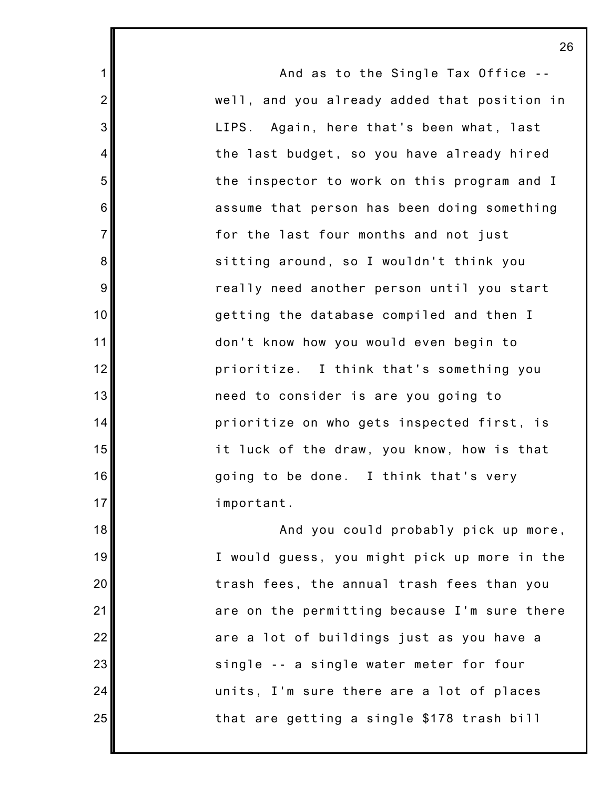And as to the Single Tax Office - well, and you already added that position in LIPS. Again, here that's been what, last the last budget, so you have already hired the inspector to work on this program and I assume that person has been doing something for the last four months and not just sitting around, so I wouldn't think you really need another person until you start getting the database compiled and then I don't know how you would even begin to prioritize. I think that's something you need to consider is are you going to prioritize on who gets inspected first, is it luck of the draw, you know, how is that going to be done. I think that's very important. And you could probably pick up more, I would guess, you might pick up more in the trash fees, the annual trash fees than you are on the permitting because I'm sure there are a lot of buildings just as you have a single -- a single water meter for four

1

2

3

4

5

6

7

8

9

10

11

12

13

14

15

16

17

18

19

20

21

22

23

24

25

that are getting a single \$178 trash bill

units, I'm sure there are a lot of places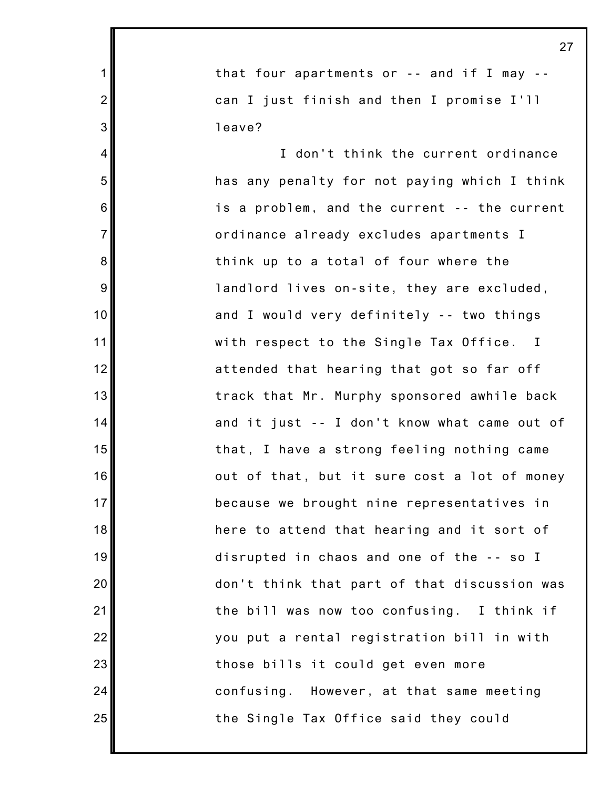that four apartments or -- and if I may - can I just finish and then I promise I'll leave?

1

2

3

4

5

6

7

8

9

10

11

12

13

14

15

16

17

18

19

20

21

22

23

24

25

I don't think the current ordinance has any penalty for not paying which I think is a problem, and the current -- the current ordinance already excludes apartments I think up to a total of four where the landlord lives on-site, they are excluded, and I would very definitely -- two things with respect to the Single Tax Office. I attended that hearing that got so far off track that Mr. Murphy sponsored awhile back and it just -- I don't know what came out of that, I have a strong feeling nothing came out of that, but it sure cost a lot of money because we brought nine representatives in here to attend that hearing and it sort of disrupted in chaos and one of the -- so I don't think that part of that discussion was the bill was now too confusing. I think if you put a rental registration bill in with those bills it could get even more confusing. However, at that same meeting the Single Tax Office said they could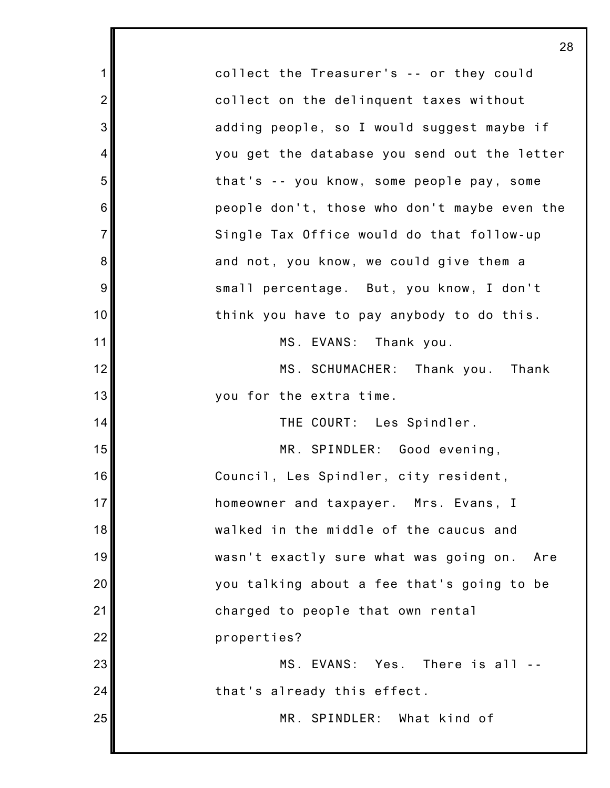|                | 28                                            |
|----------------|-----------------------------------------------|
| 1              | collect the Treasurer's -- or they could      |
| $\overline{2}$ | collect on the delinquent taxes without       |
| 3              | adding people, so I would suggest maybe if    |
| 4              | you get the database you send out the letter  |
| 5              | that's -- you know, some people pay, some     |
| 6              | people don't, those who don't maybe even the  |
| $\overline{7}$ | Single Tax Office would do that follow-up     |
| 8              | and not, you know, we could give them a       |
| 9              | small percentage. But, you know, I don't      |
| 10             | think you have to pay anybody to do this.     |
| 11             | MS. EVANS: Thank you.                         |
| 12             | MS. SCHUMACHER: Thank you. Thank              |
| 13             | you for the extra time.                       |
| 14             | THE COURT: Les Spindler.                      |
| 15             | MR. SPINDLER: Good evening,                   |
| 16             | Council, Les Spindler, city resident,         |
| 17             | homeowner and taxpayer. Mrs. Evans, I         |
| 18             | walked in the middle of the caucus and        |
| 19             | wasn't exactly sure what was going on.<br>Are |
| 20             | you talking about a fee that's going to be    |
| 21             | charged to people that own rental             |
| 22             | properties?                                   |
| 23             | MS. EVANS: Yes. There is all --               |
| 24             | that's already this effect.                   |
| 25             | MR. SPINDLER: What kind of                    |
|                |                                               |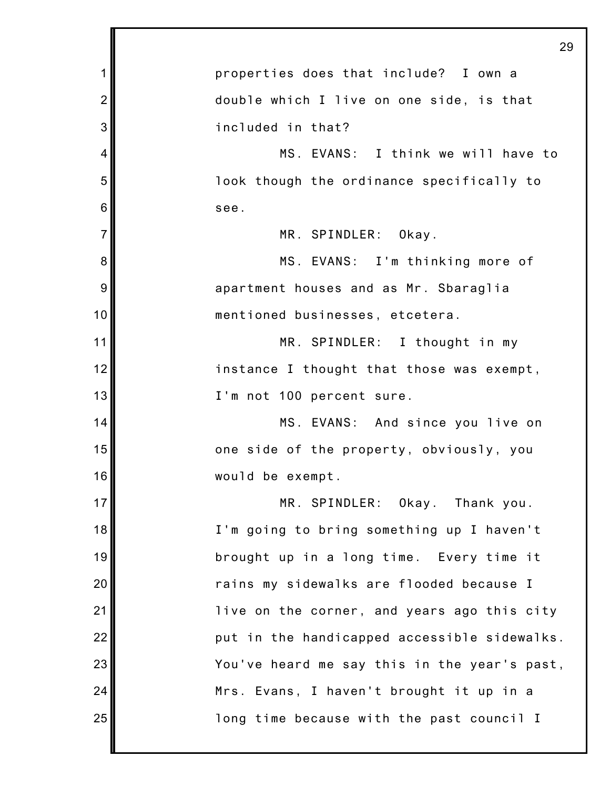|                | 29                                           |
|----------------|----------------------------------------------|
| 1              | properties does that include? I own a        |
| $\overline{2}$ | double which I live on one side, is that     |
| 3              | included in that?                            |
| 4              | MS. EVANS: I think we will have to           |
| 5              | look though the ordinance specifically to    |
| 6              | see.                                         |
| $\overline{7}$ | MR. SPINDLER: Okay.                          |
| 8              | MS. EVANS: I'm thinking more of              |
| 9              | apartment houses and as Mr. Sbaraglia        |
| 10             | mentioned businesses, etcetera.              |
| 11             | MR. SPINDLER: I thought in my                |
| 12             | instance I thought that those was exempt,    |
| 13             | I'm not 100 percent sure.                    |
| 14             | MS. EVANS: And since you live on             |
| 15             | one side of the property, obviously, you     |
| 16             | would be exempt.                             |
| 17             | MR. SPINDLER: Okay. Thank you.               |
| 18             | I'm going to bring something up I haven't    |
| 19             | brought up in a long time. Every time it     |
| 20             | rains my sidewalks are flooded because I     |
| 21             | live on the corner, and years ago this city  |
| 22             | put in the handicapped accessible sidewalks. |
| 23             | You've heard me say this in the year's past, |
| 24             | Mrs. Evans, I haven't brought it up in a     |
| 25             | long time because with the past council I    |
|                |                                              |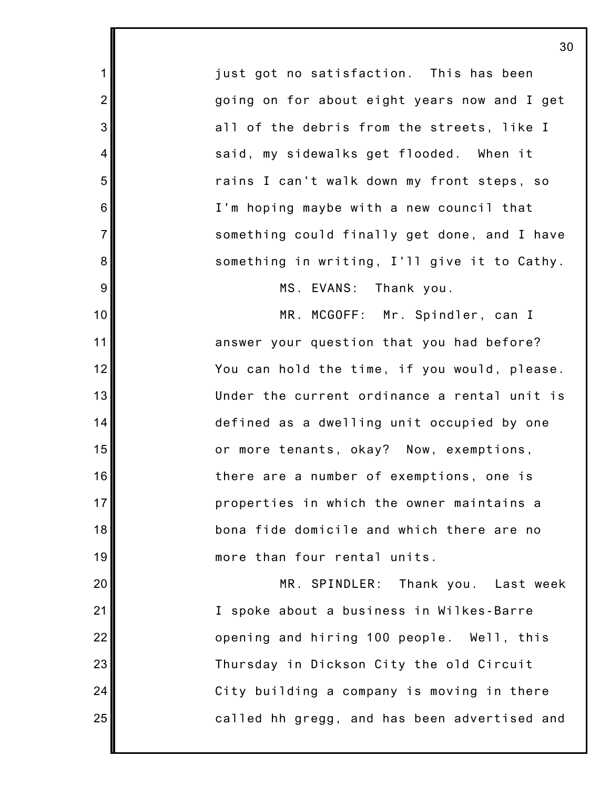just got no satisfaction. This has been going on for about eight years now and I get all of the debris from the streets, like I said, my sidewalks get flooded. When it rains I can't walk down my front steps, so I'm hoping maybe with a new council that something could finally get done, and I have something in writing, I'll give it to Cathy.

1

2

3

4

5

6

7

8

9

10

11

12

13

14

15

16

17

18

19

20

21

22

23

24

25

MS. EVANS: Thank you.

MR. MCGOFF: Mr. Spindler, can I answer your question that you had before? You can hold the time, if you would, please. Under the current ordinance a rental unit is defined as a dwelling unit occupied by one or more tenants, okay? Now, exemptions, there are a number of exemptions, one is properties in which the owner maintains a bona fide domicile and which there are no more than four rental units.

MR. SPINDLER: Thank you. Last week I spoke about a business in Wilkes-Barre opening and hiring 100 people. Well, this Thursday in Dickson City the old Circuit City building a company is moving in there called hh gregg, and has been advertised and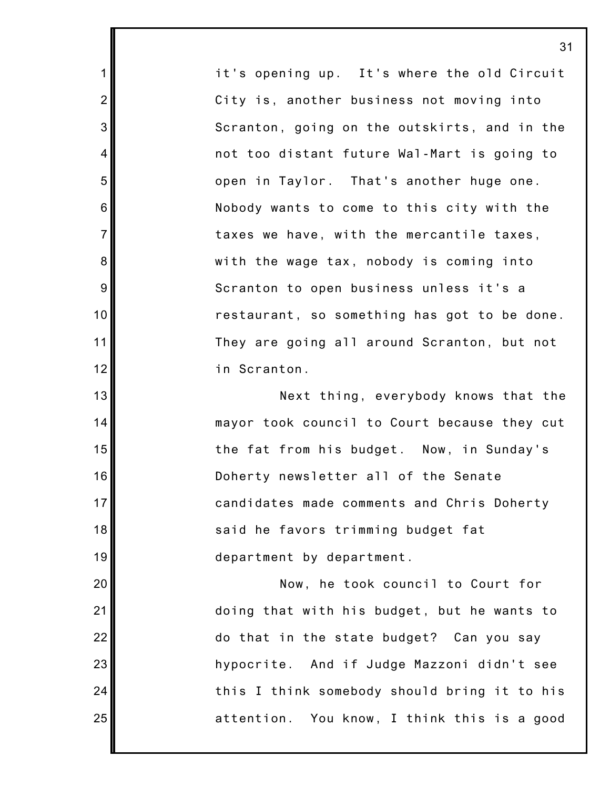it's opening up. It's where the old Circuit City is, another business not moving into Scranton, going on the outskirts, and in the not too distant future Wal-Mart is going to open in Taylor. That's another huge one. Nobody wants to come to this city with the taxes we have, with the mercantile taxes, with the wage tax, nobody is coming into Scranton to open business unless it's a restaurant, so something has got to be done. They are going all around Scranton, but not in Scranton.

1

2

3

4

5

6

7

8

9

10

11

12

13

14

15

16

17

18

19

20

21

22

23

24

25

Next thing, everybody knows that the mayor took council to Court because they cut the fat from his budget. Now, in Sunday's Doherty newsletter all of the Senate candidates made comments and Chris Doherty said he favors trimming budget fat department by department.

Now, he took council to Court for doing that with his budget, but he wants to do that in the state budget? Can you say hypocrite. And if Judge Mazzoni didn't see this I think somebody should bring it to his attention. You know, I think this is a good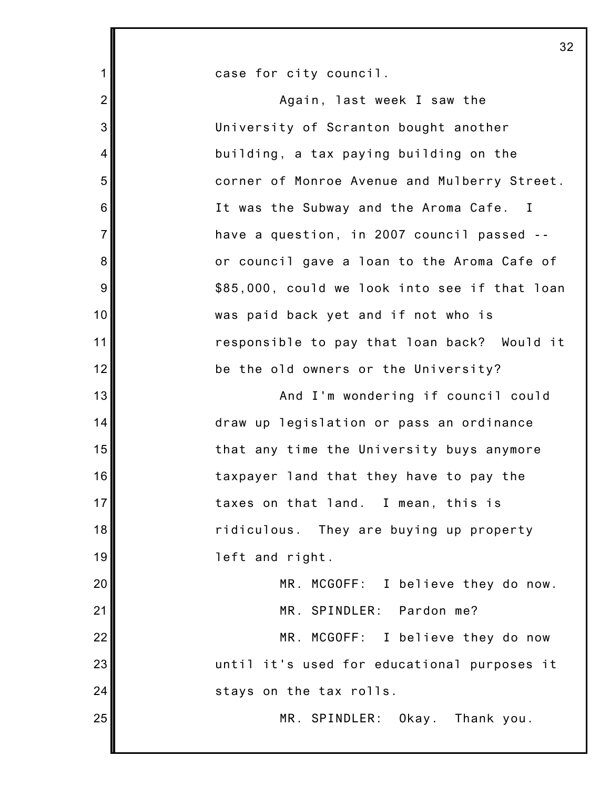case for city council.

1

2 3 4 5 6 7 8 9 10 11 12 13 14 15 16 17 18 19 20 21 22 23 24 25 Again, last week I saw the University of Scranton bought another building, a tax paying building on the corner of Monroe Avenue and Mulberry Street. It was the Subway and the Aroma Cafe. I have a question, in 2007 council passed - or council gave a loan to the Aroma Cafe of \$85,000, could we look into see if that loan was paid back yet and if not who is responsible to pay that loan back? Would it be the old owners or the University? And I'm wondering if council could draw up legislation or pass an ordinance that any time the University buys anymore taxpayer land that they have to pay the taxes on that land. I mean, this is ridiculous. They are buying up property left and right. MR. MCGOFF: I believe they do now. MR. SPINDLER: Pardon me? MR. MCGOFF: I believe they do now until it's used for educational purposes it stays on the tax rolls. MR. SPINDLER: Okay. Thank you.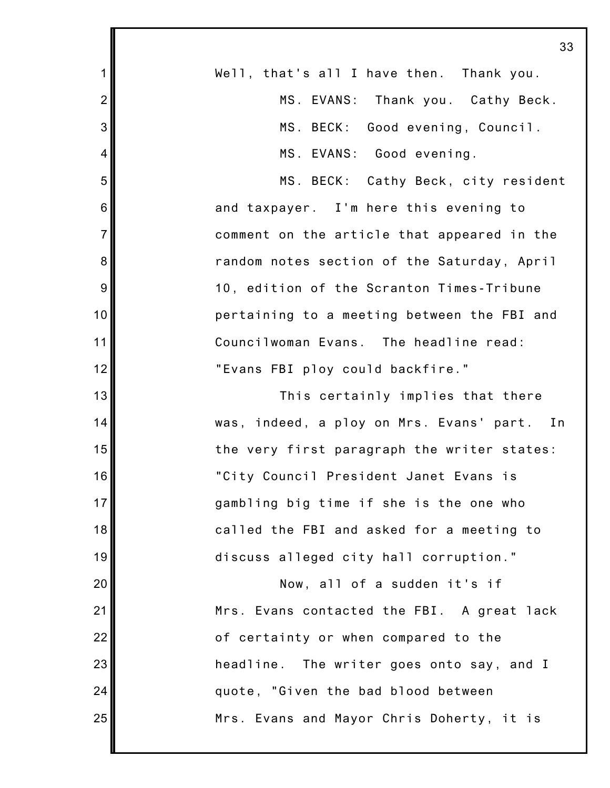|                 | J۰                                          |
|-----------------|---------------------------------------------|
| $\mathbf 1$     | Well, that's all I have then. Thank you.    |
| $\overline{2}$  | MS. EVANS: Thank you. Cathy Beck.           |
| 3               | MS. BECK: Good evening, Council.            |
| $\overline{4}$  | MS. EVANS: Good evening.                    |
| 5               | MS. BECK: Cathy Beck, city resident         |
| $6\phantom{1}6$ | and taxpayer. I'm here this evening to      |
| $\overline{7}$  | comment on the article that appeared in the |
| 8               | random notes section of the Saturday, April |
| 9               | 10, edition of the Scranton Times-Tribune   |
| 10              | pertaining to a meeting between the FBI and |
| 11              | Councilwoman Evans. The headline read:      |
| 12              | "Evans FBI ploy could backfire."            |
| 13              | This certainly implies that there           |
| 14              | was, indeed, a ploy on Mrs. Evans' part. In |
| 15              | the very first paragraph the writer states: |
| 16              | "City Council President Janet Evans is      |
| 17              | gambling big time if she is the one who     |
| 18              | called the FBI and asked for a meeting to   |
| 19              | discuss alleged city hall corruption."      |
| 20              | Now, all of a sudden it's if                |
| 21              | Mrs. Evans contacted the FBI. A great lack  |
| 22              | of certainty or when compared to the        |
| 23              | headline. The writer goes onto say, and I   |
| 24              | quote, "Given the bad blood between         |
| 25              | Mrs. Evans and Mayor Chris Doherty, it is   |
|                 |                                             |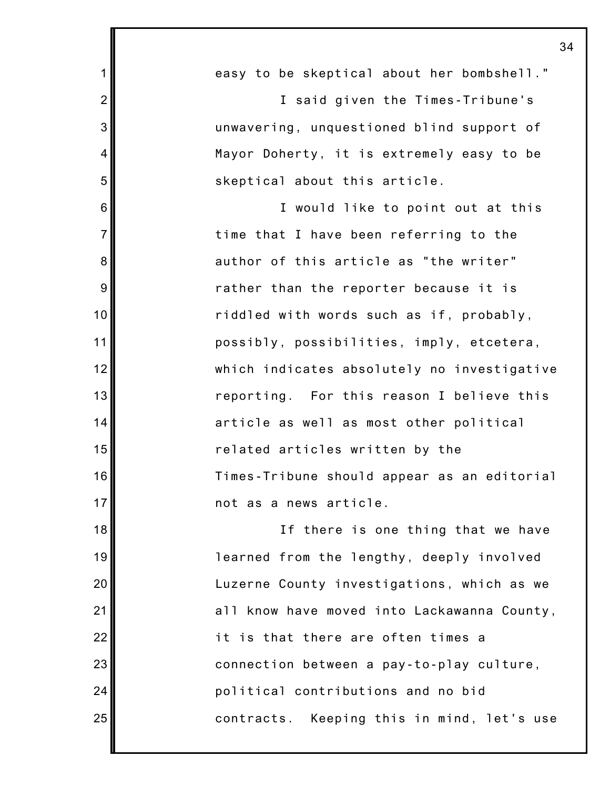|                | 34                                          |
|----------------|---------------------------------------------|
| 1              | easy to be skeptical about her bombshell."  |
| $\overline{2}$ | I said given the Times-Tribune's            |
| 3              | unwavering, unquestioned blind support of   |
| $\overline{4}$ | Mayor Doherty, it is extremely easy to be   |
| 5              | skeptical about this article.               |
| 6              | I would like to point out at this           |
| $\overline{7}$ | time that I have been referring to the      |
| 8              | author of this article as "the writer"      |
| 9              | rather than the reporter because it is      |
| 10             | riddled with words such as if, probably,    |
| 11             | possibly, possibilities, imply, etcetera,   |
| 12             | which indicates absolutely no investigative |
| 13             | reporting. For this reason I believe this   |
| 14             | article as well as most other political     |
| 15             | related articles written by the             |
| 16             | Times-Tribune should appear as an editorial |
| 17             | not as a news article.                      |
| 18             | If there is one thing that we have          |
| 19             | learned from the lengthy, deeply involved   |
| 20             | Luzerne County investigations, which as we  |
| 21             | all know have moved into Lackawanna County, |
| 22             | it is that there are often times a          |
| 23             | connection between a pay-to-play culture,   |
| 24             | political contributions and no bid          |
| 25             | contracts. Keeping this in mind, let's use  |
|                |                                             |

Π

I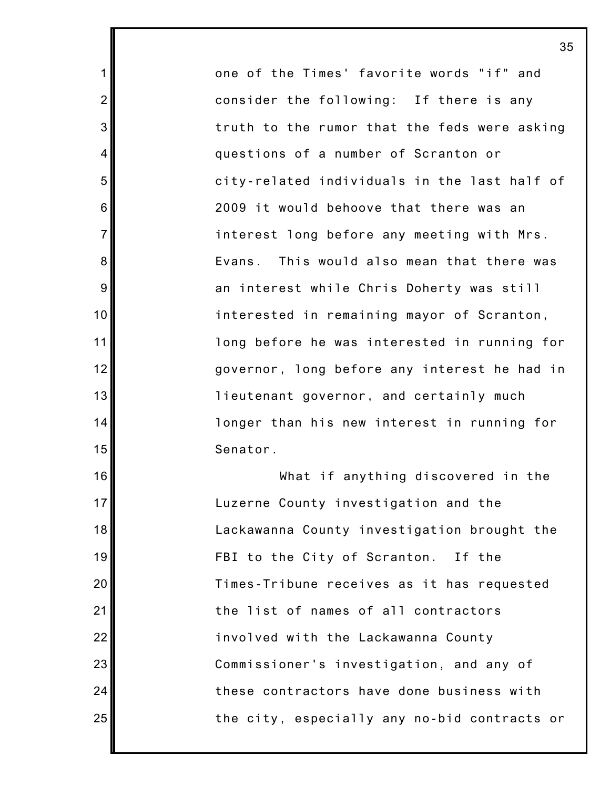one of the Times' favorite words "if" and consider the following: If there is any truth to the rumor that the feds were asking questions of a number of Scranton or city-related individuals in the last half of 2009 it would behoove that there was an interest long before any meeting with Mrs. Evans. This would also mean that there was an interest while Chris Doherty was still interested in remaining mayor of Scranton, long before he was interested in running for governor, long before any interest he had in lieutenant governor, and certainly much longer than his new interest in running for Senator.

1

2

3

4

5

6

7

8

9

10

11

12

13

14

15

16

17

18

19

20

21

22

23

24

25

What if anything discovered in the Luzerne County investigation and the Lackawanna County investigation brought the FBI to the City of Scranton. If the Times-Tribune receives as it has requested the list of names of all contractors involved with the Lackawanna County Commissioner's investigation, and any of these contractors have done business with the city, especially any no-bid contracts or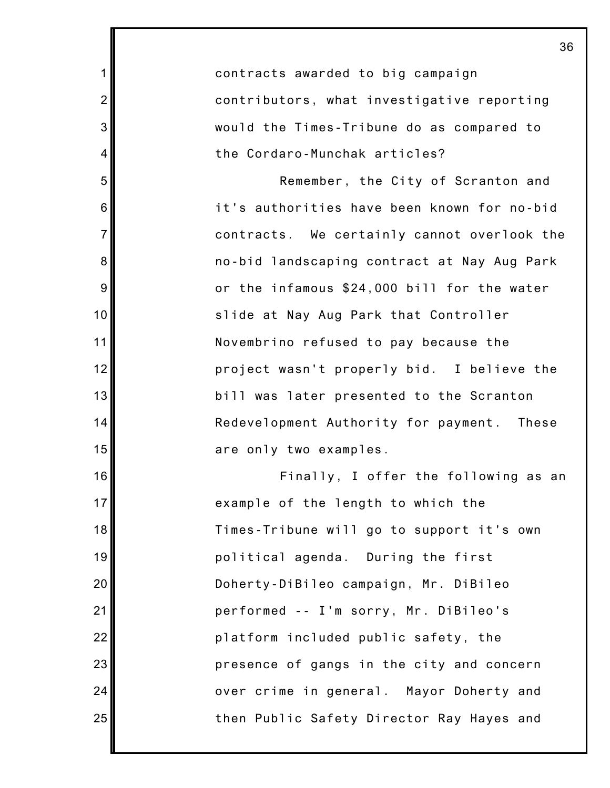1 2 3 4 5 6 7 8 9 10 11 12 13 14 15 16 17 18 19 20 21 22 23 24 25 contracts awarded to big campaign contributors, what investigative reporting would the Times-Tribune do as compared to the Cordaro-Munchak articles? Remember, the City of Scranton and it's authorities have been known for no-bid contracts. We certainly cannot overlook the no-bid landscaping contract at Nay Aug Park or the infamous \$24,000 bill for the water slide at Nay Aug Park that Controller Novembrino refused to pay because the project wasn't properly bid. I believe the bill was later presented to the Scranton Redevelopment Authority for payment. These are only two examples. Finally, I offer the following as an example of the length to which the Times-Tribune will go to support it's own political agenda. During the first Doherty-DiBileo campaign, Mr. DiBileo performed -- I'm sorry, Mr. DiBileo's platform included public safety, the presence of gangs in the city and concern over crime in general. Mayor Doherty and then Public Safety Director Ray Hayes and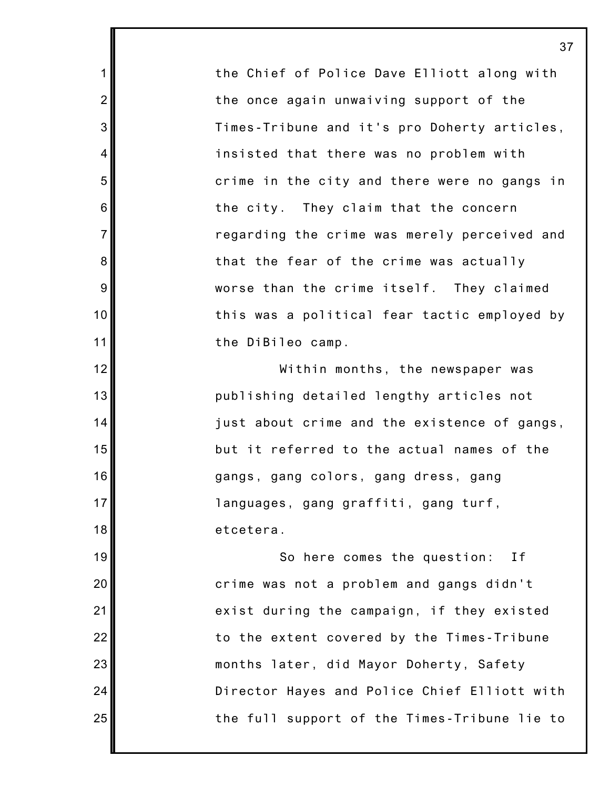the Chief of Police Dave Elliott along with the once again unwaiving support of the Times-Tribune and it's pro Doherty articles, insisted that there was no problem with crime in the city and there were no gangs in the city. They claim that the concern regarding the crime was merely perceived and that the fear of the crime was actually worse than the crime itself. They claimed this was a political fear tactic employed by the DiBileo camp.

1

2

3

4

5

6

7

8

9

10

11

12

13

14

15

16

17

18

19

20

21

22

23

24

25

Within months, the newspaper was publishing detailed lengthy articles not just about crime and the existence of gangs, but it referred to the actual names of the gangs, gang colors, gang dress, gang languages, gang graffiti, gang turf, etcetera.

So here comes the question: If crime was not a problem and gangs didn't exist during the campaign, if they existed to the extent covered by the Times-Tribune months later, did Mayor Doherty, Safety Director Hayes and Police Chief Elliott with the full support of the Times-Tribune lie to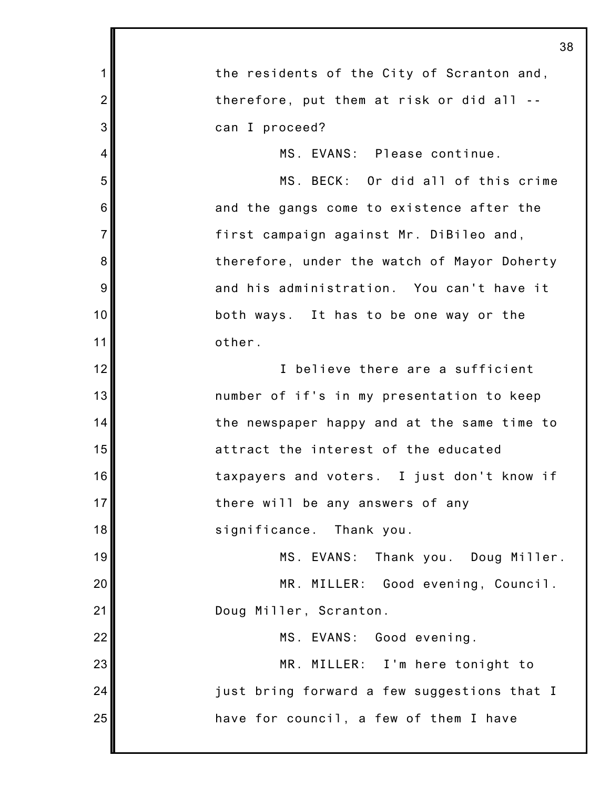|                | 38                                          |
|----------------|---------------------------------------------|
| $\mathbf 1$    | the residents of the City of Scranton and,  |
| $\overline{2}$ | therefore, put them at risk or did all --   |
| 3              | can I proceed?                              |
| $\overline{4}$ | MS. EVANS: Please continue.                 |
| 5              | MS. BECK: Or did all of this crime          |
| 6              | and the gangs come to existence after the   |
| $\overline{7}$ | first campaign against Mr. DiBileo and,     |
| 8              | therefore, under the watch of Mayor Doherty |
| $9\,$          | and his administration. You can't have it   |
| 10             | both ways. It has to be one way or the      |
| 11             | other.                                      |
| 12             | I believe there are a sufficient            |
| 13             | number of if's in my presentation to keep   |
| 14             | the newspaper happy and at the same time to |
| 15             | attract the interest of the educated        |
| 16             | taxpayers and voters. I just don't know if  |
| 17             | there will be any answers of any            |
| 18             | significance. Thank you.                    |
| 19             | MS EVANS:<br>Thank you. Doug Miller.        |
| 20             | MR. MILLER: Good evening, Council.          |
| 21             | Doug Miller, Scranton.                      |
| 22             | MS. EVANS: Good evening.                    |
| 23             | MR. MILLER: I'm here tonight to             |
| 24             | just bring forward a few suggestions that I |
| 25             | have for council, a few of them I have      |
|                |                                             |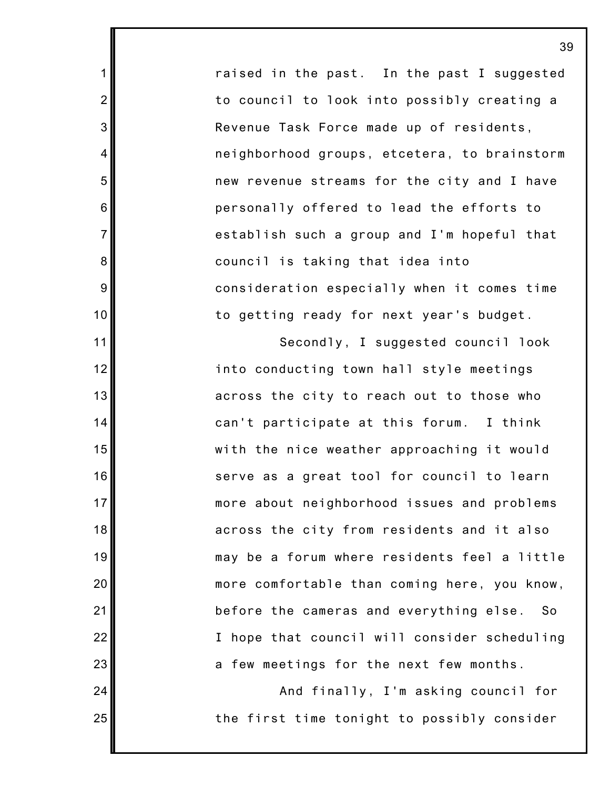raised in the past. In the past I suggested to council to look into possibly creating a Revenue Task Force made up of residents, neighborhood groups, etcetera, to brainstorm new revenue streams for the city and I have personally offered to lead the efforts to establish such a group and I'm hopeful that council is taking that idea into consideration especially when it comes time to getting ready for next year's budget.

1

2

3

4

5

6

7

8

9

10

11

12

13

14

15

16

17

18

19

20

21

22

23

24

25

Secondly, I suggested council look into conducting town hall style meetings across the city to reach out to those who can't participate at this forum. I think with the nice weather approaching it would serve as a great tool for council to learn more about neighborhood issues and problems across the city from residents and it also may be a forum where residents feel a little more comfortable than coming here, you know, before the cameras and everything else. So I hope that council will consider scheduling a few meetings for the next few months.

And finally, I'm asking council for the first time tonight to possibly consider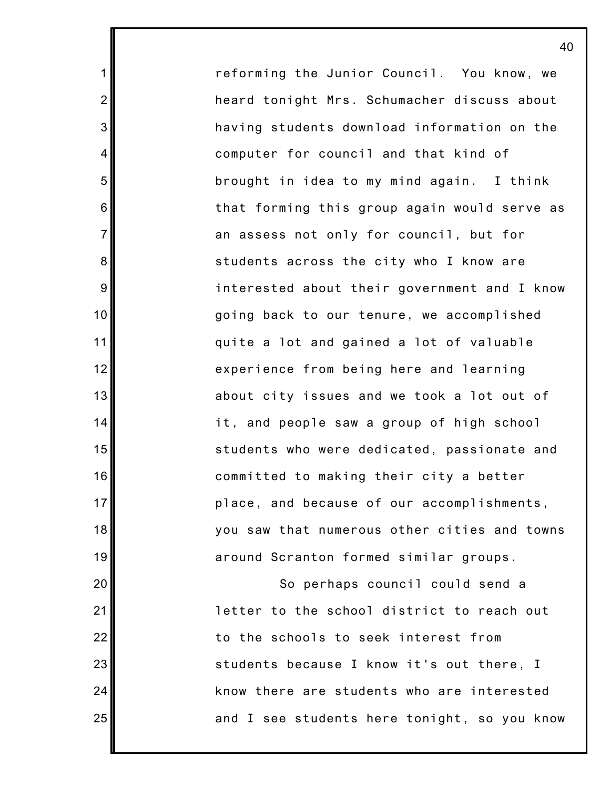reforming the Junior Council. You know, we heard tonight Mrs. Schumacher discuss about having students download information on the computer for council and that kind of brought in idea to my mind again. I think that forming this group again would serve as an assess not only for council, but for students across the city who I know are interested about their government and I know going back to our tenure, we accomplished quite a lot and gained a lot of valuable experience from being here and learning about city issues and we took a lot out of it, and people saw a group of high school students who were dedicated, passionate and committed to making their city a better place, and because of our accomplishments, you saw that numerous other cities and towns around Scranton formed similar groups.

1

2

3

4

5

6

7

8

9

10

11

12

13

14

15

16

17

18

19

20

21

22

23

24

25

So perhaps council could send a letter to the school district to reach out to the schools to seek interest from students because I know it's out there, I know there are students who are interested and I see students here tonight, so you know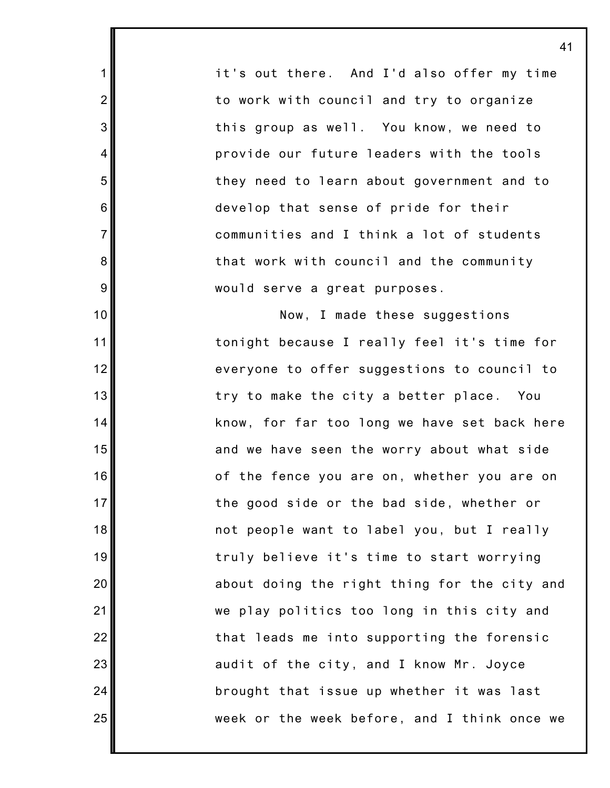it's out there. And I'd also offer my time to work with council and try to organize this group as well. You know, we need to provide our future leaders with the tools they need to learn about government and to develop that sense of pride for their communities and I think a lot of students that work with council and the community would serve a great purposes.

1

2

3

4

5

6

7

8

9

10

11

12

13

14

15

16

17

18

19

20

21

22

23

24

25

Now, I made these suggestions tonight because I really feel it's time for everyone to offer suggestions to council to try to make the city a better place. You know, for far too long we have set back here and we have seen the worry about what side of the fence you are on, whether you are on the good side or the bad side, whether or not people want to label you, but I really truly believe it's time to start worrying about doing the right thing for the city and we play politics too long in this city and that leads me into supporting the forensic audit of the city, and I know Mr. Joyce brought that issue up whether it was last week or the week before, and I think once we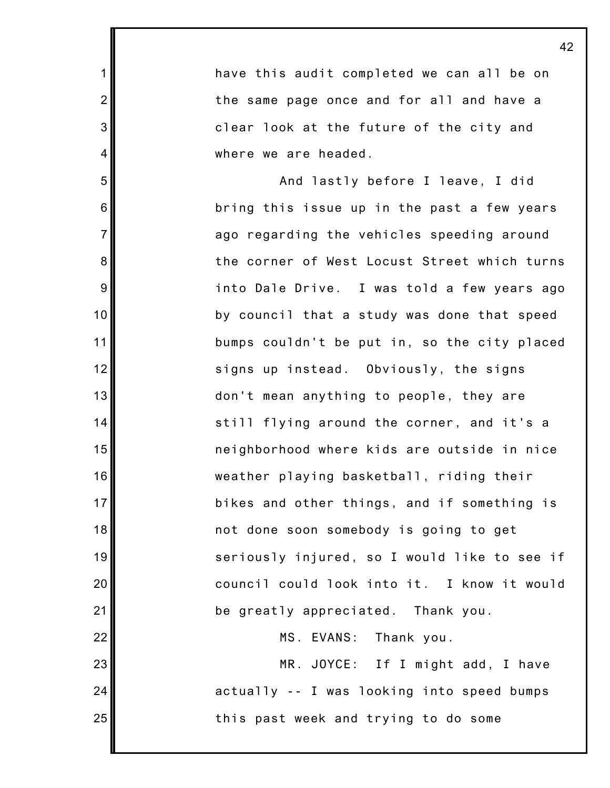have this audit completed we can all be on the same page once and for all and have a clear look at the future of the city and where we are headed.

1

2

3

4

5

6

7

8

9

10

11

12

13

14

15

16

17

18

19

20

21

22

23

24

25

And lastly before I leave, I did bring this issue up in the past a few years ago regarding the vehicles speeding around the corner of West Locust Street which turns into Dale Drive. I was told a few years ago by council that a study was done that speed bumps couldn't be put in, so the city placed signs up instead. Obviously, the signs don't mean anything to people, they are still flying around the corner, and it's a neighborhood where kids are outside in nice weather playing basketball, riding their bikes and other things, and if something is not done soon somebody is going to get seriously injured, so I would like to see if council could look into it. I know it would be greatly appreciated. Thank you.

MS. EVANS: Thank you.

MR. JOYCE: If I might add, I have actually -- I was looking into speed bumps this past week and trying to do some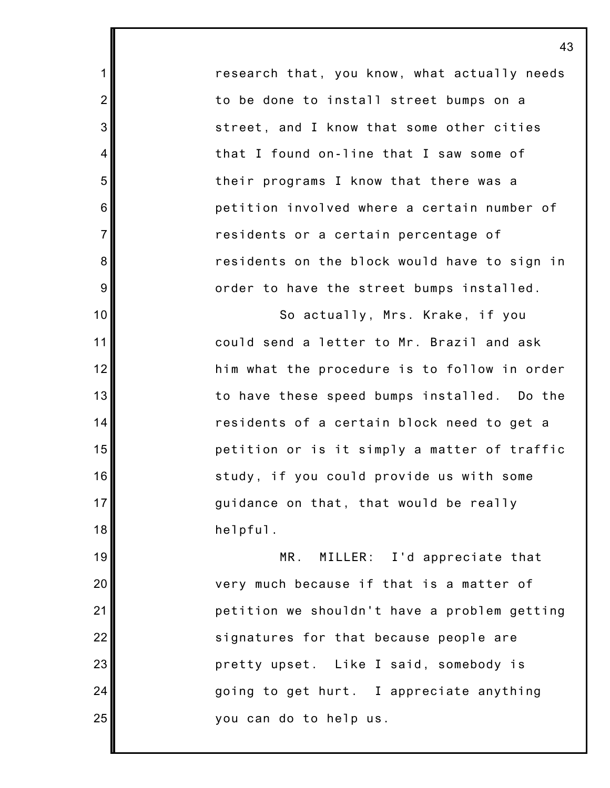research that, you know, what actually needs to be done to install street bumps on a street, and I know that some other cities that I found on-line that I saw some of their programs I know that there was a petition involved where a certain number of residents or a certain percentage of residents on the block would have to sign in order to have the street bumps installed.

1

2

3

4

5

6

7

8

9

10

11

12

13

14

15

16

17

18

19

20

21

22

23

24

25

So actually, Mrs. Krake, if you could send a letter to Mr. Brazil and ask him what the procedure is to follow in order to have these speed bumps installed. Do the residents of a certain block need to get a petition or is it simply a matter of traffic study, if you could provide us with some guidance on that, that would be really helpful.

MR. MILLER: I'd appreciate that very much because if that is a matter of petition we shouldn't have a problem getting signatures for that because people are pretty upset. Like I said, somebody is going to get hurt. I appreciate anything you can do to help us.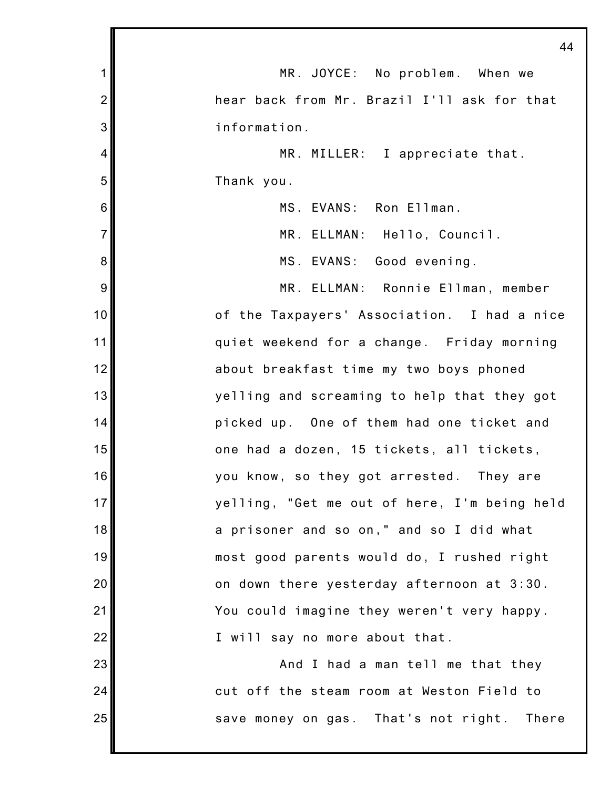|                | 44                                           |
|----------------|----------------------------------------------|
| 1              | MR. JOYCE: No problem. When we               |
| $\overline{2}$ | hear back from Mr. Brazil I'll ask for that  |
| 3              | information.                                 |
| 4              | MR. MILLER: I appreciate that.               |
| 5              | Thank you.                                   |
| 6              | MS. EVANS: Ron Ellman.                       |
| $\overline{7}$ | MR. ELLMAN: Hello, Council.                  |
| 8              | MS. EVANS: Good evening.                     |
| 9              | MR. ELLMAN: Ronnie Ellman, member            |
| 10             | of the Taxpayers' Association. I had a nice  |
| 11             | quiet weekend for a change. Friday morning   |
| 12             | about breakfast time my two boys phoned      |
| 13             | yelling and screaming to help that they got  |
| 14             | picked up. One of them had one ticket and    |
| 15             | one had a dozen, 15 tickets, all tickets,    |
| 16             | you know, so they got arrested. They are     |
| 17             | yelling, "Get me out of here, I'm being held |
| 18             | a prisoner and so on," and so I did what     |
| 19             | most good parents would do, I rushed right   |
| 20             | on down there yesterday afternoon at 3:30.   |
| 21             | You could imagine they weren't very happy.   |
| 22             | I will say no more about that.               |
| 23             | And I had a man tell me that they            |
| 24             | cut off the steam room at Weston Field to    |
| 25             | save money on gas. That's not right. There   |
|                |                                              |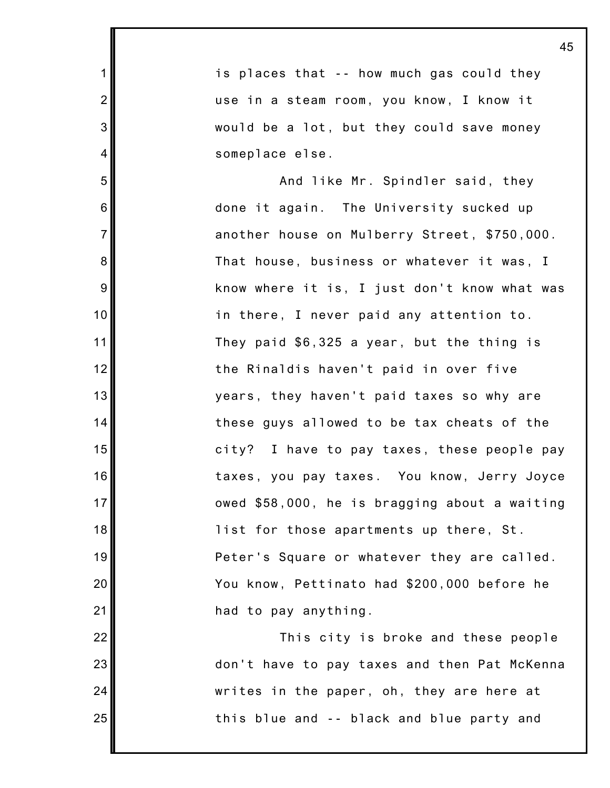1 2 3 4 5 6 7 8 9 10 11 12 13 14 15 16 17 18 19 20 21 22 23 24 25 45 is places that -- how much gas could they use in a steam room, you know, I know it would be a lot, but they could save money someplace else. And like Mr. Spindler said, they done it again. The University sucked up another house on Mulberry Street, \$750,000. That house, business or whatever it was, I know where it is, I just don't know what was in there, I never paid any attention to. They paid \$6,325 a year, but the thing is the Rinaldis haven't paid in over five years, they haven't paid taxes so why are these guys allowed to be tax cheats of the city? I have to pay taxes, these people pay taxes, you pay taxes. You know, Jerry Joyce owed \$58,000, he is bragging about a waiting list for those apartments up there, St. Peter's Square or whatever they are called. You know, Pettinato had \$200,000 before he had to pay anything. This city is broke and these people don't have to pay taxes and then Pat McKenna writes in the paper, oh, they are here at this blue and -- black and blue party and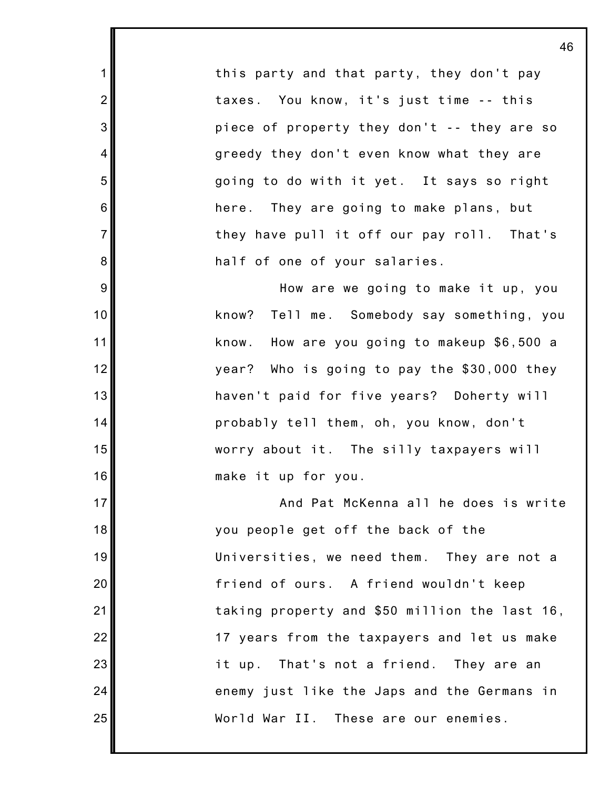this party and that party, they don't pay taxes. You know, it's just time -- this piece of property they don't -- they are so greedy they don't even know what they are going to do with it yet. It says so right here. They are going to make plans, but they have pull it off our pay roll. That's half of one of your salaries.

1

2

3

4

5

6

7

8

9

10

11

12

13

14

15

16

17

18

19

20

21

22

23

24

25

How are we going to make it up, you know? Tell me. Somebody say something, you know. How are you going to makeup \$6,500 a year? Who is going to pay the \$30,000 they haven't paid for five years? Doherty will probably tell them, oh, you know, don't worry about it. The silly taxpayers will make it up for you.

And Pat McKenna all he does is write you people get off the back of the Universities, we need them. They are not a friend of ours. A friend wouldn't keep taking property and \$50 million the last 16, 17 years from the taxpayers and let us make it up. That's not a friend. They are an enemy just like the Japs and the Germans in World War II. These are our enemies.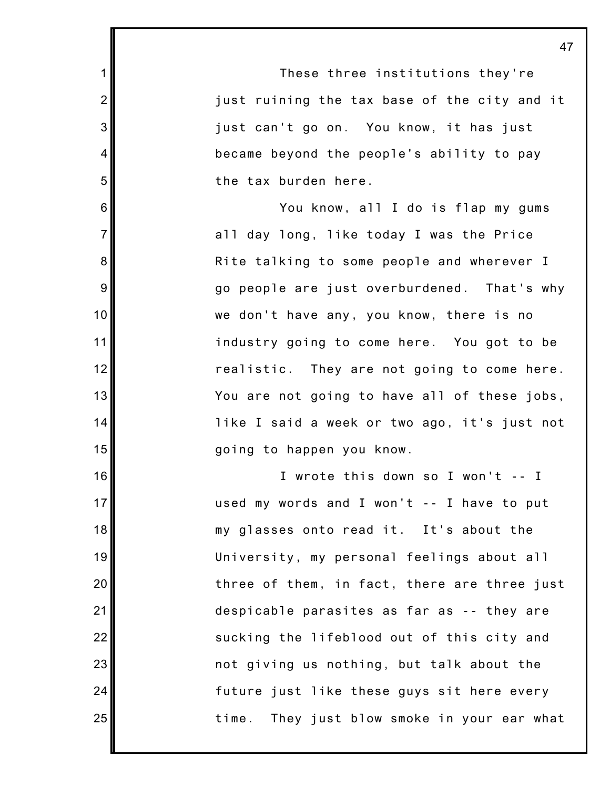| 1               | These three institutions they're               |
|-----------------|------------------------------------------------|
| $\overline{2}$  | just ruining the tax base of the city and it   |
| 3               | just can't go on. You know, it has just        |
| 4               | became beyond the people's ability to pay      |
| 5               | the tax burden here.                           |
| 6               | You know, all I do is flap my gums             |
| $\overline{7}$  | all day long, like today I was the Price       |
| 8               | Rite talking to some people and wherever I     |
| 9               | go people are just overburdened. That's why    |
| 10              | we don't have any, you know, there is no       |
| 11              | industry going to come here. You got to be     |
| 12              | realistic. They are not going to come here.    |
| 13              | You are not going to have all of these jobs,   |
| 14              | like I said a week or two ago, it's just not   |
| 15              | going to happen you know.                      |
| 16              | I wrote this down so I won't -- I              |
| 17 <sub>l</sub> | used my words and I won't -- I have to put     |
| 18              | my glasses onto read it. It's about the        |
| 19              | University, my personal feelings about all     |
| 20              | three of them, in fact, there are three just   |
| 21              | despicable parasites as far as -- they are     |
| 22              | sucking the lifeblood out of this city and     |
| 23              | not giving us nothing, but talk about the      |
| 24              | future just like these guys sit here every     |
| 25              | time.<br>They just blow smoke in your ear what |
|                 |                                                |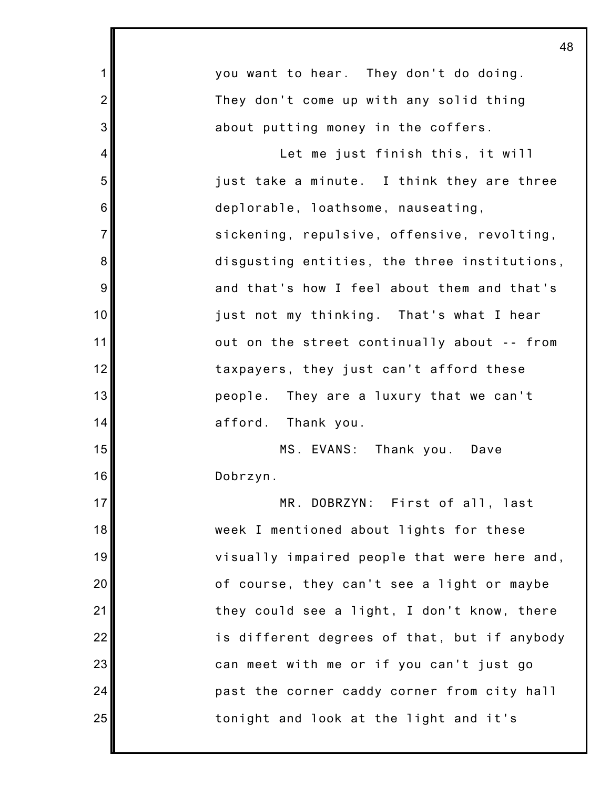| 1              | you want to hear. They don't do doing.       |
|----------------|----------------------------------------------|
| $\overline{2}$ | They don't come up with any solid thing      |
| 3              | about putting money in the coffers.          |
| 4              | Let me just finish this, it will             |
| 5              | just take a minute. I think they are three   |
| 6              | deplorable, loathsome, nauseating,           |
| $\overline{7}$ | sickening, repulsive, offensive, revolting,  |
| 8              | disgusting entities, the three institutions, |
| 9              | and that's how I feel about them and that's  |
| 10             | just not my thinking. That's what I hear     |
| 11             | out on the street continually about -- from  |
| 12             | taxpayers, they just can't afford these      |
| 13             | people. They are a luxury that we can't      |
| 14             | afford. Thank you.                           |
| 15             | MS. EVANS: Thank you. Dave                   |
| 16             | Dobrzyn.                                     |
| 17             | MR. DOBRZYN: First of all, last              |
| 18             | week I mentioned about lights for these      |
| 19             | visually impaired people that were here and, |
| 20             | of course, they can't see a light or maybe   |
| 21             | they could see a light, I don't know, there  |
| 22             | is different degrees of that, but if anybody |
| 23             | can meet with me or if you can't just go     |
| 24             | past the corner caddy corner from city hall  |
| 25             | tonight and look at the light and it's       |
|                |                                              |

I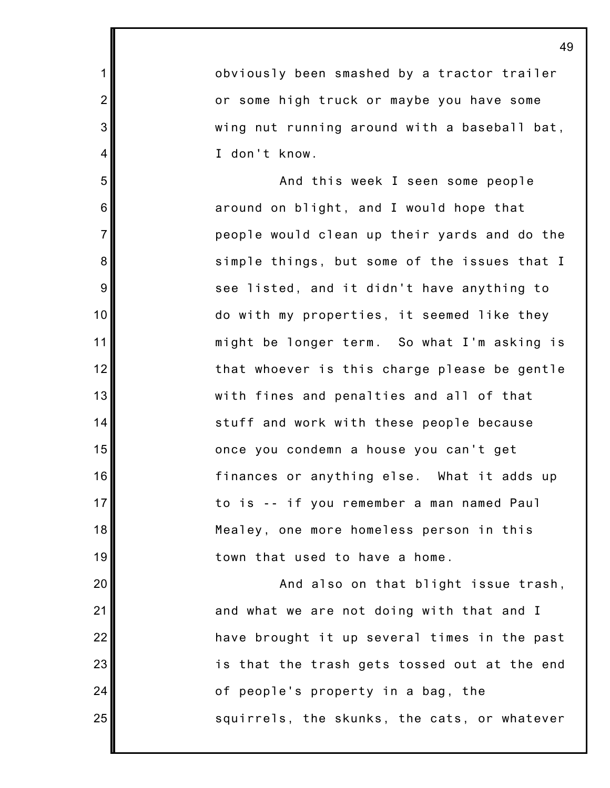obviously been smashed by a tractor trailer or some high truck or maybe you have some wing nut running around with a baseball bat, I don't know.

1

2

3

4

5

6

7

8

9

10

11

12

13

14

15

16

17

18

19

20

21

22

23

24

25

And this week I seen some people around on blight, and I would hope that people would clean up their yards and do the simple things, but some of the issues that I see listed, and it didn't have anything to do with my properties, it seemed like they might be longer term. So what I'm asking is that whoever is this charge please be gentle with fines and penalties and all of that stuff and work with these people because once you condemn a house you can't get finances or anything else. What it adds up to is -- if you remember a man named Paul Mealey, one more homeless person in this town that used to have a home.

And also on that blight issue trash, and what we are not doing with that and I have brought it up several times in the past is that the trash gets tossed out at the end of people's property in a bag, the squirrels, the skunks, the cats, or whatever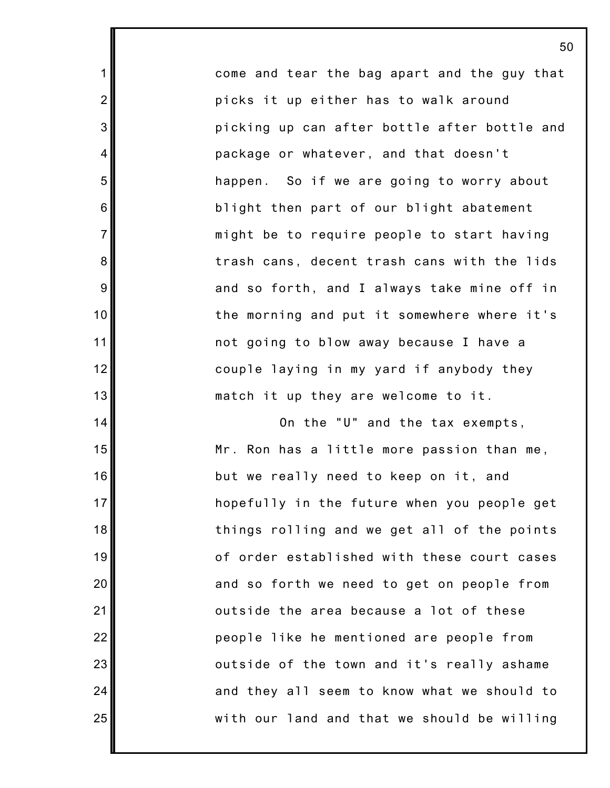come and tear the bag apart and the guy that picks it up either has to walk around picking up can after bottle after bottle and package or whatever, and that doesn't happen. So if we are going to worry about blight then part of our blight abatement might be to require people to start having trash cans, decent trash cans with the lids and so forth, and I always take mine off in the morning and put it somewhere where it's not going to blow away because I have a couple laying in my yard if anybody they match it up they are welcome to it.

1

2

3

4

5

6

7

8

9

10

11

12

13

14

15

16

17

18

19

20

21

22

23

24

25

On the "U" and the tax exempts, Mr. Ron has a little more passion than me, but we really need to keep on it, and hopefully in the future when you people get things rolling and we get all of the points of order established with these court cases and so forth we need to get on people from outside the area because a lot of these people like he mentioned are people from outside of the town and it's really ashame and they all seem to know what we should to with our land and that we should be willing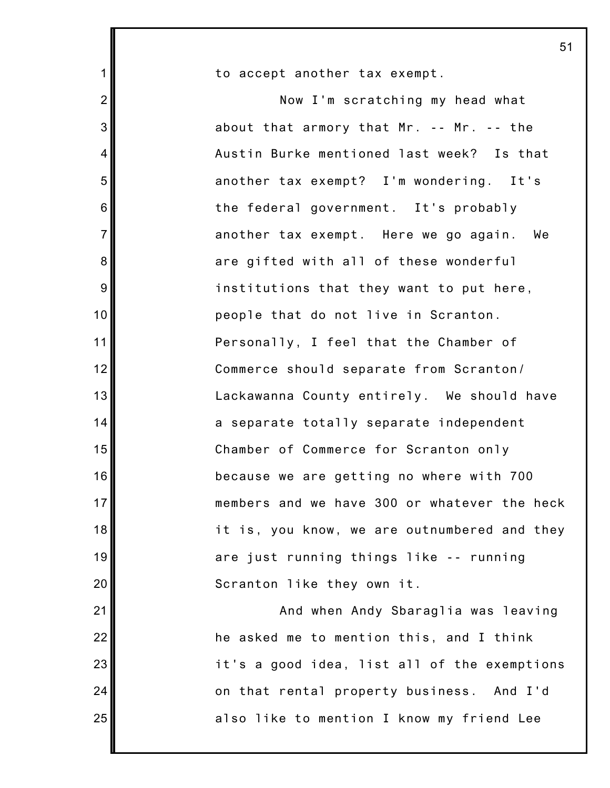| $\mathbf 1$    | to accept another tax exempt.                |
|----------------|----------------------------------------------|
| $\overline{2}$ | Now I'm scratching my head what              |
| 3              | about that armory that Mr. -- Mr. -- the     |
| $\overline{4}$ | Austin Burke mentioned last week? Is that    |
| 5              | another tax exempt? I'm wondering. It's      |
| 6              | the federal government. It's probably        |
| $\overline{7}$ | another tax exempt. Here we go again. We     |
| 8              | are gifted with all of these wonderful       |
| $9\,$          | institutions that they want to put here,     |
| 10             | people that do not live in Scranton.         |
| 11             | Personally, I feel that the Chamber of       |
| 12             | Commerce should separate from Scranton/      |
| 13             | Lackawanna County entirely. We should have   |
| 14             | a separate totally separate independent      |
| 15             | Chamber of Commerce for Scranton only        |
| 16             | because we are getting no where with 700     |
| 17             | members and we have 300 or whatever the heck |
| 18             | it is, you know, we are outnumbered and they |
| 19             | are just running things like -- running      |
| 20             | Scranton like they own it.                   |
| 21             | And when Andy Sbaraglia was leaving          |
| 22             | he asked me to mention this, and I think     |
| 23             | it's a good idea, list all of the exemptions |
| 24             | on that rental property business. And I'd    |
| 25             | also like to mention I know my friend Lee    |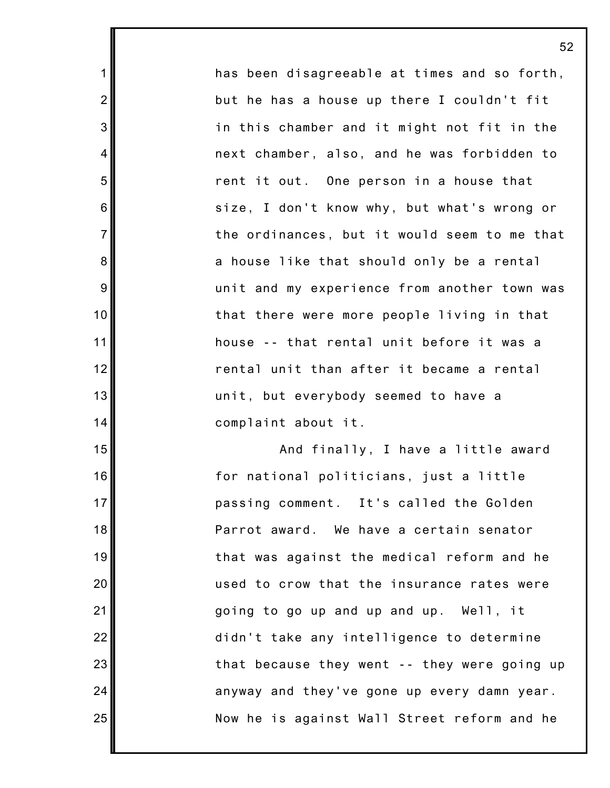has been disagreeable at times and so forth, but he has a house up there I couldn't fit in this chamber and it might not fit in the next chamber, also, and he was forbidden to rent it out. One person in a house that size, I don't know why, but what's wrong or the ordinances, but it would seem to me that a house like that should only be a rental unit and my experience from another town was that there were more people living in that house -- that rental unit before it was a rental unit than after it became a rental unit, but everybody seemed to have a complaint about it.

1

2

3

4

5

6

7

8

9

10

11

12

13

14

15

16

17

18

19

20

21

22

23

24

25

And finally, I have a little award for national politicians, just a little passing comment. It's called the Golden Parrot award. We have a certain senator that was against the medical reform and he used to crow that the insurance rates were going to go up and up and up. Well, it didn't take any intelligence to determine that because they went -- they were going up anyway and they've gone up every damn year. Now he is against Wall Street reform and he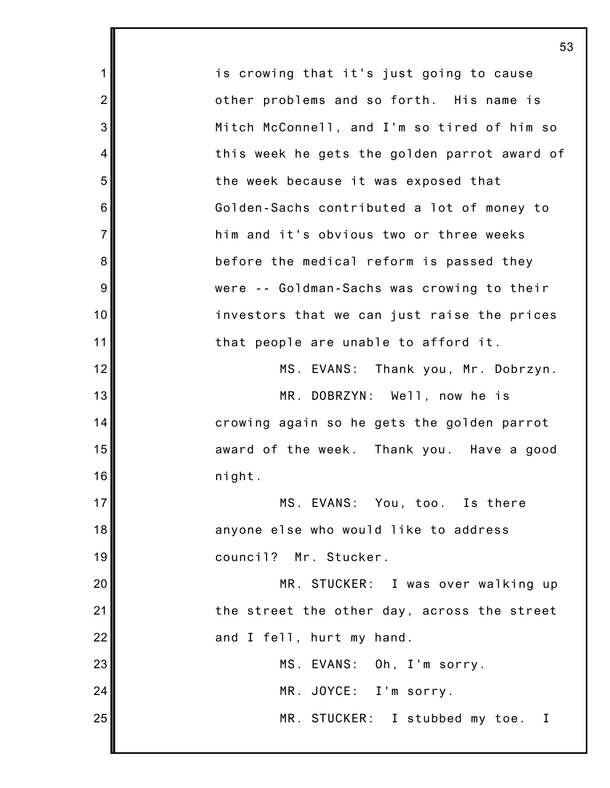1 2 3 4 5 6 7 8 9 10 11 12 13 14 15 16 17 18 19 20 21 22 23 24 25 is crowing that it's just going to cause other problems and so forth. His name is Mitch McConnell, and I'm so tired of him so this week he gets the golden parrot award of the week because it was exposed that Golden-Sachs contributed a lot of money to him and it's obvious two or three weeks before the medical reform is passed they were -- Goldman-Sachs was crowing to their investors that we can just raise the prices that people are unable to afford it. MS. EVANS: Thank you, Mr. Dobrzyn. MR. DOBRZYN: Well, now he is crowing again so he gets the golden parrot award of the week. Thank you. Have a good night. MS. EVANS: You, too. Is there anyone else who would like to address council? Mr. Stucker. MR. STUCKER: I was over walking up the street the other day, across the street and I fell, hurt my hand. MS. EVANS: Oh, I'm sorry. MR. JOYCE: I'm sorry. MR. STUCKER: I stubbed my toe. I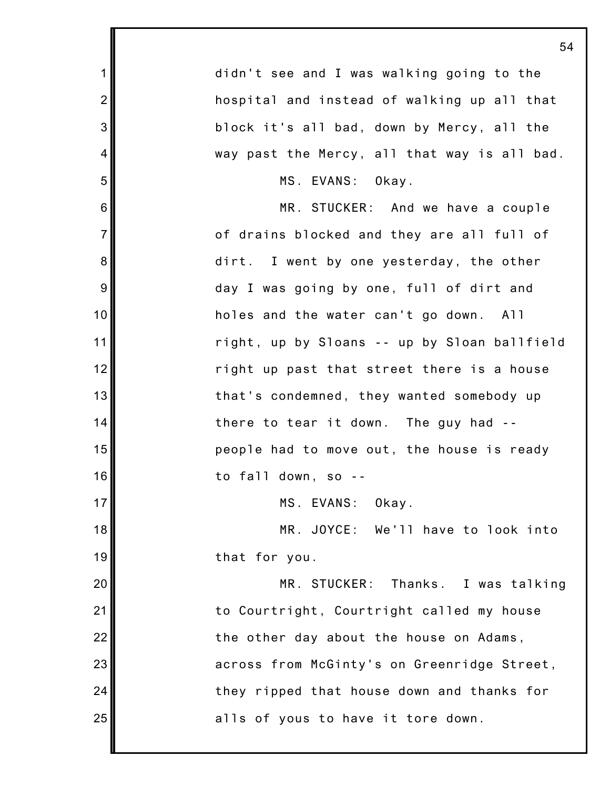| 54                                           |
|----------------------------------------------|
| didn't see and I was walking going to the    |
| hospital and instead of walking up all that  |
| block it's all bad, down by Mercy, all the   |
| way past the Mercy, all that way is all bad. |
| MS. EVANS: Okay.                             |
| MR. STUCKER: And we have a couple            |
| of drains blocked and they are all full of   |
| dirt. I went by one yesterday, the other     |
| day I was going by one, full of dirt and     |
| holes and the water can't go down. All       |
| right, up by Sloans -- up by Sloan ballfield |
| right up past that street there is a house   |
| that's condemned, they wanted somebody up    |
| there to tear it down. The guy had --        |
| people had to move out, the house is ready   |
| to fall down, so                             |
| MS. EVANS: Okay.                             |
| MR. JOYCE: We'll have to look into           |
| that for you.                                |
| MR. STUCKER: Thanks. I was talking           |
| to Courtright, Courtright called my house    |
| the other day about the house on Adams,      |
| across from McGinty's on Greenridge Street,  |
| they ripped that house down and thanks for   |
| alls of yous to have it tore down.           |
|                                              |

Ш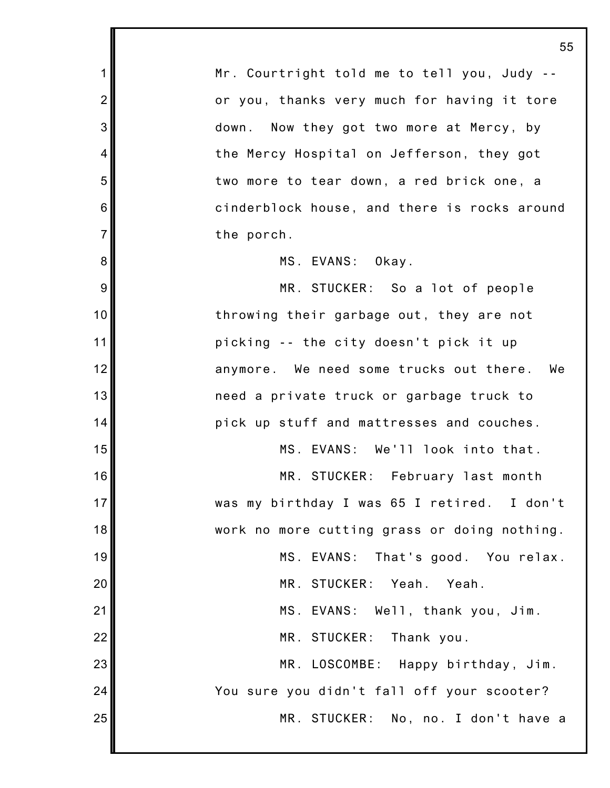1 2 3 4 5 6 7 8 9 10 11 12 13 14 15 16 17 18 19 20 21 22 23 24 25 55 Mr. Courtright told me to tell you, Judy - or you, thanks very much for having it tore down. Now they got two more at Mercy, by the Mercy Hospital on Jefferson, they got two more to tear down, a red brick one, a cinderblock house, and there is rocks around the porch. MS. EVANS: Okay. MR. STUCKER: So a lot of people throwing their garbage out, they are not picking -- the city doesn't pick it up anymore. We need some trucks out there. We need a private truck or garbage truck to pick up stuff and mattresses and couches. MS. EVANS: We'll look into that. MR. STUCKER: February last month was my birthday I was 65 I retired. I don't work no more cutting grass or doing nothing. MS. EVANS: That's good. You relax. MR. STUCKER: Yeah. Yeah. MS. EVANS: Well, thank you, Jim. MR. STUCKER: Thank you. MR. LOSCOMBE: Happy birthday, Jim. You sure you didn't fall off your scooter? MR. STUCKER: No, no. I don't have a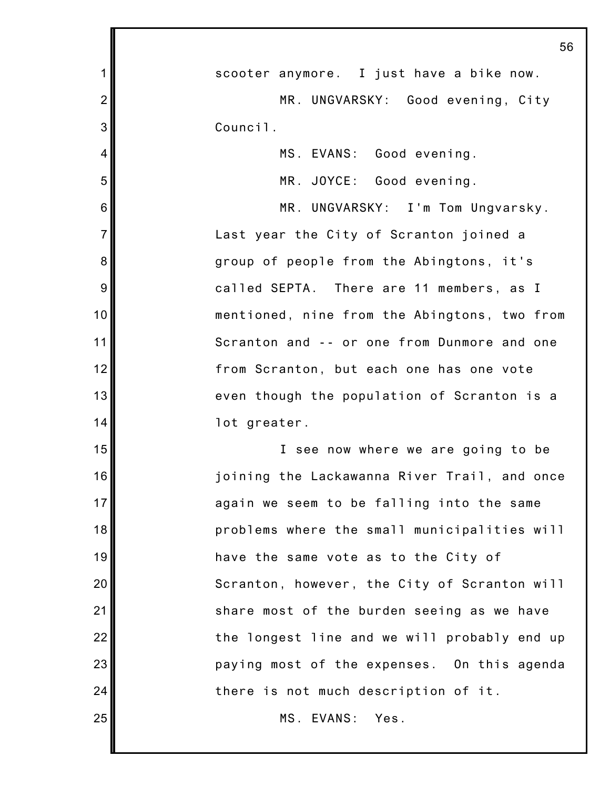|                | 56                                           |
|----------------|----------------------------------------------|
| 1              | scooter anymore. I just have a bike now.     |
| $\overline{2}$ | MR. UNGVARSKY: Good evening, City            |
| 3              | Council.                                     |
| 4              | MS. EVANS: Good evening.                     |
| 5              | MR. JOYCE: Good evening.                     |
| 6              | MR. UNGVARSKY: I'm Tom Ungvarsky.            |
| $\overline{7}$ | Last year the City of Scranton joined a      |
| 8              | group of people from the Abingtons, it's     |
| 9              | called SEPTA. There are 11 members, as I     |
| 10             | mentioned, nine from the Abingtons, two from |
| 11             | Scranton and -- or one from Dunmore and one  |
| 12             | from Scranton, but each one has one vote     |
| 13             | even though the population of Scranton is a  |
| 14             | lot greater.                                 |
| 15             | I see now where we are going to be           |
| 16             | joining the Lackawanna River Trail, and once |
| 17             | again we seem to be falling into the same    |
| 18             | problems where the small municipalities will |
| 19             | have the same vote as to the City of         |
| 20             | Scranton, however, the City of Scranton will |
| 21             | share most of the burden seeing as we have   |
| 22             | the longest line and we will probably end up |
| 23             | paying most of the expenses. On this agenda  |
| 24             | there is not much description of it.         |
| 25             | MS. EVANS: Yes.                              |
|                |                                              |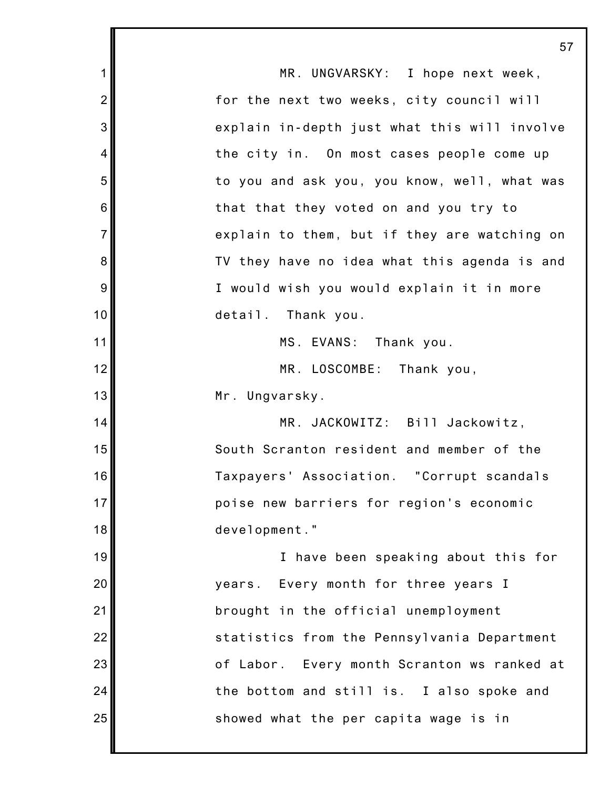|                | 57                                           |
|----------------|----------------------------------------------|
| 1              | MR. UNGVARSKY: I hope next week,             |
| $\overline{2}$ | for the next two weeks, city council will    |
| 3              | explain in-depth just what this will involve |
| 4              | the city in. On most cases people come up    |
| 5              | to you and ask you, you know, well, what was |
| $\,6$          | that that they voted on and you try to       |
| $\overline{7}$ | explain to them, but if they are watching on |
| 8              | TV they have no idea what this agenda is and |
| 9              | I would wish you would explain it in more    |
| 10             | detail. Thank you.                           |
| 11             | MS. EVANS:<br>Thank you.                     |
| 12             | MR. LOSCOMBE: Thank you,                     |
| 13             | Mr. Ungvarsky.                               |
| 14             | MR. JACKOWITZ: Bill Jackowitz,               |
| 15             | South Scranton resident and member of the    |
| 16             | Taxpayers' Association. "Corrupt scandals    |
| 17             | poise new barriers for region's economic     |
| 18             | development."                                |
| 19             | I have been speaking about this for          |
| 20             | years. Every month for three years I         |
| 21             | brought in the official unemployment         |
| 22             | statistics from the Pennsylvania Department  |
| 23             | of Labor. Every month Scranton ws ranked at  |
| 24             | the bottom and still is. I also spoke and    |
| 25             | showed what the per capita wage is in        |
|                |                                              |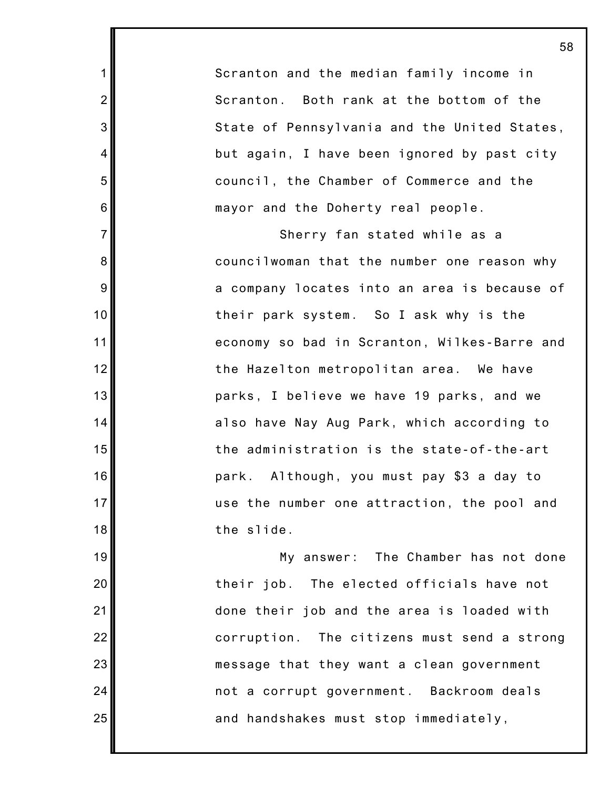Scranton and the median family income in Scranton. Both rank at the bottom of the State of Pennsylvania and the United States, but again, I have been ignored by past city council, the Chamber of Commerce and the mayor and the Doherty real people.

1

2

3

4

5

6

7

8

9

10

11

12

13

14

15

16

17

18

19

20

21

22

23

24

25

Sherry fan stated while as a councilwoman that the number one reason why a company locates into an area is because of their park system. So I ask why is the economy so bad in Scranton, Wilkes-Barre and the Hazelton metropolitan area. We have parks, I believe we have 19 parks, and we also have Nay Aug Park, which according to the administration is the state-of-the-art park. Although, you must pay \$3 a day to use the number one attraction, the pool and the slide.

My answer: The Chamber has not done their job. The elected officials have not done their job and the area is loaded with corruption. The citizens must send a strong message that they want a clean government not a corrupt government. Backroom deals and handshakes must stop immediately,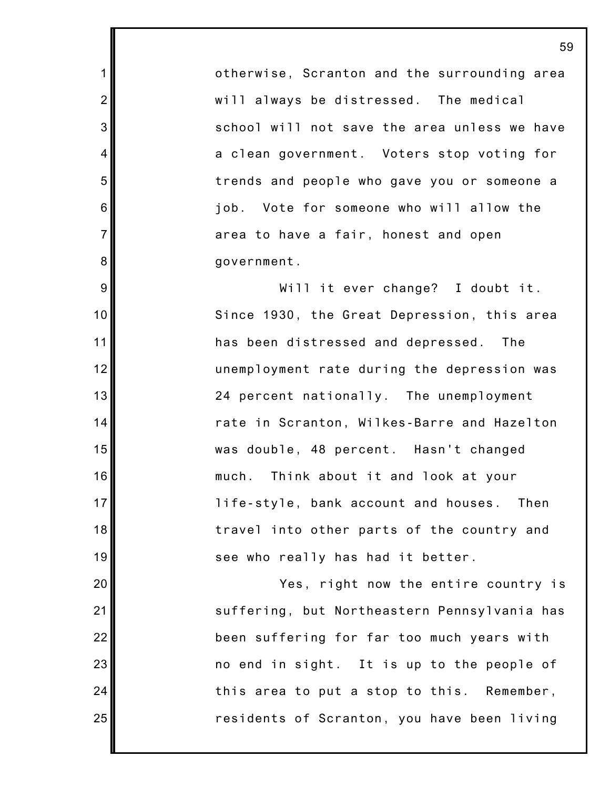otherwise, Scranton and the surrounding area will always be distressed. The medical school will not save the area unless we have a clean government. Voters stop voting for trends and people who gave you or someone a job. Vote for someone who will allow the area to have a fair, honest and open government.

1

2

3

4

5

6

7

8

9

10

11

12

13

14

15

16

17

18

19

20

21

22

23

24

25

Will it ever change? I doubt it. Since 1930, the Great Depression, this area has been distressed and depressed. The unemployment rate during the depression was 24 percent nationally. The unemployment rate in Scranton, Wilkes-Barre and Hazelton was double, 48 percent. Hasn't changed much. Think about it and look at your life-style, bank account and houses. Then travel into other parts of the country and see who really has had it better.

Yes, right now the entire country is suffering, but Northeastern Pennsylvania has been suffering for far too much years with no end in sight. It is up to the people of this area to put a stop to this. Remember, residents of Scranton, you have been living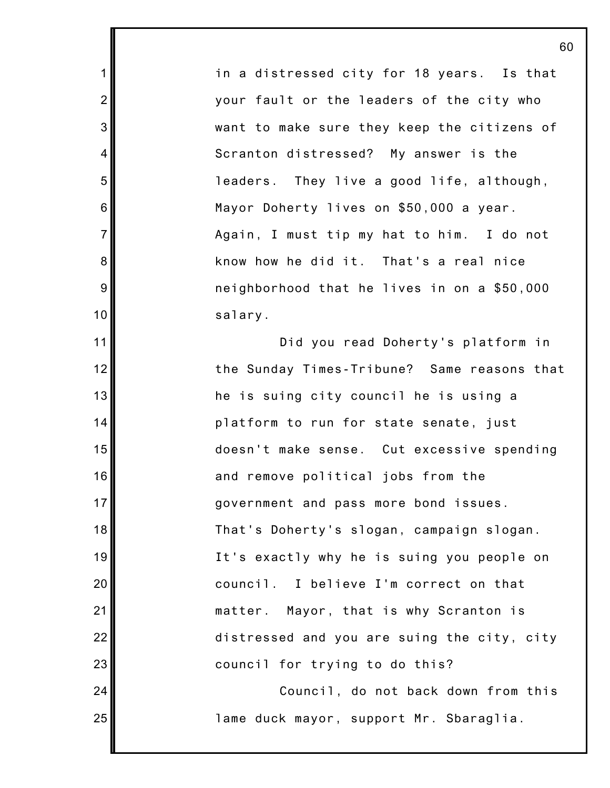in a distressed city for 18 years. Is that your fault or the leaders of the city who want to make sure they keep the citizens of Scranton distressed? My answer is the leaders. They live a good life, although, Mayor Doherty lives on \$50,000 a year. Again, I must tip my hat to him. I do not know how he did it. That's a real nice neighborhood that he lives in on a \$50,000 salary.

1

2

3

4

5

6

7

8

9

10

11

12

13

14

15

16

17

18

19

20

21

22

23

24

25

Did you read Doherty's platform in the Sunday Times-Tribune? Same reasons that he is suing city council he is using a platform to run for state senate, just doesn't make sense. Cut excessive spending and remove political jobs from the government and pass more bond issues. That's Doherty's slogan, campaign slogan. It's exactly why he is suing you people on council. I believe I'm correct on that matter. Mayor, that is why Scranton is distressed and you are suing the city, city council for trying to do this?

Council, do not back down from this lame duck mayor, support Mr. Sbaraglia.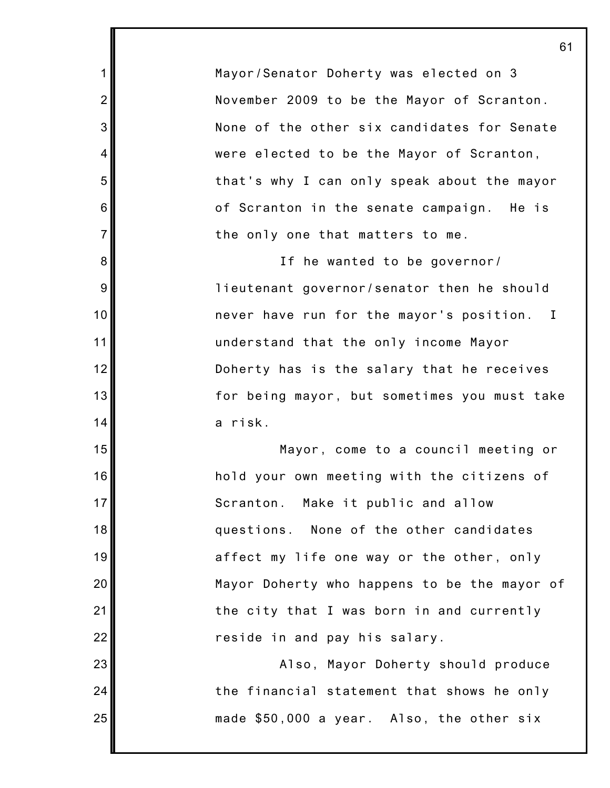Mayor/Senator Doherty was elected on 3 November 2009 to be the Mayor of Scranton. None of the other six candidates for Senate were elected to be the Mayor of Scranton, that's why I can only speak about the mayor of Scranton in the senate campaign. He is the only one that matters to me.

1

2

3

4

5

6

7

8

9

10

11

12

13

14

15

16

17

18

19

20

21

22

23

24

25

If he wanted to be governor/ lieutenant governor/senator then he should never have run for the mayor's position. I understand that the only income Mayor Doherty has is the salary that he receives for being mayor, but sometimes you must take a risk.

Mayor, come to a council meeting or hold your own meeting with the citizens of Scranton. Make it public and allow questions. None of the other candidates affect my life one way or the other, only Mayor Doherty who happens to be the mayor of the city that I was born in and currently reside in and pay his salary.

Also, Mayor Doherty should produce the financial statement that shows he only made \$50,000 a year. Also, the other six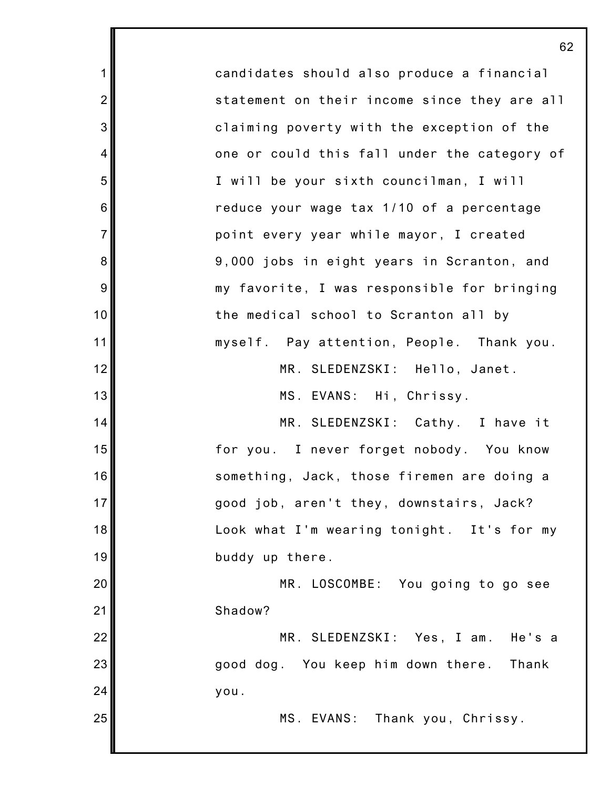candidates should also produce a financial statement on their income since they are all claiming poverty with the exception of the one or could this fall under the category of I will be your sixth councilman, I will reduce your wage tax 1/10 of a percentage point every year while mayor, I created 9,000 jobs in eight years in Scranton, and my favorite, I was responsible for bringing the medical school to Scranton all by myself. Pay attention, People. Thank you. MR. SLEDENZSKI: Hello, Janet. MS. EVANS: Hi, Chrissy. MR. SLEDENZSKI: Cathy. I have it for you. I never forget nobody. You know something, Jack, those firemen are doing a good job, aren't they, downstairs, Jack? Look what I'm wearing tonight. It's for my buddy up there. MR. LOSCOMBE: You going to go see Shadow? MR. SLEDENZSKI: Yes, I am. He's a good dog. You keep him down there. Thank you. MS. EVANS: Thank you, Chrissy.

1

2

3

4

5

6

7

8

9

10

11

12

13

14

15

16

17

18

19

20

21

22

23

24

25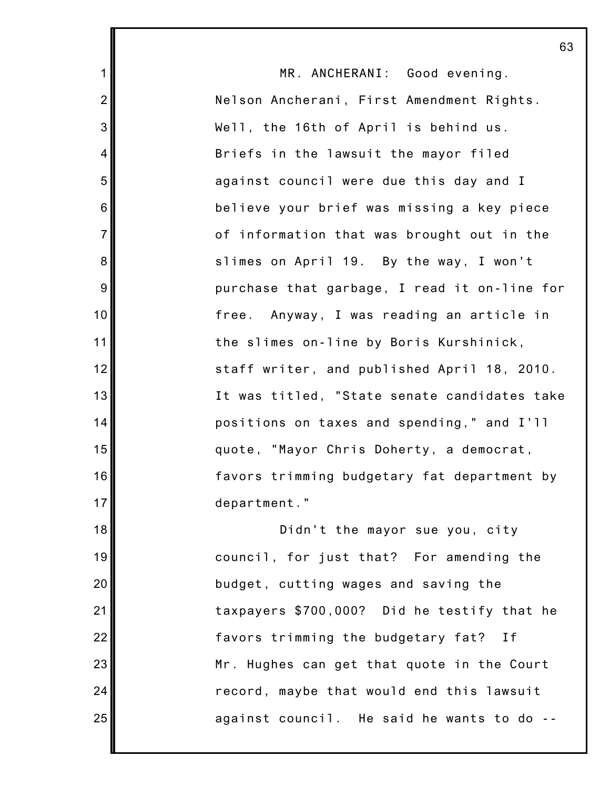|                | 63                                           |
|----------------|----------------------------------------------|
| $\mathbf{1}$   | MR. ANCHERANI: Good evening.                 |
| $\overline{2}$ | Nelson Ancherani, First Amendment Rights.    |
| 3              | Well, the 16th of April is behind us.        |
| 4              | Briefs in the lawsuit the mayor filed        |
| 5              | against council were due this day and I      |
| 6              | believe your brief was missing a key piece   |
| $\overline{7}$ | of information that was brought out in the   |
| 8              | slimes on April 19. By the way, I won't      |
| 9              | purchase that garbage, I read it on-line for |
| 10             | free. Anyway, I was reading an article in    |
| 11             | the slimes on-line by Boris Kurshinick,      |
| 12             | staff writer, and published April 18, 2010.  |
| 13             | It was titled, "State senate candidates take |
| 14             | positions on taxes and spending," and I'll   |
| 15             | quote, "Mayor Chris Doherty, a democrat,     |
| 16             | favors trimming budgetary fat department by  |
| 17             | department."                                 |
| 18             | Didn't the mayor sue you, city               |
| 19             | council, for just that? For amending the     |
| 20             | budget, cutting wages and saving the         |
| 21             | taxpayers \$700,000? Did he testify that he  |
| 22             | favors trimming the budgetary fat?<br>If     |
| 23             | Mr. Hughes can get that quote in the Court   |
| 24             | record, maybe that would end this lawsuit    |
| 25             | against council. He said he wants to do --   |
|                |                                              |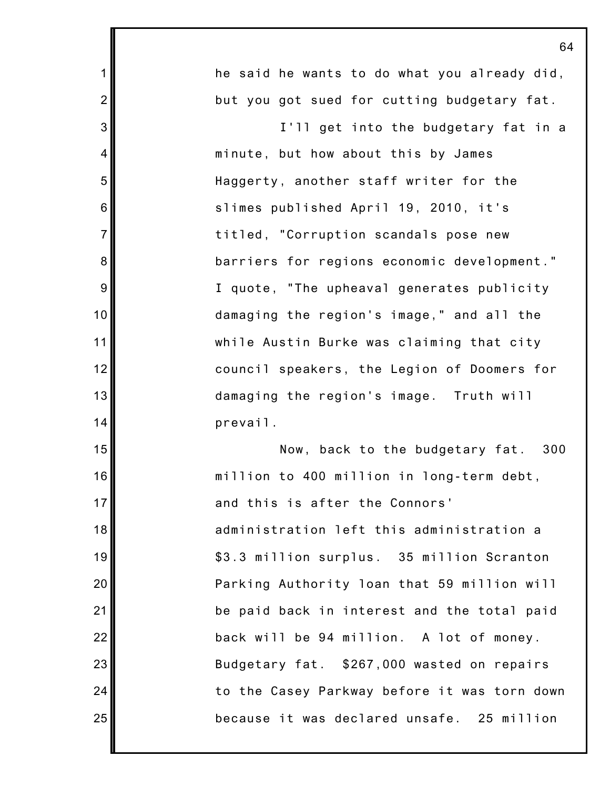1 2 3 4 5 6 7 8 9 10 11 12 13 14 15 16 17 18 19 20 21 22 23 24 25 he said he wants to do what you already did, but you got sued for cutting budgetary fat. I'll get into the budgetary fat in a minute, but how about this by James Haggerty, another staff writer for the slimes published April 19, 2010, it's titled, "Corruption scandals pose new barriers for regions economic development." I quote, "The upheaval generates publicity damaging the region's image," and all the while Austin Burke was claiming that city council speakers, the Legion of Doomers for damaging the region's image. Truth will prevail. Now, back to the budgetary fat. 300 million to 400 million in long-term debt, and this is after the Connors' administration left this administration a \$3.3 million surplus. 35 million Scranton Parking Authority loan that 59 million will be paid back in interest and the total paid back will be 94 million. A lot of money. Budgetary fat. \$267,000 wasted on repairs to the Casey Parkway before it was torn down because it was declared unsafe. 25 million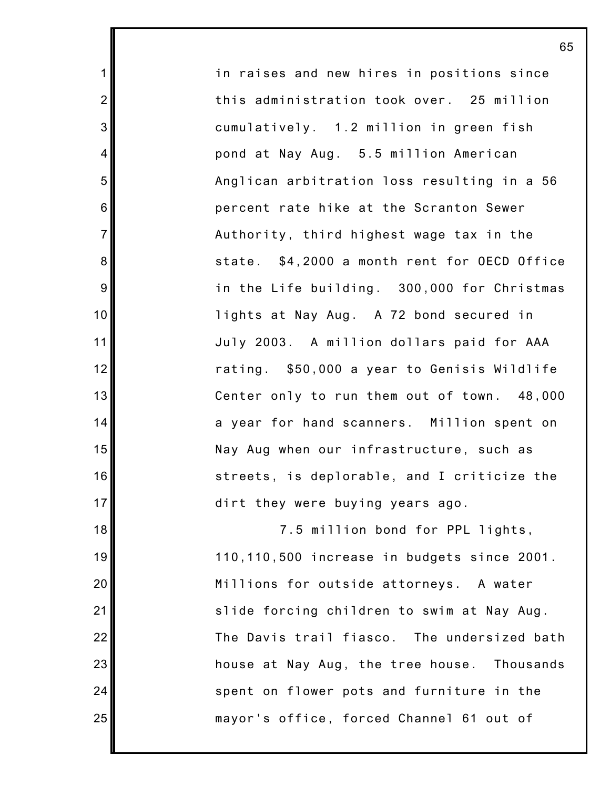in raises and new hires in positions since this administration took over. 25 million cumulatively. 1.2 million in green fish pond at Nay Aug. 5.5 million American Anglican arbitration loss resulting in a 56 percent rate hike at the Scranton Sewer Authority, third highest wage tax in the state. \$4,2000 a month rent for OECD Office in the Life building. 300,000 for Christmas lights at Nay Aug. A 72 bond secured in July 2003. A million dollars paid for AAA rating. \$50,000 a year to Genisis Wildlife Center only to run them out of town. 48,000 a year for hand scanners. Million spent on Nay Aug when our infrastructure, such as streets, is deplorable, and I criticize the dirt they were buying years ago.

1

2

3

4

5

6

7

8

9

10

11

12

13

14

15

16

17

18

19

20

21

22

23

24

25

7.5 million bond for PPL lights, 110,110,500 increase in budgets since 2001. Millions for outside attorneys. A water slide forcing children to swim at Nay Aug. The Davis trail fiasco. The undersized bath house at Nay Aug, the tree house. Thousands spent on flower pots and furniture in the mayor's office, forced Channel 61 out of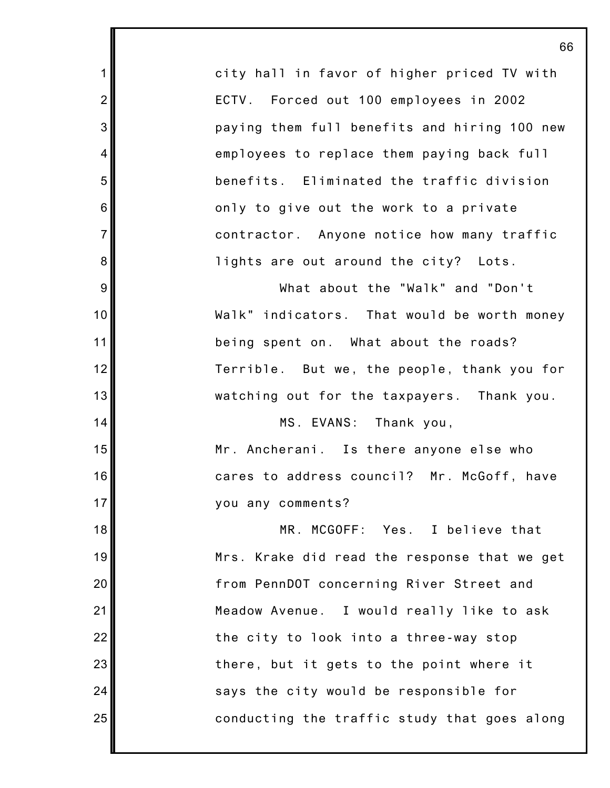city hall in favor of higher priced TV with ECTV. Forced out 100 employees in 2002 paying them full benefits and hiring 100 new employees to replace them paying back full benefits. Eliminated the traffic division only to give out the work to a private contractor. Anyone notice how many traffic lights are out around the city? Lots.

1

2

3

4

5

6

7

8

9

10

11

12

13

14

15

16

17

What about the "Walk" and "Don't Walk" indicators. That would be worth money being spent on. What about the roads? Terrible. But we, the people, thank you for watching out for the taxpayers. Thank you.

MS. EVANS: Thank you, Mr. Ancherani. Is there anyone else who cares to address council? Mr. McGoff, have you any comments?

18 19 20 21 22 23 24 25 MR. MCGOFF: Yes. I believe that Mrs. Krake did read the response that we get from PennDOT concerning River Street and Meadow Avenue. I would really like to ask the city to look into a three-way stop there, but it gets to the point where it says the city would be responsible for conducting the traffic study that goes along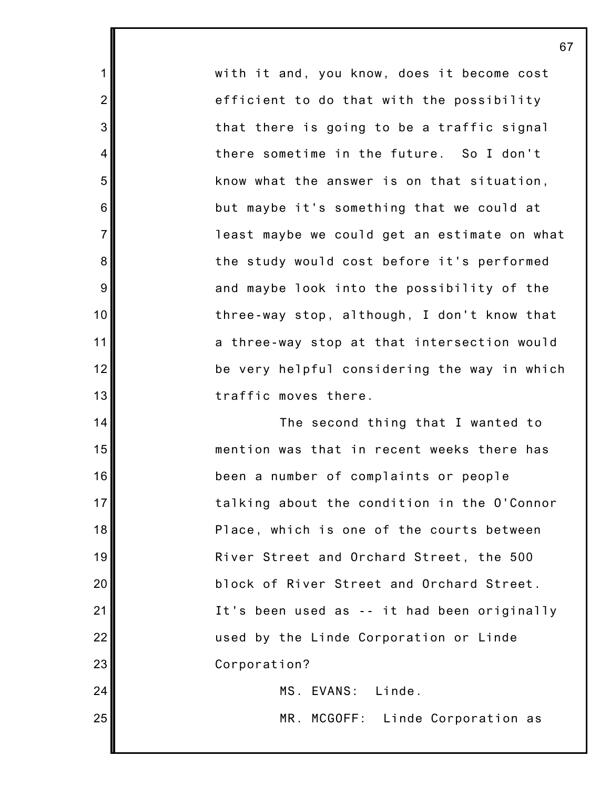with it and, you know, does it become cost efficient to do that with the possibility that there is going to be a traffic signal there sometime in the future. So I don't know what the answer is on that situation, but maybe it's something that we could at least maybe we could get an estimate on what the study would cost before it's performed and maybe look into the possibility of the three-way stop, although, I don't know that a three-way stop at that intersection would be very helpful considering the way in which traffic moves there.

1

2

3

4

5

6

7

8

9

10

11

12

13

14

15

16

17

18

19

20

21

22

23

24

25

The second thing that I wanted to mention was that in recent weeks there has been a number of complaints or people talking about the condition in the O'Connor Place, which is one of the courts between River Street and Orchard Street, the 500 block of River Street and Orchard Street. It's been used as -- it had been originally used by the Linde Corporation or Linde Corporation? MS. EVANS: Linde.

MR. MCGOFF: Linde Corporation as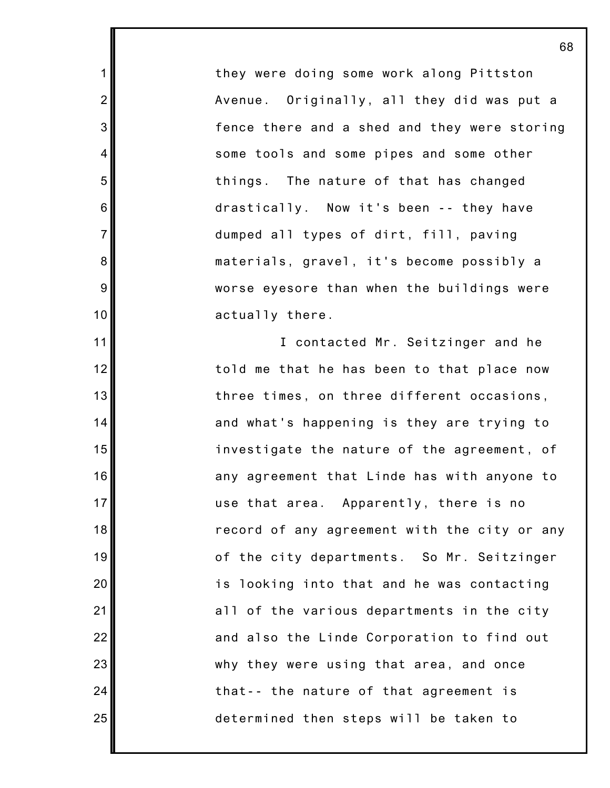they were doing some work along Pittston Avenue. Originally, all they did was put a fence there and a shed and they were storing some tools and some pipes and some other things. The nature of that has changed drastically. Now it's been -- they have dumped all types of dirt, fill, paving materials, gravel, it's become possibly a worse eyesore than when the buildings were actually there.

1

2

3

4

5

6

7

8

9

10

11

12

13

14

15

16

17

18

19

20

21

22

23

24

25

I contacted Mr. Seitzinger and he told me that he has been to that place now three times, on three different occasions, and what's happening is they are trying to investigate the nature of the agreement, of any agreement that Linde has with anyone to use that area. Apparently, there is no record of any agreement with the city or any of the city departments. So Mr. Seitzinger is looking into that and he was contacting all of the various departments in the city and also the Linde Corporation to find out why they were using that area, and once that-- the nature of that agreement is determined then steps will be taken to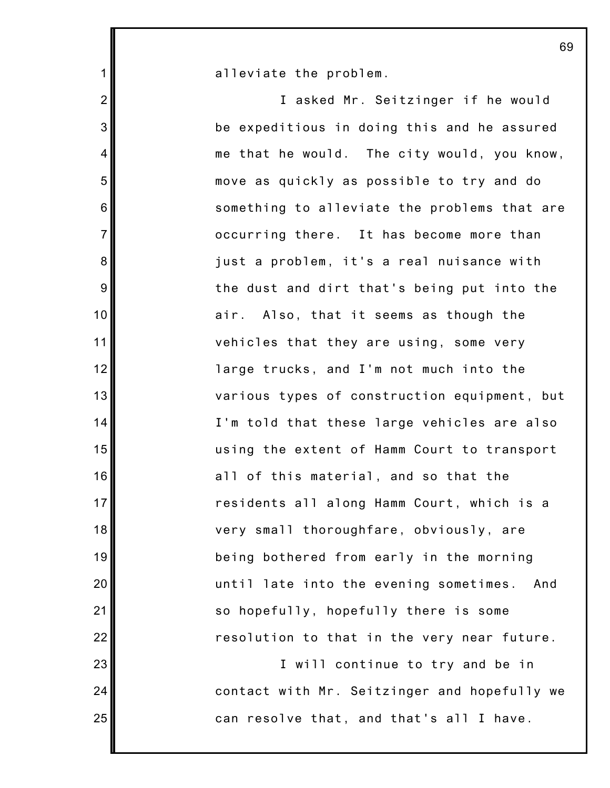alleviate the problem.

1

2

3

4

5

6

7

8

9

10

11

12

13

14

15

16

17

18

19

20

21

22

23

24

25

I asked Mr. Seitzinger if he would be expeditious in doing this and he assured me that he would. The city would, you know, move as quickly as possible to try and do something to alleviate the problems that are occurring there. It has become more than just a problem, it's a real nuisance with the dust and dirt that's being put into the air. Also, that it seems as though the vehicles that they are using, some very large trucks, and I'm not much into the various types of construction equipment, but I'm told that these large vehicles are also using the extent of Hamm Court to transport all of this material, and so that the residents all along Hamm Court, which is a very small thoroughfare, obviously, are being bothered from early in the morning until late into the evening sometimes. And so hopefully, hopefully there is some resolution to that in the very near future.

I will continue to try and be in contact with Mr. Seitzinger and hopefully we can resolve that, and that's all I have.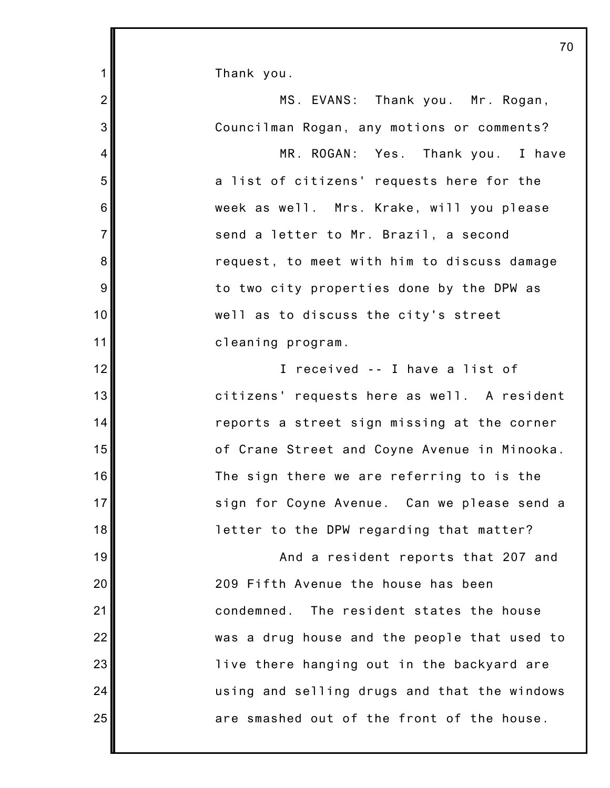Thank you.

1

2 3 4 5 6 7 8 9 10 11 12 13 14 15 16 17 18 19 20 21 22 23 24 25 MS. EVANS: Thank you. Mr. Rogan, Councilman Rogan, any motions or comments? MR. ROGAN: Yes. Thank you. I have a list of citizens' requests here for the week as well. Mrs. Krake, will you please send a letter to Mr. Brazil, a second request, to meet with him to discuss damage to two city properties done by the DPW as well as to discuss the city's street cleaning program. I received -- I have a list of citizens' requests here as well. A resident reports a street sign missing at the corner of Crane Street and Coyne Avenue in Minooka. The sign there we are referring to is the sign for Coyne Avenue. Can we please send a letter to the DPW regarding that matter? And a resident reports that 207 and 209 Fifth Avenue the house has been condemned. The resident states the house was a drug house and the people that used to live there hanging out in the backyard are using and selling drugs and that the windows are smashed out of the front of the house.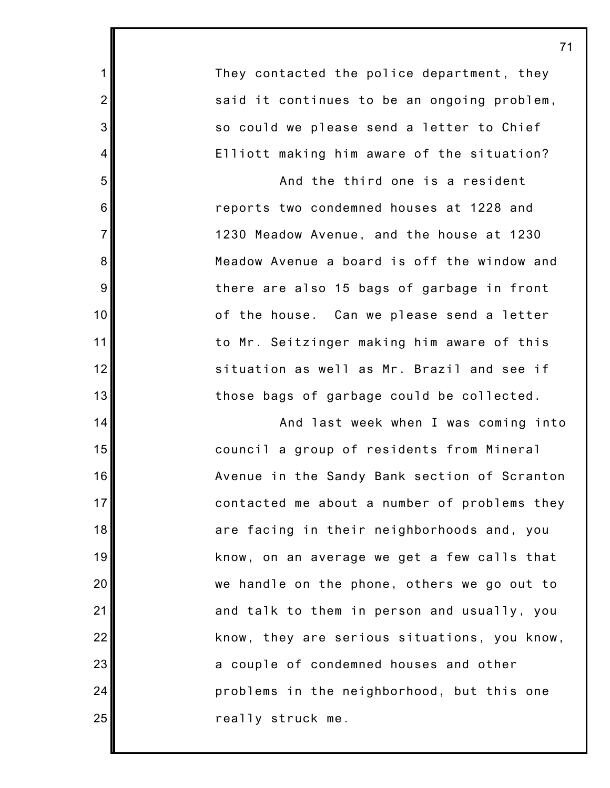They contacted the police department, they said it continues to be an ongoing problem, so could we please send a letter to Chief Elliott making him aware of the situation?

1

2

3

4

5

6

7

8

9

10

11

12

13

14

15

16

17

18

19

20

21

22

23

24

25

And the third one is a resident reports two condemned houses at 1228 and 1230 Meadow Avenue, and the house at 1230 Meadow Avenue a board is off the window and there are also 15 bags of garbage in front of the house. Can we please send a letter to Mr. Seitzinger making him aware of this situation as well as Mr. Brazil and see if those bags of garbage could be collected.

And last week when I was coming into council a group of residents from Mineral Avenue in the Sandy Bank section of Scranton contacted me about a number of problems they are facing in their neighborhoods and, you know, on an average we get a few calls that we handle on the phone, others we go out to and talk to them in person and usually, you know, they are serious situations, you know, a couple of condemned houses and other problems in the neighborhood, but this one really struck me.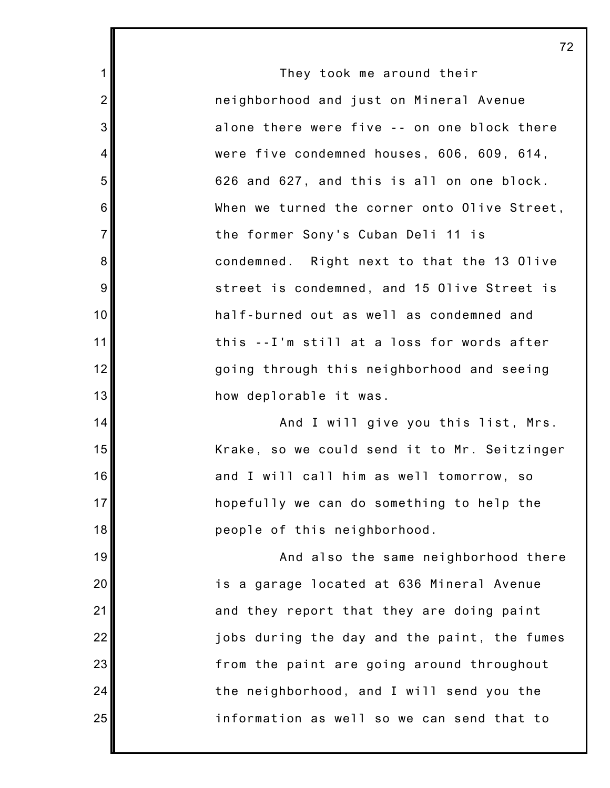They took me around their neighborhood and just on Mineral Avenue alone there were five -- on one block there were five condemned houses, 606, 609, 614, 626 and 627, and this is all on one block. When we turned the corner onto Olive Street, the former Sony's Cuban Deli 11 is condemned. Right next to that the 13 Olive street is condemned, and 15 Olive Street is half-burned out as well as condemned and this --I'm still at a loss for words after going through this neighborhood and seeing how deplorable it was.

1

2

3

4

5

6

7

8

9

10

11

12

13

14

15

16

17

18

19

20

21

22

23

24

25

And I will give you this list, Mrs. Krake, so we could send it to Mr. Seitzinger and I will call him as well tomorrow, so hopefully we can do something to help the people of this neighborhood.

And also the same neighborhood there is a garage located at 636 Mineral Avenue and they report that they are doing paint jobs during the day and the paint, the fumes from the paint are going around throughout the neighborhood, and I will send you the information as well so we can send that to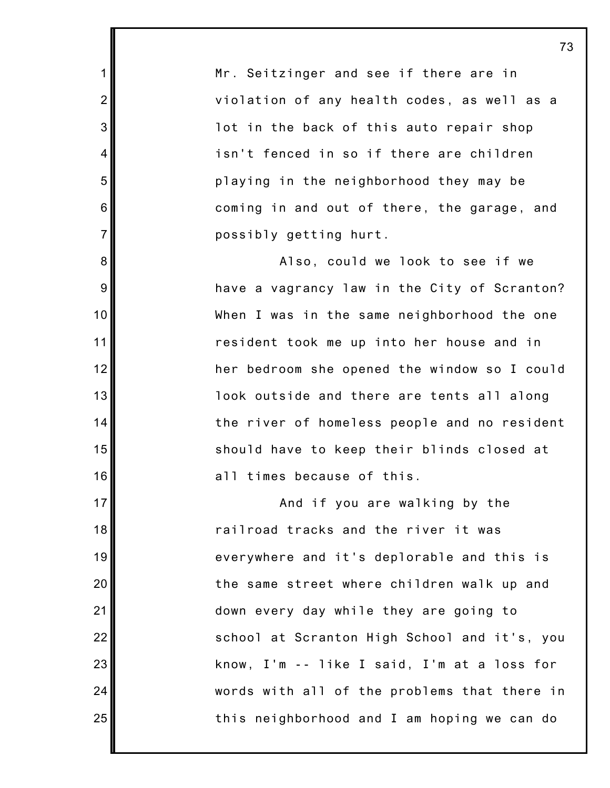Mr. Seitzinger and see if there are in violation of any health codes, as well as a lot in the back of this auto repair shop isn't fenced in so if there are children playing in the neighborhood they may be coming in and out of there, the garage, and possibly getting hurt.

1

2

3

4

5

6

7

8

9

10

11

12

13

14

15

16

17

18

19

20

21

22

23

24

25

Also, could we look to see if we have a vagrancy law in the City of Scranton? When I was in the same neighborhood the one resident took me up into her house and in her bedroom she opened the window so I could look outside and there are tents all along the river of homeless people and no resident should have to keep their blinds closed at all times because of this.

And if you are walking by the railroad tracks and the river it was everywhere and it's deplorable and this is the same street where children walk up and down every day while they are going to school at Scranton High School and it's, you know, I'm -- like I said, I'm at a loss for words with all of the problems that there in this neighborhood and I am hoping we can do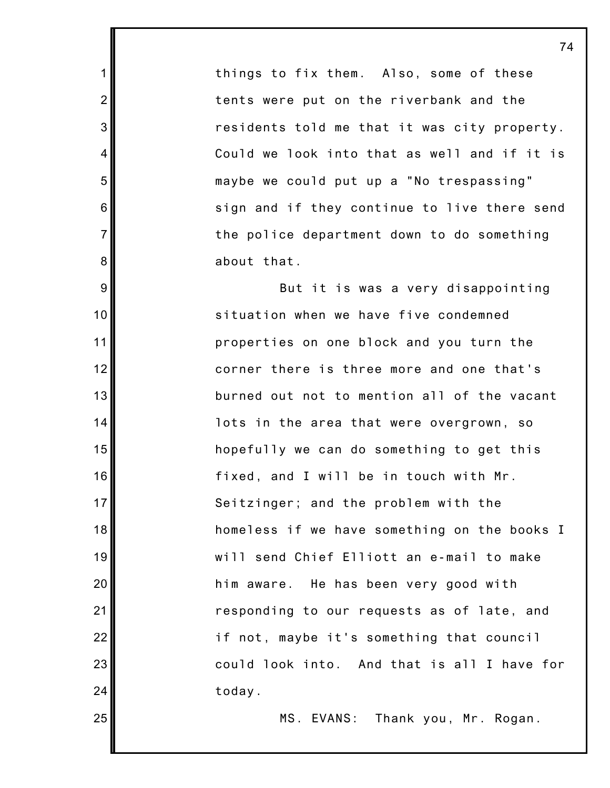things to fix them. Also, some of these tents were put on the riverbank and the residents told me that it was city property. Could we look into that as well and if it is maybe we could put up a "No trespassing" sign and if they continue to live there send the police department down to do something about that.

1

2

3

4

5

6

7

8

9

10

11

12

13

14

15

16

17

18

19

20

21

22

23

24

25

But it is was a very disappointing situation when we have five condemned properties on one block and you turn the corner there is three more and one that's burned out not to mention all of the vacant lots in the area that were overgrown, so hopefully we can do something to get this fixed, and I will be in touch with Mr. Seitzinger; and the problem with the homeless if we have something on the books I will send Chief Elliott an e-mail to make him aware. He has been very good with responding to our requests as of late, and if not, maybe it's something that council could look into. And that is all I have for today.

MS. EVANS: Thank you, Mr. Rogan.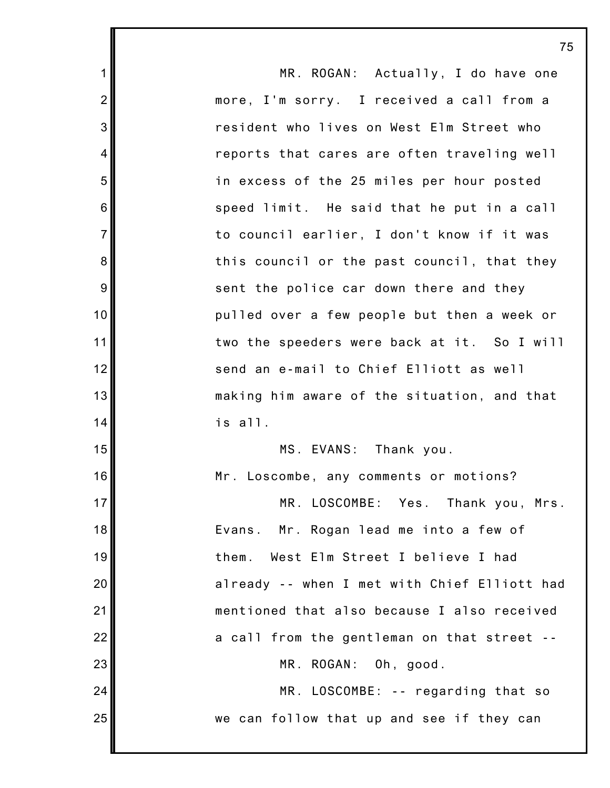| $\mathbf 1$     | MR. ROGAN: Actually, I do have one           |
|-----------------|----------------------------------------------|
| $\overline{2}$  | more, I'm sorry. I received a call from a    |
| 3               | resident who lives on West Elm Street who    |
| 4               | reports that cares are often traveling well  |
| 5               | in excess of the 25 miles per hour posted    |
| $6\phantom{1}6$ | speed limit. He said that he put in a call   |
| $\overline{7}$  | to council earlier, I don't know if it was   |
| $\bf 8$         | this council or the past council, that they  |
| $9\,$           | sent the police car down there and they      |
| 10              | pulled over a few people but then a week or  |
| 11              | two the speeders were back at it. So I will  |
| 12              | send an e-mail to Chief Elliott as well      |
| 13              | making him aware of the situation, and that  |
| 14              | is all.                                      |
| 15              | MS. EVANS: Thank you.                        |
| 16              | Mr. Loscombe, any comments or motions?       |
| 17 <sup>1</sup> | MR. LOSCOMBE: Yes. Thank you, Mrs.           |
| 18              | Evans. Mr. Rogan lead me into a few of       |
| 19              | West Elm Street I believe I had<br>them.     |
| 20              | already -- when I met with Chief Elliott had |
| 21              | mentioned that also because I also received  |
| 22              | a call from the gentleman on that street --  |
| 23              | MR. ROGAN: Oh, good.                         |
| 24              | MR. LOSCOMBE: -- regarding that so           |
| 25              | we can follow that up and see if they can    |
|                 |                                              |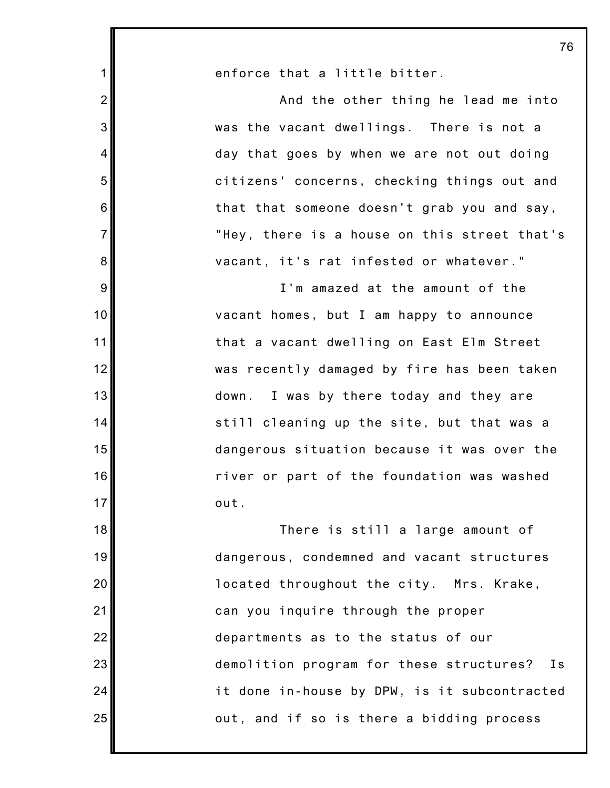| 1              | enforce that a little bitter.                |
|----------------|----------------------------------------------|
| $\overline{2}$ | And the other thing he lead me into          |
| 3              | was the vacant dwellings. There is not a     |
| $\overline{4}$ | day that goes by when we are not out doing   |
| 5              | citizens' concerns, checking things out and  |
| 6              | that that someone doesn't grab you and say,  |
| $\overline{7}$ | "Hey, there is a house on this street that's |
| 8              | vacant, it's rat infested or whatever."      |
| 9              | I'm amazed at the amount of the              |
| 10             | vacant homes, but I am happy to announce     |
| 11             | that a vacant dwelling on East Elm Street    |
| 12             | was recently damaged by fire has been taken  |
| 13             | down. I was by there today and they are      |
| 14             | still cleaning up the site, but that was a   |
| 15             | dangerous situation because it was over the  |
| 16             | river or part of the foundation was washed   |
| 17             | out.                                         |
| 18             | There is still a large amount of             |
| 19             | dangerous, condemned and vacant structures   |
| 20             | located throughout the city. Mrs. Krake,     |
| 21             | can you inquire through the proper           |
| 22             | departments as to the status of our          |
| 23             | demolition program for these structures? Is  |
| 24             | it done in-house by DPW, is it subcontracted |
| 25             | out, and if so is there a bidding process    |
|                |                                              |

Ш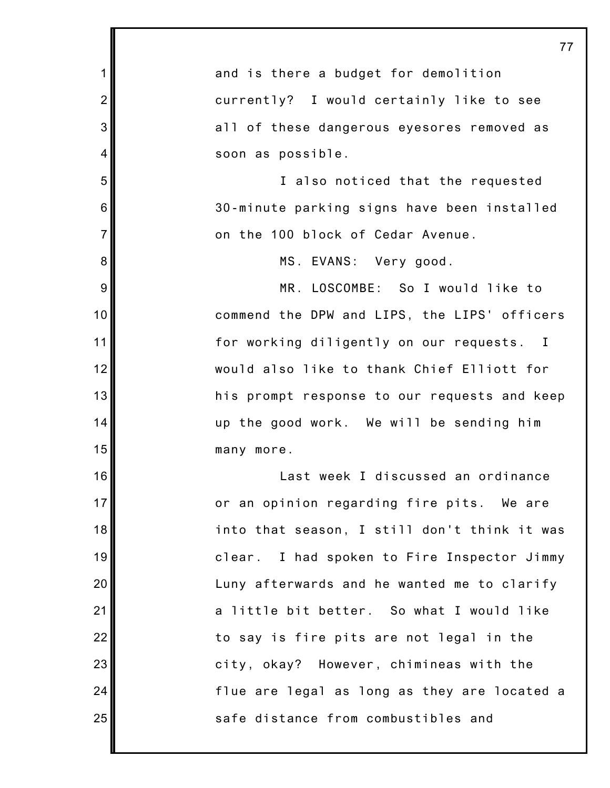1 2 3 4 5 6 7 8 9 10 11 12 13 14 15 16 17 18 19 20 21 22 23 24 25 77 and is there a budget for demolition currently? I would certainly like to see all of these dangerous eyesores removed as soon as possible. I also noticed that the requested 30-minute parking signs have been installed on the 100 block of Cedar Avenue. MS. EVANS: Very good. MR. LOSCOMBE: So I would like to commend the DPW and LIPS, the LIPS' officers for working diligently on our requests. I would also like to thank Chief Elliott for his prompt response to our requests and keep up the good work. We will be sending him many more. Last week I discussed an ordinance or an opinion regarding fire pits. We are into that season, I still don't think it was clear. I had spoken to Fire Inspector Jimmy Luny afterwards and he wanted me to clarify a little bit better. So what I would like to say is fire pits are not legal in the city, okay? However, chimineas with the flue are legal as long as they are located a safe distance from combustibles and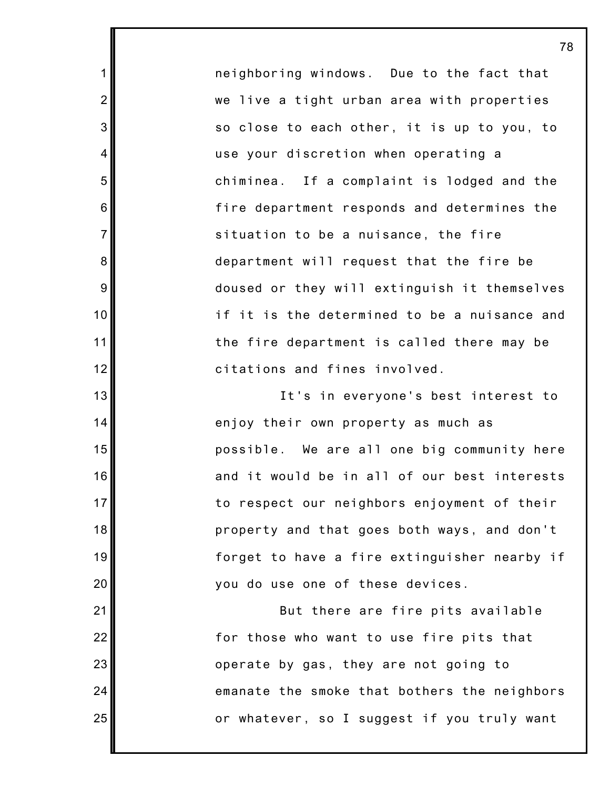neighboring windows. Due to the fact that we live a tight urban area with properties so close to each other, it is up to you, to use your discretion when operating a chiminea. If a complaint is lodged and the fire department responds and determines the situation to be a nuisance, the fire department will request that the fire be doused or they will extinguish it themselves if it is the determined to be a nuisance and the fire department is called there may be citations and fines involved.

1

2

3

4

5

6

7

8

9

10

11

12

13

14

15

16

17

18

19

20

21

22

23

24

25

It's in everyone's best interest to enjoy their own property as much as possible. We are all one big community here and it would be in all of our best interests to respect our neighbors enjoyment of their property and that goes both ways, and don't forget to have a fire extinguisher nearby if you do use one of these devices.

But there are fire pits available for those who want to use fire pits that operate by gas, they are not going to emanate the smoke that bothers the neighbors or whatever, so I suggest if you truly want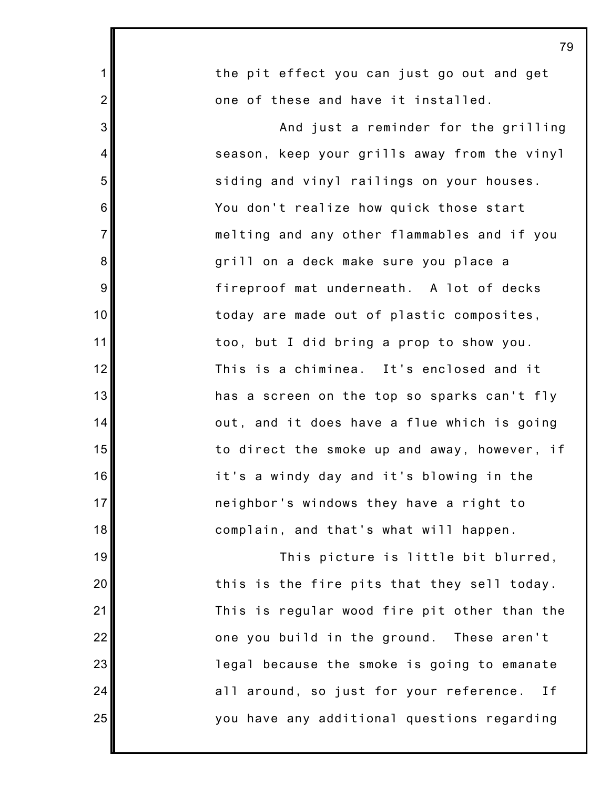| $\mathbf 1$    | the pit effect you can just go out and get     |
|----------------|------------------------------------------------|
| $\overline{2}$ | one of these and have it installed.            |
| 3              | And just a reminder for the grilling           |
| 4              | season, keep your grills away from the vinyl   |
| 5              | siding and vinyl railings on your houses.      |
| 6              | You don't realize how quick those start        |
| $\overline{7}$ | melting and any other flammables and if you    |
| $\bf 8$        | grill on a deck make sure you place a          |
| 9              | fireproof mat underneath. A lot of decks       |
| 10             | today are made out of plastic composites,      |
| 11             | too, but I did bring a prop to show you.       |
| 12             | This is a chiminea. It's enclosed and it       |
| 13             | has a screen on the top so sparks can't fly    |
| 14             | out, and it does have a flue which is going    |
| 15             | to direct the smoke up and away, however, if   |
| 16             | it's a windy day and it's blowing in the       |
| 17             | neighbor's windows they have a right to        |
| 18             | complain, and that's what will happen.         |
| 19             | This picture is little bit blurred,            |
| 20             | this is the fire pits that they sell today.    |
| 21             | This is regular wood fire pit other than the   |
| 22             | one you build in the ground. These aren't      |
| 23             | legal because the smoke is going to emanate    |
| 24             | all around, so just for your reference.<br>I f |
| 25             | you have any additional questions regarding    |
|                |                                                |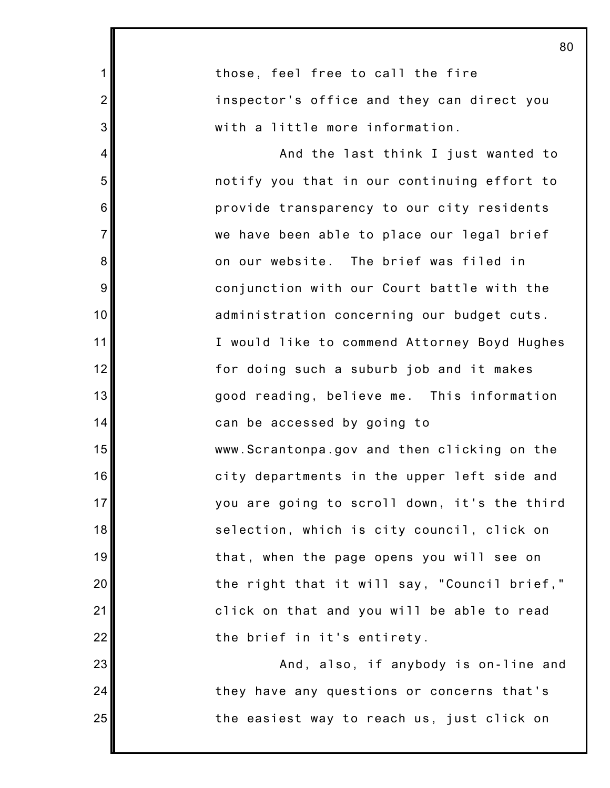|                | ັ                                            |
|----------------|----------------------------------------------|
| $\mathbf 1$    | those, feel free to call the fire            |
| $\overline{2}$ | inspector's office and they can direct you   |
| 3              | with a little more information.              |
| $\overline{4}$ | And the last think I just wanted to          |
| 5              | notify you that in our continuing effort to  |
| 6              | provide transparency to our city residents   |
| $\overline{7}$ | we have been able to place our legal brief   |
| 8              | on our website. The brief was filed in       |
| 9              | conjunction with our Court battle with the   |
| 10             | administration concerning our budget cuts.   |
| 11             | I would like to commend Attorney Boyd Hughes |
| 12             | for doing such a suburb job and it makes     |
| 13             | good reading, believe me. This information   |
| 14             | can be accessed by going to                  |
| 15             | www.Scrantonpa.gov and then clicking on the  |
| 16             | city departments in the upper left side and  |
| 17             | you are going to scroll down, it's the third |
| 18             | selection, which is city council, click on   |
| 19             | that, when the page opens you will see on    |
| 20             | the right that it will say, "Council brief," |
| 21             | click on that and you will be able to read   |
| 22             | the brief in it's entirety.                  |
| 23             | And, also, if anybody is on-line and         |
| 24             | they have any questions or concerns that's   |
| 25             | the easiest way to reach us, just click on   |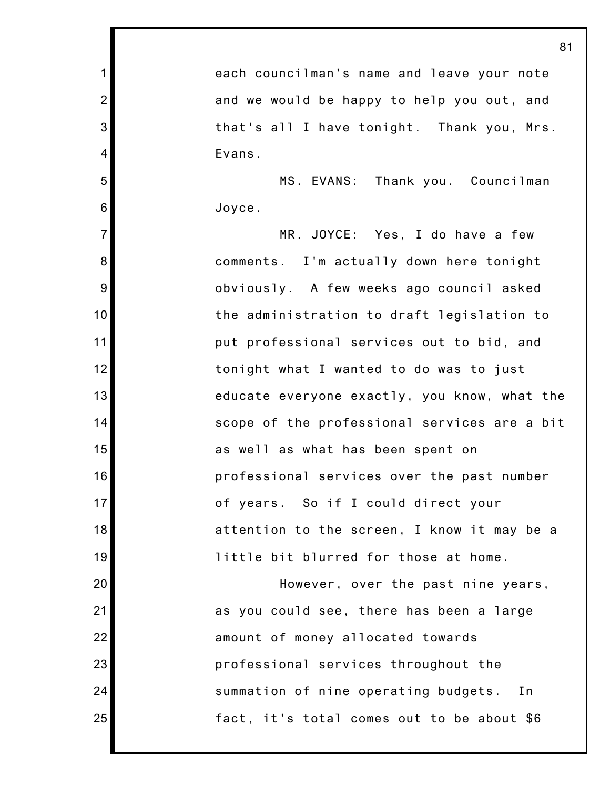1 2 3 4 5 6 7 8 9 10 11 12 13 14 15 16 17 18 19 20 21 22 23 24 25 81 each councilman's name and leave your note and we would be happy to help you out, and that's all I have tonight. Thank you, Mrs. Evans. MS. EVANS: Thank you. Councilman Joyce. MR. JOYCE: Yes, I do have a few comments. I'm actually down here tonight obviously. A few weeks ago council asked the administration to draft legislation to put professional services out to bid, and tonight what I wanted to do was to just educate everyone exactly, you know, what the scope of the professional services are a bit as well as what has been spent on professional services over the past number of years. So if I could direct your attention to the screen, I know it may be a little bit blurred for those at home. However, over the past nine years, as you could see, there has been a large amount of money allocated towards professional services throughout the summation of nine operating budgets. In fact, it's total comes out to be about \$6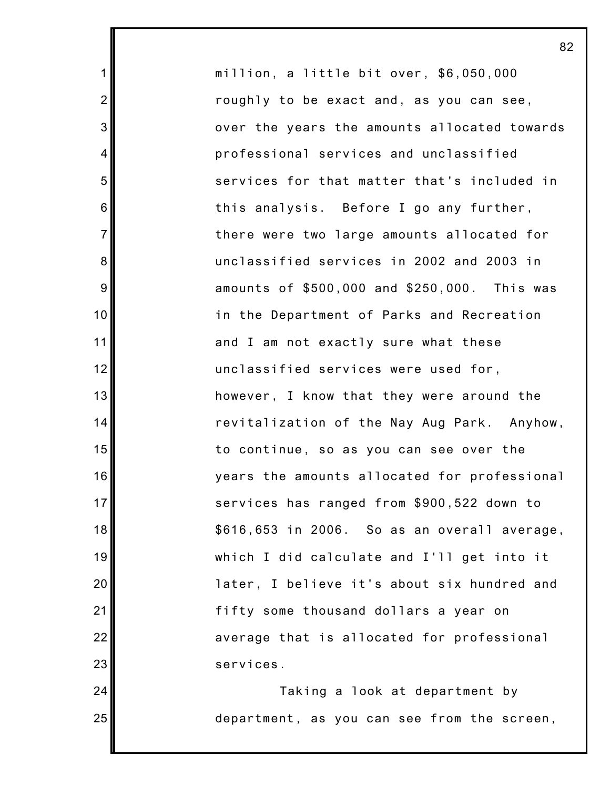million, a little bit over, \$6,050,000 roughly to be exact and, as you can see, over the years the amounts allocated towards professional services and unclassified services for that matter that's included in this analysis. Before I go any further, there were two large amounts allocated for unclassified services in 2002 and 2003 in amounts of \$500,000 and \$250,000. This was in the Department of Parks and Recreation and I am not exactly sure what these unclassified services were used for, however, I know that they were around the revitalization of the Nay Aug Park. Anyhow, to continue, so as you can see over the years the amounts allocated for professional services has ranged from \$900,522 down to \$616,653 in 2006. So as an overall average, which I did calculate and I'll get into it later, I believe it's about six hundred and fifty some thousand dollars a year on average that is allocated for professional services.

1

2

3

4

5

6

7

8

9

10

11

12

13

14

15

16

17

18

19

20

21

22

23

24

25

Taking a look at department by department, as you can see from the screen,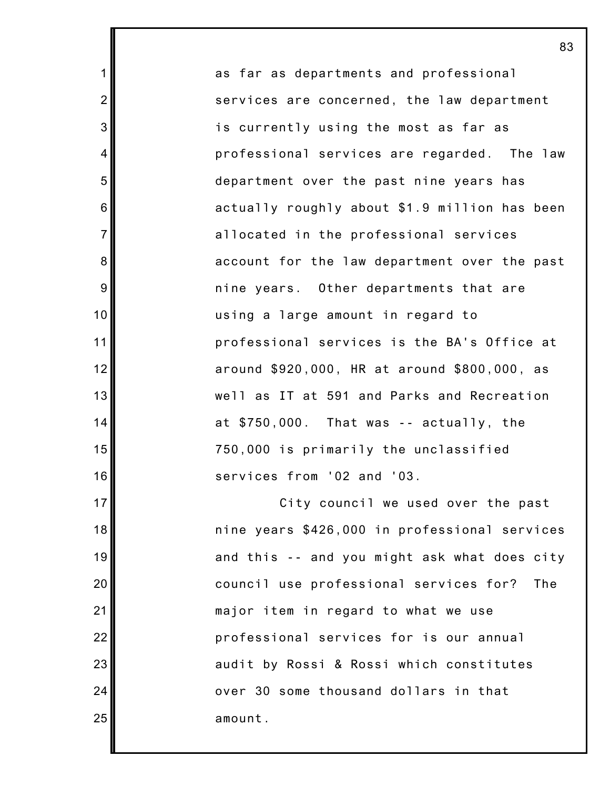as far as departments and professional services are concerned, the law department is currently using the most as far as professional services are regarded. The law department over the past nine years has actually roughly about \$1.9 million has been allocated in the professional services account for the law department over the past nine years. Other departments that are using a large amount in regard to professional services is the BA's Office at around \$920,000, HR at around \$800,000, as well as IT at 591 and Parks and Recreation at \$750,000. That was -- actually, the 750,000 is primarily the unclassified services from '02 and '03.

1

2

3

4

5

6

7

8

9

10

11

12

13

14

15

16

17

18

19

20

21

22

23

24

25

City council we used over the past nine years \$426,000 in professional services and this -- and you might ask what does city council use professional services for? The major item in regard to what we use professional services for is our annual audit by Rossi & Rossi which constitutes over 30 some thousand dollars in that amount.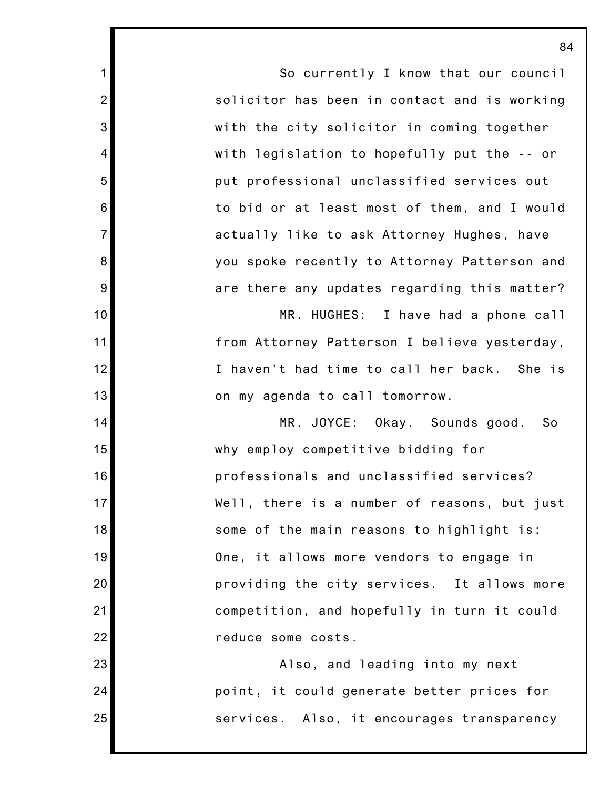So currently I know that our council solicitor has been in contact and is working with the city solicitor in coming together with legislation to hopefully put the -- or put professional unclassified services out to bid or at least most of them, and I would actually like to ask Attorney Hughes, have you spoke recently to Attorney Patterson and are there any updates regarding this matter?

1

2

3

4

5

6

7

8

9

10

11

12

13

14

15

16

17

18

19

20

21

22

23

24

25

MR. HUGHES: I have had a phone call from Attorney Patterson I believe yesterday, I haven't had time to call her back. She is on my agenda to call tomorrow.

MR. JOYCE: Okay. Sounds good. So why employ competitive bidding for professionals and unclassified services? Well, there is a number of reasons, but just some of the main reasons to highlight is: One, it allows more vendors to engage in providing the city services. It allows more competition, and hopefully in turn it could reduce some costs.

Also, and leading into my next point, it could generate better prices for services. Also, it encourages transparency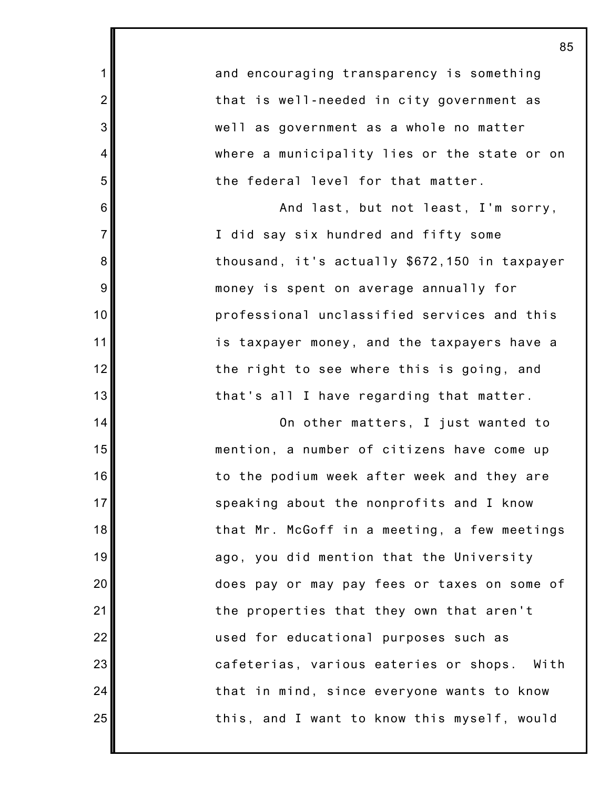|                | 85                                            |
|----------------|-----------------------------------------------|
| $\mathbf 1$    | and encouraging transparency is something     |
| $\overline{2}$ | that is well-needed in city government as     |
| 3              | well as government as a whole no matter       |
| 4              | where a municipality lies or the state or on  |
| 5              | the federal level for that matter.            |
| 6              | And last, but not least, I'm sorry,           |
| $\overline{7}$ | I did say six hundred and fifty some          |
| 8              | thousand, it's actually \$672,150 in taxpayer |
| $9\,$          | money is spent on average annually for        |
| 10             | professional unclassified services and this   |
| 11             | is taxpayer money, and the taxpayers have a   |
| 12             | the right to see where this is going, and     |
| 13             | that's all I have regarding that matter.      |
| 14             | On other matters, I just wanted to            |
| 15             | mention, a number of citizens have come up    |
| 16             | to the podium week after week and they are    |
| 17             | speaking about the nonprofits and I know      |
| 18             | that Mr. McGoff in a meeting, a few meetings  |
| 19             | ago, you did mention that the University      |
| 20             | does pay or may pay fees or taxes on some of  |
| 21             | the properties that they own that aren't      |
| 22             | used for educational purposes such as         |
| 23             | cafeterias, various eateries or shops. With   |
| 24             | that in mind, since everyone wants to know    |
| 25             | this, and I want to know this myself, would   |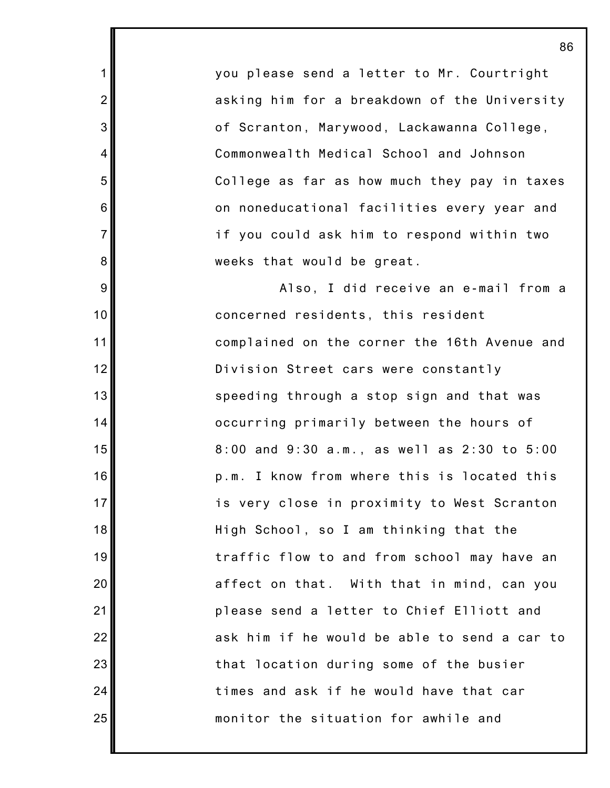you please send a letter to Mr. Courtright asking him for a breakdown of the University of Scranton, Marywood, Lackawanna College, Commonwealth Medical School and Johnson College as far as how much they pay in taxes on noneducational facilities every year and if you could ask him to respond within two weeks that would be great.

1

2

3

4

5

6

7

8

9

10

11

12

13

14

15

16

17

18

19

20

21

22

23

24

25

Also, I did receive an e-mail from a concerned residents, this resident complained on the corner the 16th Avenue and Division Street cars were constantly speeding through a stop sign and that was occurring primarily between the hours of 8:00 and 9:30 a.m., as well as 2:30 to 5:00 p.m. I know from where this is located this is very close in proximity to West Scranton High School, so I am thinking that the traffic flow to and from school may have an affect on that. With that in mind, can you please send a letter to Chief Elliott and ask him if he would be able to send a car to that location during some of the busier times and ask if he would have that car monitor the situation for awhile and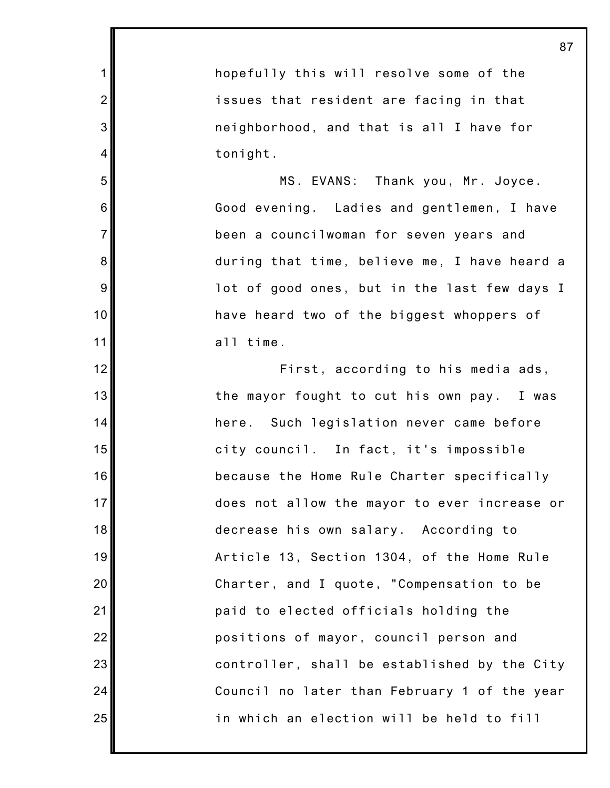hopefully this will resolve some of the issues that resident are facing in that neighborhood, and that is all I have for tonight.

1

2

3

4

5

6

7

8

9

10

11

12

13

14

15

16

17

18

19

20

21

22

23

24

25

MS. EVANS: Thank you, Mr. Joyce. Good evening. Ladies and gentlemen, I have been a councilwoman for seven years and during that time, believe me, I have heard a lot of good ones, but in the last few days I have heard two of the biggest whoppers of all time.

First, according to his media ads, the mayor fought to cut his own pay. I was here. Such legislation never came before city council. In fact, it's impossible because the Home Rule Charter specifically does not allow the mayor to ever increase or decrease his own salary. According to Article 13, Section 1304, of the Home Rule Charter, and I quote, "Compensation to be paid to elected officials holding the positions of mayor, council person and controller, shall be established by the City Council no later than February 1 of the year in which an election will be held to fill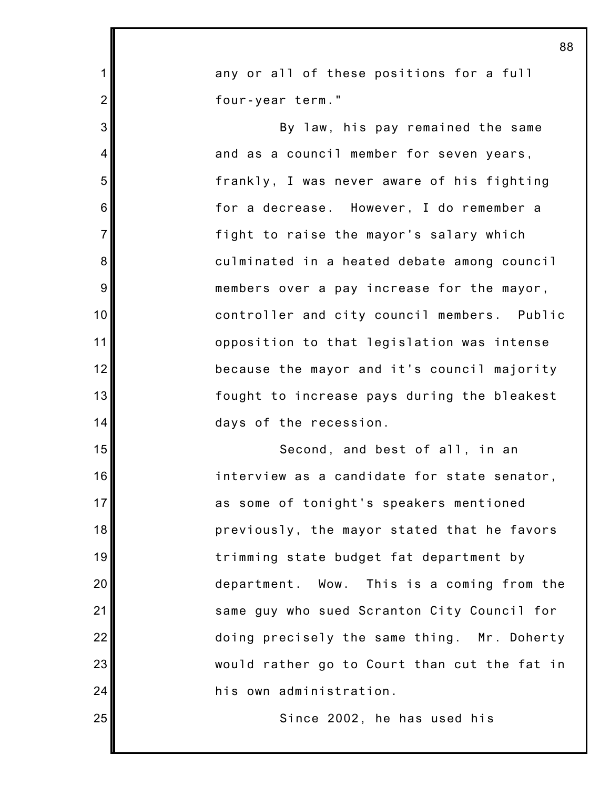|                | 88                                           |
|----------------|----------------------------------------------|
| $\mathbf 1$    | any or all of these positions for a full     |
| $\overline{2}$ | four-year term."                             |
| 3              | By law, his pay remained the same            |
| 4              | and as a council member for seven years,     |
| 5              | frankly, I was never aware of his fighting   |
| 6              | for a decrease. However, I do remember a     |
| $\overline{7}$ | fight to raise the mayor's salary which      |
| 8              | culminated in a heated debate among council  |
| 9              | members over a pay increase for the mayor,   |
| 10             | controller and city council members. Public  |
| 11             | opposition to that legislation was intense   |
| 12             | because the mayor and it's council majority  |
| 13             | fought to increase pays during the bleakest  |
| 14             | days of the recession.                       |
| 15             | Second, and best of all, in an               |
| 16             | interview as a candidate for state senator,  |
| 17             | as some of tonight's speakers mentioned      |
| 18             | previously, the mayor stated that he favors  |
| 19             | trimming state budget fat department by      |
| 20             | department. Wow. This is a coming from the   |
| 21             | same guy who sued Scranton City Council for  |
| 22             | doing precisely the same thing. Mr. Doherty  |
| 23             | would rather go to Court than cut the fat in |
| 24             | his own administration.                      |
| 25             | Since 2002, he has used his                  |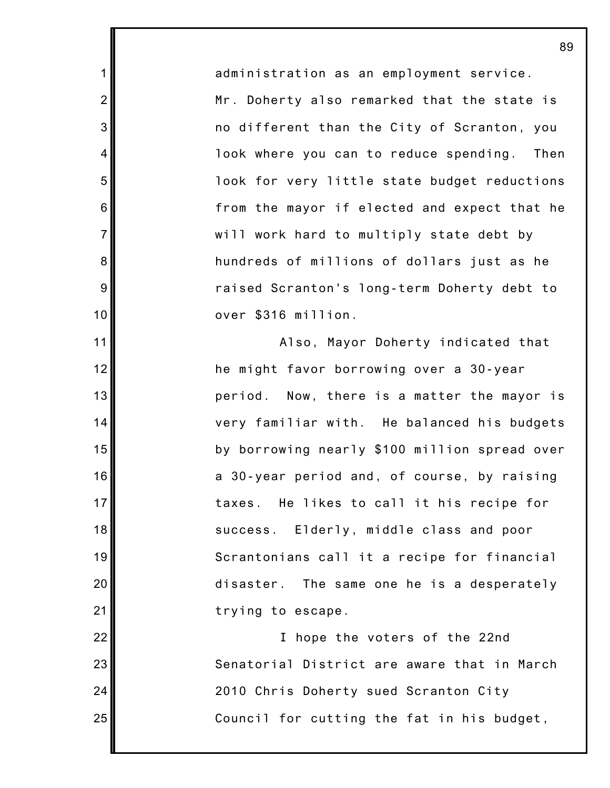administration as an employment service. Mr. Doherty also remarked that the state is no different than the City of Scranton, you look where you can to reduce spending. Then look for very little state budget reductions from the mayor if elected and expect that he will work hard to multiply state debt by hundreds of millions of dollars just as he raised Scranton's long-term Doherty debt to over \$316 million.

1

2

3

4

5

6

7

8

9

10

11

12

13

14

15

16

17

18

19

20

21

22

23

24

25

Also, Mayor Doherty indicated that he might favor borrowing over a 30-year period. Now, there is a matter the mayor is very familiar with. He balanced his budgets by borrowing nearly \$100 million spread over a 30-year period and, of course, by raising taxes. He likes to call it his recipe for success. Elderly, middle class and poor Scrantonians call it a recipe for financial disaster. The same one he is a desperately trying to escape.

I hope the voters of the 22nd Senatorial District are aware that in March 2010 Chris Doherty sued Scranton City Council for cutting the fat in his budget,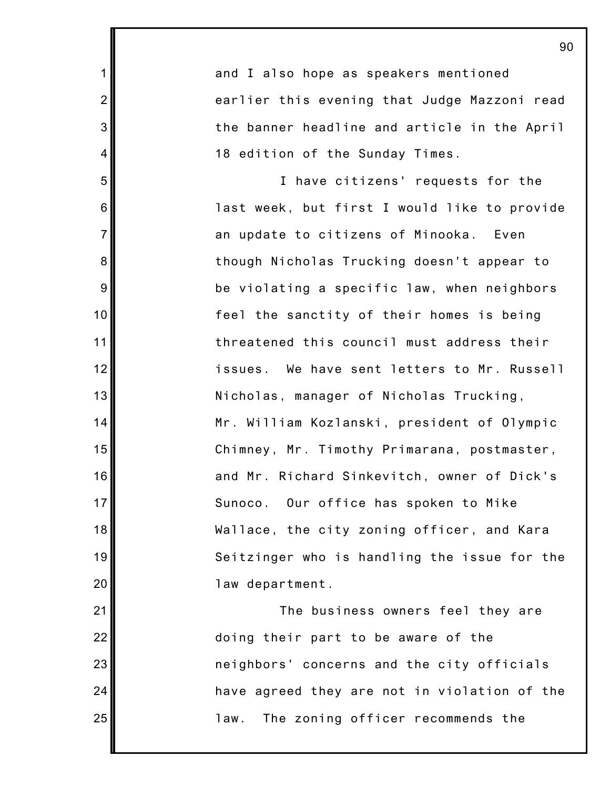3 6 7 10 12 13 14 15 16 17 18 19 20 22 23 and I also hope as speakers mentioned earlier this evening that Judge Mazzoni read the banner headline and article in the April 18 edition of the Sunday Times. I have citizens' requests for the last week, but first I would like to provide an update to citizens of Minooka. Even though Nicholas Trucking doesn't appear to be violating a specific law, when neighbors feel the sanctity of their homes is being threatened this council must address their issues. We have sent letters to Mr. Russell Nicholas, manager of Nicholas Trucking, Mr. William Kozlanski, president of Olympic Chimney, Mr. Timothy Primarana, postmaster, and Mr. Richard Sinkevitch, owner of Dick's Sunoco. Our office has spoken to Mike Wallace, the city zoning officer, and Kara Seitzinger who is handling the issue for the law department. The business owners feel they are doing their part to be aware of the neighbors' concerns and the city officials

1

2

4

5

8

9

11

21

24

25

law. The zoning officer recommends the

have agreed they are not in violation of the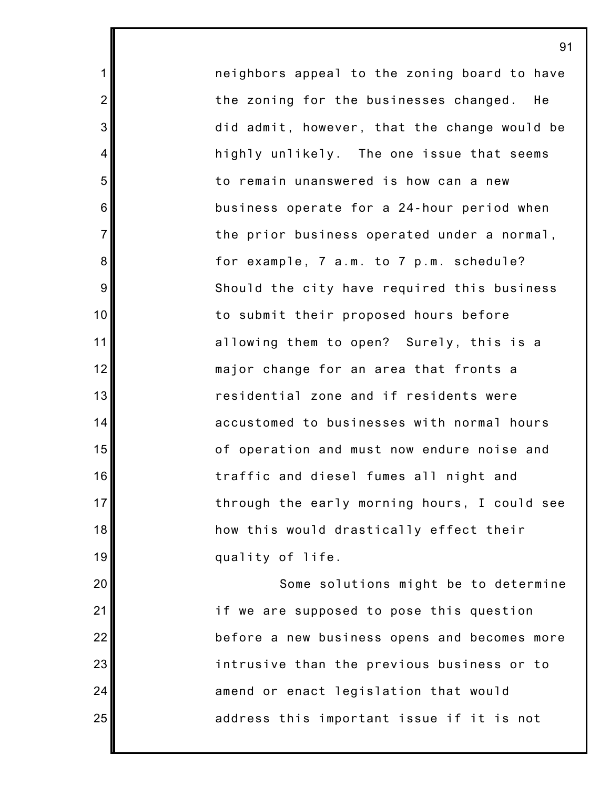neighbors appeal to the zoning board to have the zoning for the businesses changed. He did admit, however, that the change would be highly unlikely. The one issue that seems to remain unanswered is how can a new business operate for a 24-hour period when the prior business operated under a normal, for example, 7 a.m. to 7 p.m. schedule? Should the city have required this business to submit their proposed hours before allowing them to open? Surely, this is a major change for an area that fronts a residential zone and if residents were accustomed to businesses with normal hours of operation and must now endure noise and traffic and diesel fumes all night and through the early morning hours, I could see how this would drastically effect their quality of life.

1

2

3

4

5

6

7

8

9

10

11

12

13

14

15

16

17

18

19

20

21

22

23

24

25

Some solutions might be to determine if we are supposed to pose this question before a new business opens and becomes more intrusive than the previous business or to amend or enact legislation that would address this important issue if it is not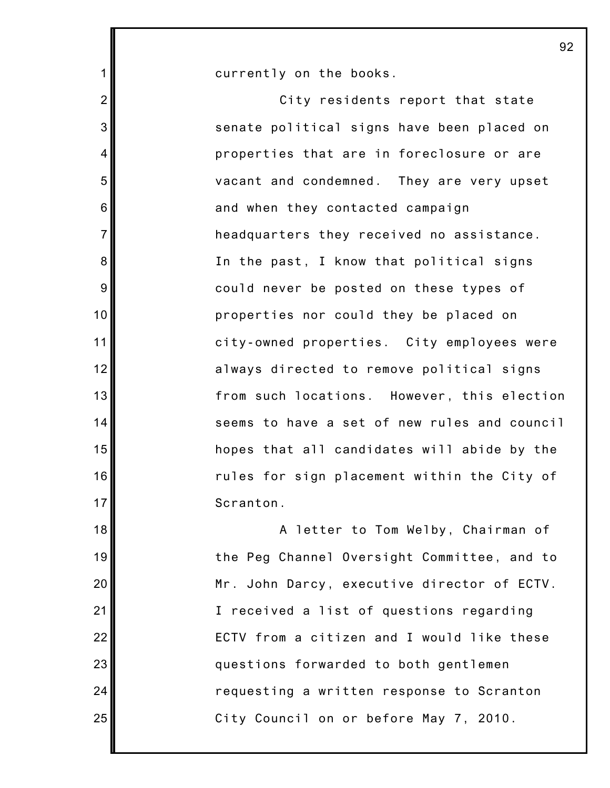currently on the books.

1

2

3

4

5

6

7

8

9

10

11

12

13

14

15

16

17

18

19

20

21

22

23

24

25

City residents report that state senate political signs have been placed on properties that are in foreclosure or are vacant and condemned. They are very upset and when they contacted campaign headquarters they received no assistance. In the past, I know that political signs could never be posted on these types of properties nor could they be placed on city-owned properties. City employees were always directed to remove political signs from such locations. However, this election seems to have a set of new rules and council hopes that all candidates will abide by the rules for sign placement within the City of Scranton.

A letter to Tom Welby, Chairman of the Peg Channel Oversight Committee, and to Mr. John Darcy, executive director of ECTV. I received a list of questions regarding ECTV from a citizen and I would like these questions forwarded to both gentlemen requesting a written response to Scranton City Council on or before May 7, 2010.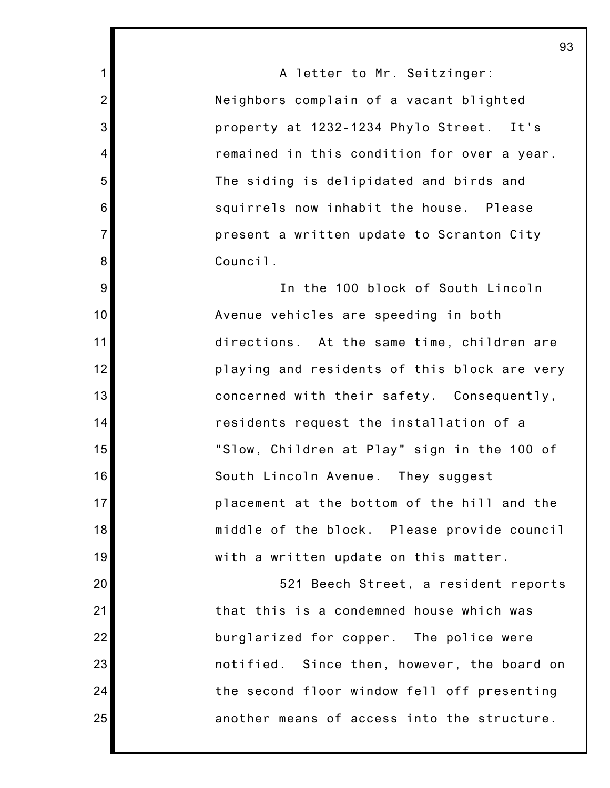A letter to Mr. Seitzinger: Neighbors complain of a vacant blighted property at 1232-1234 Phylo Street. It's remained in this condition for over a year. The siding is delipidated and birds and squirrels now inhabit the house. Please present a written update to Scranton City Council.

1

2

3

4

5

6

7

8

9

10

11

12

13

14

15

16

17

18

19

20

21

22

23

24

25

In the 100 block of South Lincoln Avenue vehicles are speeding in both directions. At the same time, children are playing and residents of this block are very concerned with their safety. Consequently, residents request the installation of a "Slow, Children at Play" sign in the 100 of South Lincoln Avenue. They suggest placement at the bottom of the hill and the middle of the block. Please provide council with a written update on this matter.

521 Beech Street, a resident reports that this is a condemned house which was burglarized for copper. The police were notified. Since then, however, the board on the second floor window fell off presenting another means of access into the structure.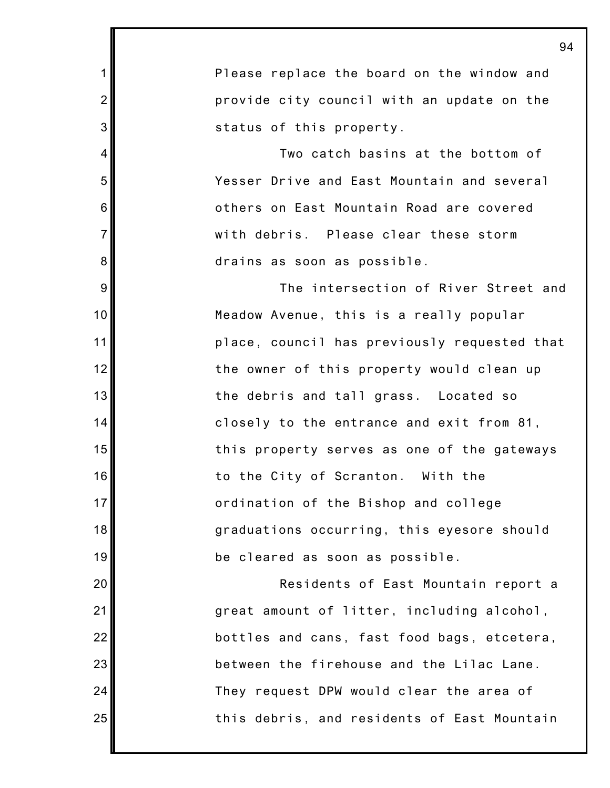1 2 3 4 5 6 7 8 9 10 11 12 13 14 15 16 17 18 19 20 21 22 23 24 25 Please replace the board on the window and provide city council with an update on the status of this property. Two catch basins at the bottom of Yesser Drive and East Mountain and several others on East Mountain Road are covered with debris. Please clear these storm drains as soon as possible. The intersection of River Street and Meadow Avenue, this is a really popular place, council has previously requested that the owner of this property would clean up the debris and tall grass. Located so closely to the entrance and exit from 81, this property serves as one of the gateways to the City of Scranton. With the ordination of the Bishop and college graduations occurring, this eyesore should be cleared as soon as possible. Residents of East Mountain report a great amount of litter, including alcohol, bottles and cans, fast food bags, etcetera, between the firehouse and the Lilac Lane. They request DPW would clear the area of this debris, and residents of East Mountain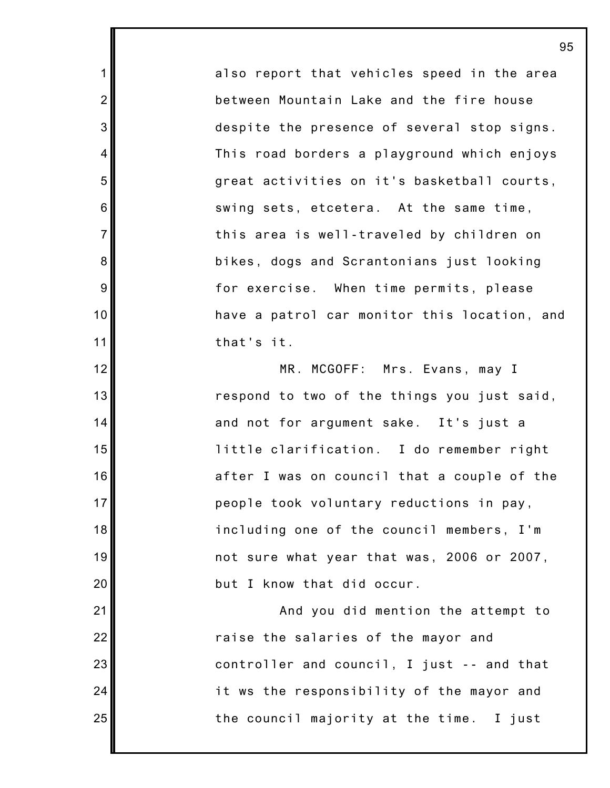also report that vehicles speed in the area between Mountain Lake and the fire house despite the presence of several stop signs. This road borders a playground which enjoys great activities on it's basketball courts, swing sets, etcetera. At the same time, this area is well-traveled by children on bikes, dogs and Scrantonians just looking for exercise. When time permits, please have a patrol car monitor this location, and that's it.

1

2

3

4

5

6

7

8

9

10

11

12

13

14

15

16

17

18

19

20

21

22

23

24

25

MR. MCGOFF: Mrs. Evans, may I respond to two of the things you just said, and not for argument sake. It's just a little clarification. I do remember right after I was on council that a couple of the people took voluntary reductions in pay, including one of the council members, I'm not sure what year that was, 2006 or 2007, but I know that did occur.

And you did mention the attempt to raise the salaries of the mayor and controller and council, I just -- and that it ws the responsibility of the mayor and the council majority at the time. I just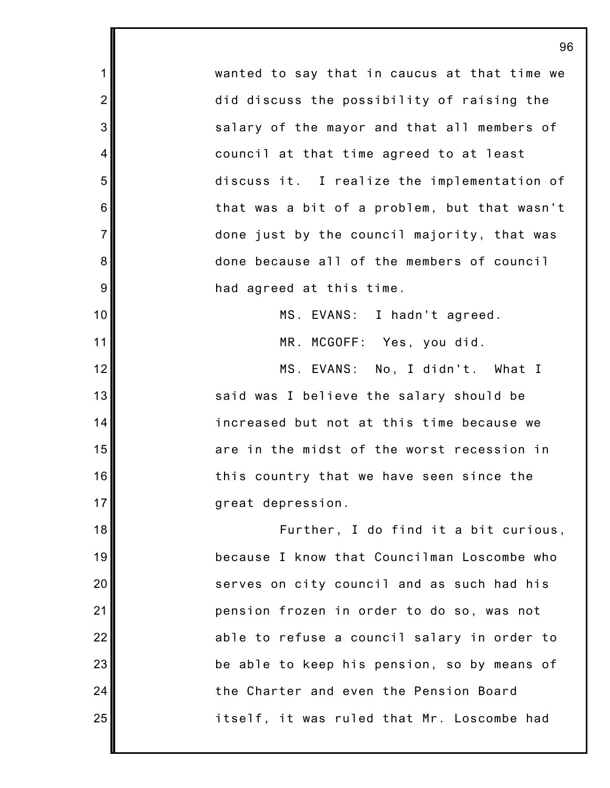wanted to say that in caucus at that time we did discuss the possibility of raising the salary of the mayor and that all members of council at that time agreed to at least discuss it. I realize the implementation of that was a bit of a problem, but that wasn't done just by the council majority, that was done because all of the members of council had agreed at this time.

1

2

3

4

5

6

7

8

9

10

11

12

13

14

15

16

17

18

19

20

21

22

23

24

25

MS. EVANS: I hadn't agreed.

MR. MCGOFF: Yes, you did.

MS. EVANS: No, I didn't. What I said was I believe the salary should be increased but not at this time because we are in the midst of the worst recession in this country that we have seen since the great depression.

Further, I do find it a bit curious, because I know that Councilman Loscombe who serves on city council and as such had his pension frozen in order to do so, was not able to refuse a council salary in order to be able to keep his pension, so by means of the Charter and even the Pension Board itself, it was ruled that Mr. Loscombe had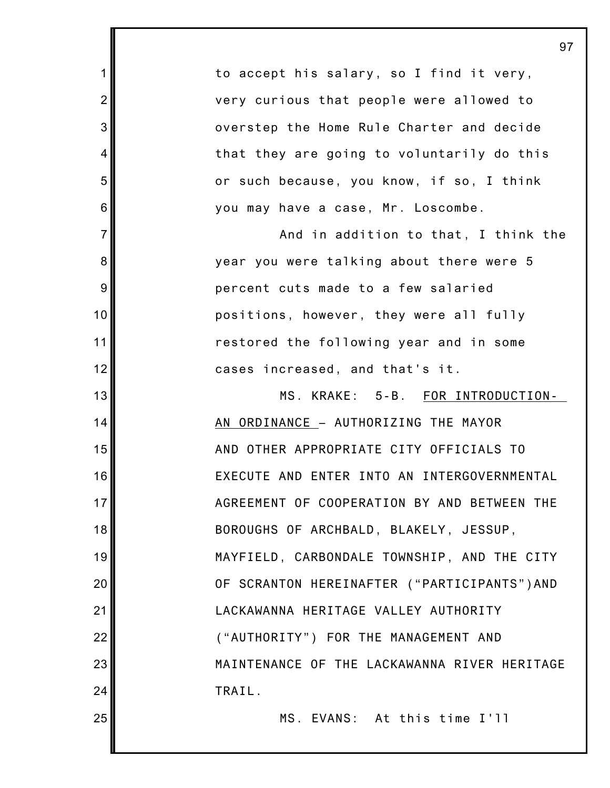to accept his salary, so I find it very, very curious that people were allowed to overstep the Home Rule Charter and decide that they are going to voluntarily do this or such because, you know, if so, I think you may have a case, Mr. Loscombe.

1

2

3

4

5

6

7

8

9

10

11

12

13

14

15

16

17

18

19

20

21

22

23

24

25

And in addition to that, I think the year you were talking about there were 5 percent cuts made to a few salaried positions, however, they were all fully restored the following year and in some cases increased, and that's it.

MS. KRAKE: 5-B. FOR INTRODUCTION-AN ORDINANCE – AUTHORIZING THE MAYOR AND OTHER APPROPRIATE CITY OFFICIALS TO EXECUTE AND ENTER INTO AN INTERGOVERNMENTAL AGREEMENT OF COOPERATION BY AND BETWEEN THE BOROUGHS OF ARCHBALD, BLAKELY, JESSUP, MAYFIELD, CARBONDALE TOWNSHIP, AND THE CITY OF SCRANTON HEREINAFTER ("PARTICIPANTS")AND LACKAWANNA HERITAGE VALLEY AUTHORITY ("AUTHORITY") FOR THE MANAGEMENT AND MAINTENANCE OF THE LACKAWANNA RIVER HERITAGE TRAIL.

MS. EVANS: At this time I'll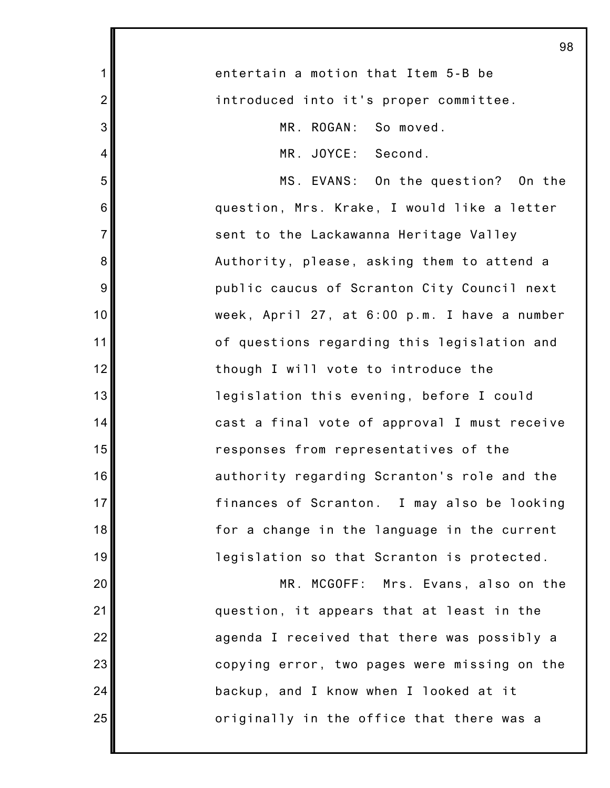| 98                                           |
|----------------------------------------------|
| entertain a motion that Item 5-B be          |
| introduced into it's proper committee.       |
| MR. ROGAN: So moved.                         |
| MR. JOYCE: Second.                           |
| MS. EVANS: On the question? On the           |
| question, Mrs. Krake, I would like a letter  |
| sent to the Lackawanna Heritage Valley       |
| Authority, please, asking them to attend a   |
| public caucus of Scranton City Council next  |
| week, April 27, at 6:00 p.m. I have a number |
| of questions regarding this legislation and  |
| though I will vote to introduce the          |
| legislation this evening, before I could     |
| cast a final vote of approval I must receive |
| responses from representatives of the        |
| authority regarding Scranton's role and the  |
| finances of Scranton. I may also be looking  |
| for a change in the language in the current  |
| legislation so that Scranton is protected.   |
| MR. MCGOFF: Mrs. Evans, also on the          |
| question, it appears that at least in the    |
| agenda I received that there was possibly a  |
| copying error, two pages were missing on the |
| backup, and I know when I looked at it       |
| originally in the office that there was a    |
|                                              |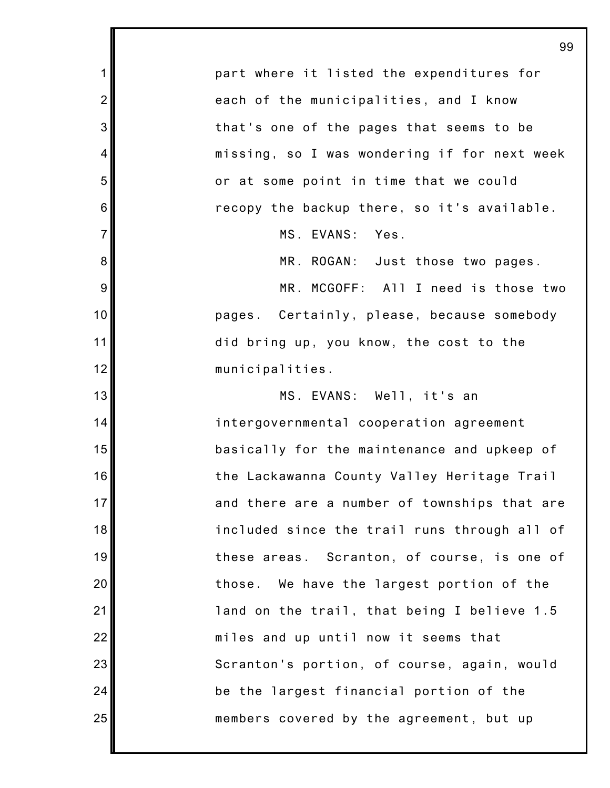|                | 99                                           |
|----------------|----------------------------------------------|
| $\mathbf 1$    | part where it listed the expenditures for    |
| $\overline{2}$ | each of the municipalities, and I know       |
| 3              | that's one of the pages that seems to be     |
| 4              | missing, so I was wondering if for next week |
| 5              | or at some point in time that we could       |
| 6              | recopy the backup there, so it's available.  |
| $\overline{7}$ | MS. EVANS: Yes.                              |
| 8              | MR. ROGAN: Just those two pages.             |
| 9              | MR. MCGOFF: All I need is those two          |
| 10             | pages. Certainly, please, because somebody   |
| 11             | did bring up, you know, the cost to the      |
| 12             | municipalities.                              |
| 13             | MS. EVANS: Well, it's an                     |
| 14             | intergovernmental cooperation agreement      |
| 15             | basically for the maintenance and upkeep of  |
| 16             | the Lackawanna County Valley Heritage Trail  |
| 17             | and there are a number of townships that are |
| 18             | included since the trail runs through all of |
| 19             | these areas. Scranton, of course, is one of  |
| 20             | those. We have the largest portion of the    |
| 21             | land on the trail, that being I believe 1.5  |
| 22             | miles and up until now it seems that         |
| 23             | Scranton's portion, of course, again, would  |
| 24             | be the largest financial portion of the      |
| 25             | members covered by the agreement, but up     |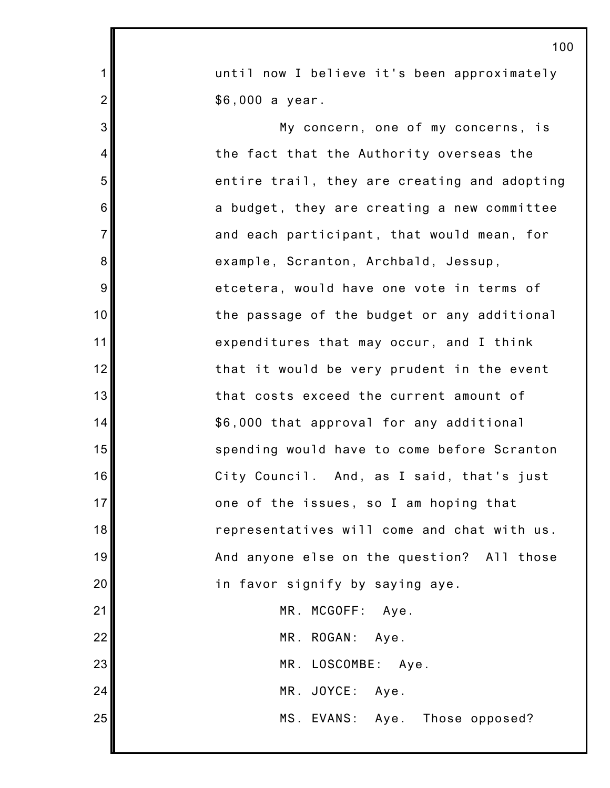|                | ט ו                                          |
|----------------|----------------------------------------------|
| 1              | until now I believe it's been approximately  |
| $\overline{2}$ | \$6,000 a year.                              |
| 3              | My concern, one of my concerns, is           |
| $\overline{4}$ | the fact that the Authority overseas the     |
| 5              | entire trail, they are creating and adopting |
| 6              | a budget, they are creating a new committee  |
| $\overline{7}$ | and each participant, that would mean, for   |
| 8              | example, Scranton, Archbald, Jessup,         |
| 9              | etcetera, would have one vote in terms of    |
| 10             | the passage of the budget or any additional  |
| 11             | expenditures that may occur, and I think     |
| 12             | that it would be very prudent in the event   |
| 13             | that costs exceed the current amount of      |
| 14             | \$6,000 that approval for any additional     |
| 15             | spending would have to come before Scranton  |
| 16             | City Council. And, as I said, that's just    |
| 17             | one of the issues, so I am hoping that       |
| 18             | representatives will come and chat with us.  |
| 19             | And anyone else on the question? All those   |
| 20             | in favor signify by saying aye.              |
| 21             | MR. MCGOFF: Aye.                             |
| 22             | MR. ROGAN: Aye.                              |
| 23             | MR. LOSCOMBE: Aye.                           |
| 24             | MR. JOYCE: Aye.                              |
| 25             | MS. EVANS: Aye. Those opposed?               |
|                |                                              |

I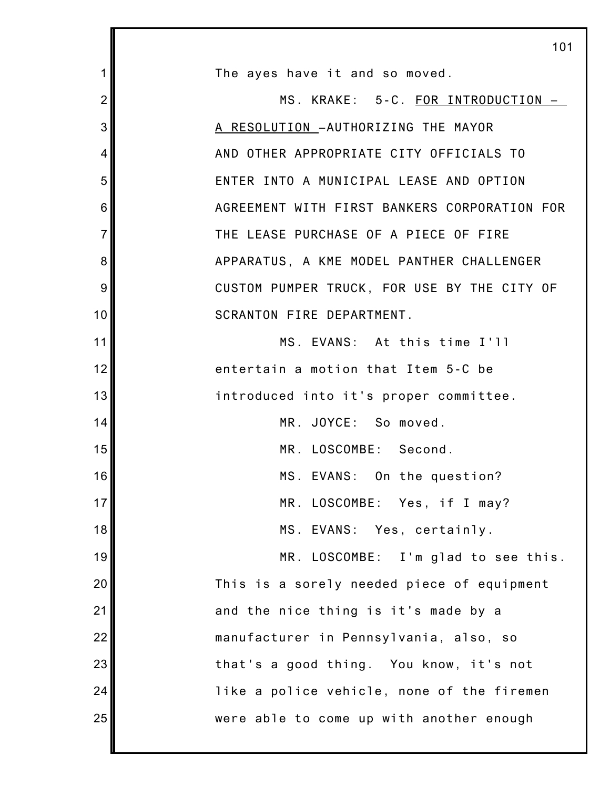|                | 101                                          |
|----------------|----------------------------------------------|
| 1              | The ayes have it and so moved.               |
| $\overline{2}$ | MS. KRAKE: 5-C. FOR INTRODUCTION -           |
| 3              | A RESOLUTION - AUTHORIZING THE MAYOR         |
| 4              | AND OTHER APPROPRIATE CITY OFFICIALS TO      |
| 5              | ENTER INTO A MUNICIPAL LEASE AND OPTION      |
| 6              | AGREEMENT WITH FIRST BANKERS CORPORATION FOR |
| $\overline{7}$ | THE LEASE PURCHASE OF A PIECE OF FIRE        |
| 8              | APPARATUS, A KME MODEL PANTHER CHALLENGER    |
| 9              | CUSTOM PUMPER TRUCK, FOR USE BY THE CITY OF  |
| 10             | SCRANTON FIRE DEPARTMENT.                    |
| 11             | MS. EVANS: At this time I'll                 |
| 12             | entertain a motion that Item 5-C be          |
| 13             | introduced into it's proper committee.       |
| 14             | MR. JOYCE: So moved.                         |
| 15             | MR. LOSCOMBE: Second.                        |
| 16             | MS. EVANS: On the question?                  |
| 17             | MR. LOSCOMBE: Yes, if I may?                 |
| 18             | MS. EVANS: Yes, certainly.                   |
| 19             | MR. LOSCOMBE: I'm glad to see this.          |
| 20             | This is a sorely needed piece of equipment   |
| 21             | and the nice thing is it's made by a         |
| 22             | manufacturer in Pennsylvania, also, so       |
| 23             | that's a good thing. You know, it's not      |
| 24             | like a police vehicle, none of the firemen   |
| 25             | were able to come up with another enough     |
|                |                                              |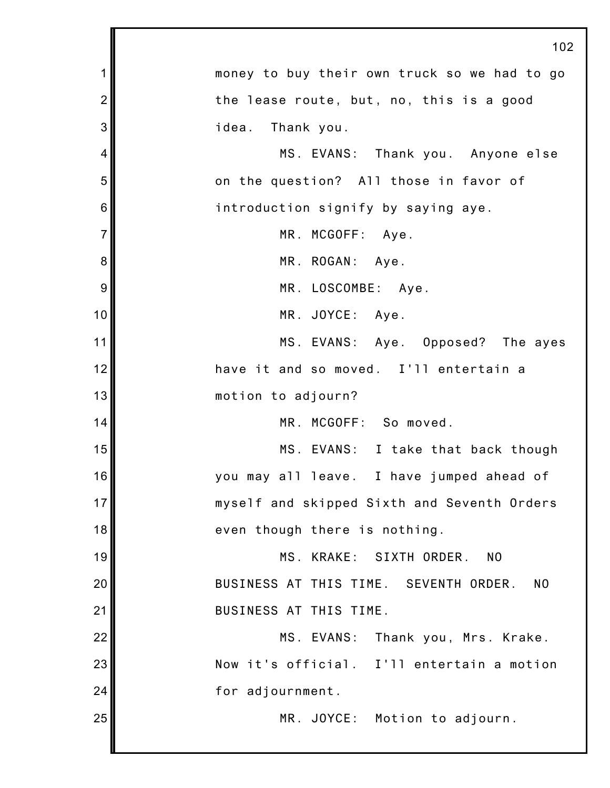|                | 102                                                     |
|----------------|---------------------------------------------------------|
| 1              | money to buy their own truck so we had to go            |
| $\overline{2}$ | the lease route, but, no, this is a good                |
| 3              | idea.<br>Thank you.                                     |
| 4              | MS. EVANS: Thank you. Anyone else                       |
| 5              | on the question? All those in favor of                  |
| 6              | introduction signify by saying aye.                     |
| $\overline{7}$ | MR. MCGOFF: Aye.                                        |
| 8              | MR. ROGAN: Aye.                                         |
| 9              | MR. LOSCOMBE: Aye.                                      |
| 10             | MR. JOYCE: Aye.                                         |
| 11             | MS. EVANS: Aye. Opposed? The ayes                       |
| 12             | have it and so moved. I'll entertain a                  |
| 13             | motion to adjourn?                                      |
| 14             | MR. MCGOFF: So moved.                                   |
| 15             | MS. EVANS: I take that back though                      |
| 16             | you may all leave. I have jumped ahead of               |
| 17             | myself and skipped Sixth and Seventh Orders             |
| 18             | even though there is nothing.                           |
| 19             | MS. KRAKE:<br>SIXTH ORDER.<br>N <sub>0</sub>            |
| 20             | BUSINESS AT THIS TIME. SEVENTH ORDER.<br>N <sub>0</sub> |
| 21             | BUSINESS AT THIS TIME.                                  |
| 22             | MS. EVANS:<br>Thank you, Mrs. Krake.                    |
| 23             | Now it's official. I'll entertain a motion              |
| 24             | for adjournment.                                        |
| 25             | MR. JOYCE: Motion to adjourn.                           |
|                |                                                         |

Ш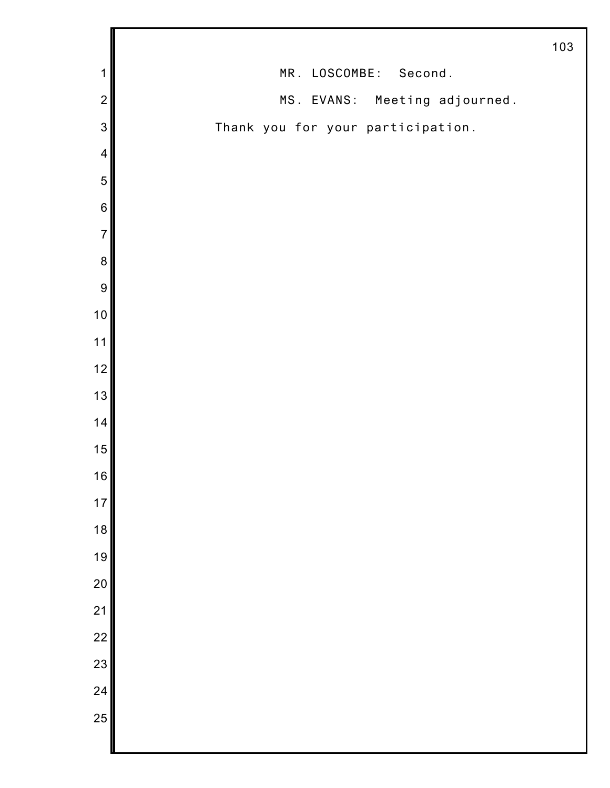